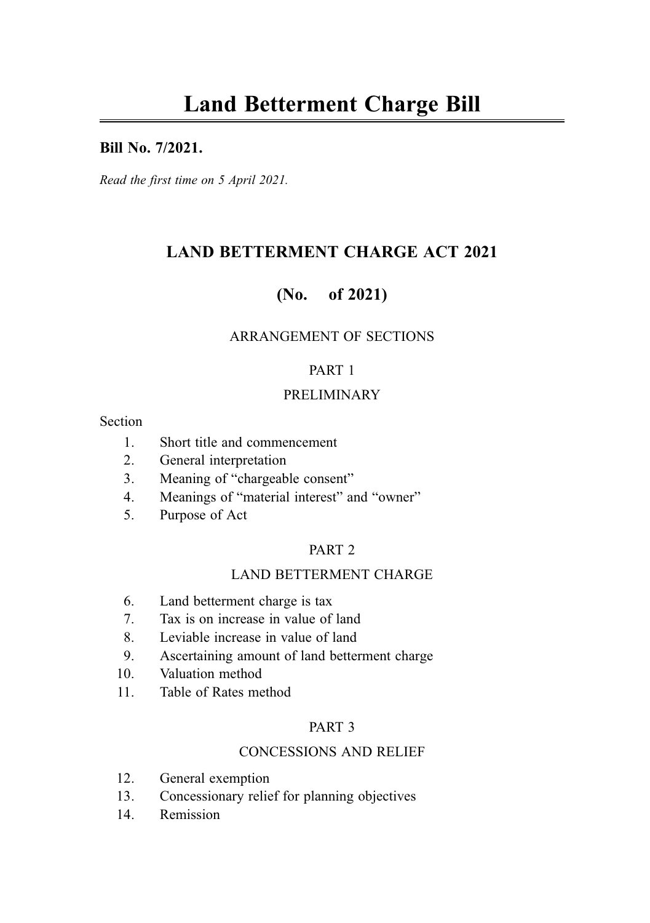#### Bill No. 7/2021.

Read the first time on 5 April 2021.

# LAND BETTERMENT CHARGE ACT 2021

# (No. of 2021)

### ARRANGEMENT OF SECTIONS

#### PART 1

#### PRELIMINARY

#### Section

- 1. Short title and commencement
- 2. General interpretation
- 3. Meaning of "chargeable consent"
- 4. Meanings of "material interest" and "owner"
- 5. Purpose of Act

### PART 2

### LAND BETTERMENT CHARGE

- 6. Land betterment charge is tax
- 7. Tax is on increase in value of land
- 8. Leviable increase in value of land
- 9. Ascertaining amount of land betterment charge
- 10. Valuation method
- 11. Table of Rates method

#### PART 3

#### CONCESSIONS AND RELIEF

- 12. General exemption
- 13. Concessionary relief for planning objectives
- 14. Remission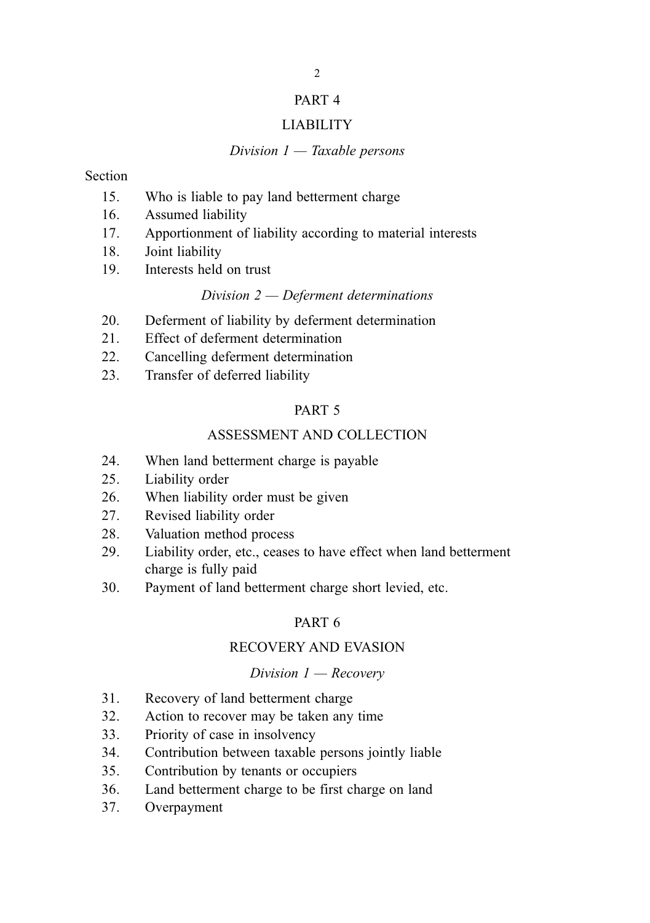#### PART 4

#### LIABILITY

#### Division  $1 -$  Taxable persons

#### Section

- 15. Who is liable to pay land betterment charge
- 16. Assumed liability
- 17. Apportionment of liability according to material interests
- 18. Joint liability
- 19. Interests held on trust

#### Division 2 — Deferment determinations

- 20. Deferment of liability by deferment determination
- 21. Effect of deferment determination
- 22. Cancelling deferment determination
- 23. Transfer of deferred liability

#### PART 5

#### ASSESSMENT AND COLLECTION

- 24. When land betterment charge is payable
- 25. Liability order
- 26. When liability order must be given
- 27. Revised liability order
- 28. Valuation method process
- 29. Liability order, etc., ceases to have effect when land betterment charge is fully paid
- 30. Payment of land betterment charge short levied, etc.

### PART 6

#### RECOVERY AND EVASION

#### Division  $1 -$  Recovery

- 31. Recovery of land betterment charge
- 32. Action to recover may be taken any time
- 33. Priority of case in insolvency
- 34. Contribution between taxable persons jointly liable
- 35. Contribution by tenants or occupiers
- 36. Land betterment charge to be first charge on land
- 37. Overpayment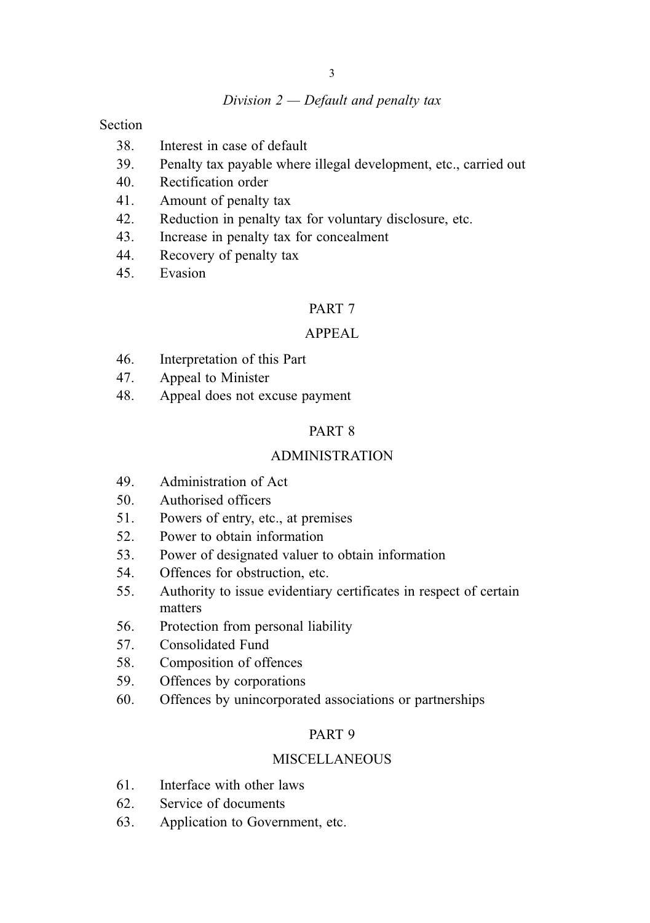#### Division  $2$  – Default and penalty tax

Section

- 38. Interest in case of default
- 39. Penalty tax payable where illegal development, etc., carried out
- 40. Rectification order
- 41. Amount of penalty tax
- 42. Reduction in penalty tax for voluntary disclosure, etc.
- 43. Increase in penalty tax for concealment
- 44. Recovery of penalty tax
- 45. Evasion

#### PART 7

#### APPEAL

- 46. Interpretation of this Part
- 47. Appeal to Minister
- 48. Appeal does not excuse payment

#### PART 8

#### ADMINISTRATION

- 49. Administration of Act
- 50. Authorised officers
- 51. Powers of entry, etc., at premises
- 52. Power to obtain information
- 53. Power of designated valuer to obtain information
- 54. Offences for obstruction, etc.
- 55. Authority to issue evidentiary certificates in respect of certain matters
- 56. Protection from personal liability
- 57. Consolidated Fund
- 58. Composition of offences
- 59. Offences by corporations
- 60. Offences by unincorporated associations or partnerships

#### PART 9

#### **MISCELLANEOUS**

- 61. Interface with other laws
- 62. Service of documents
- 63. Application to Government, etc.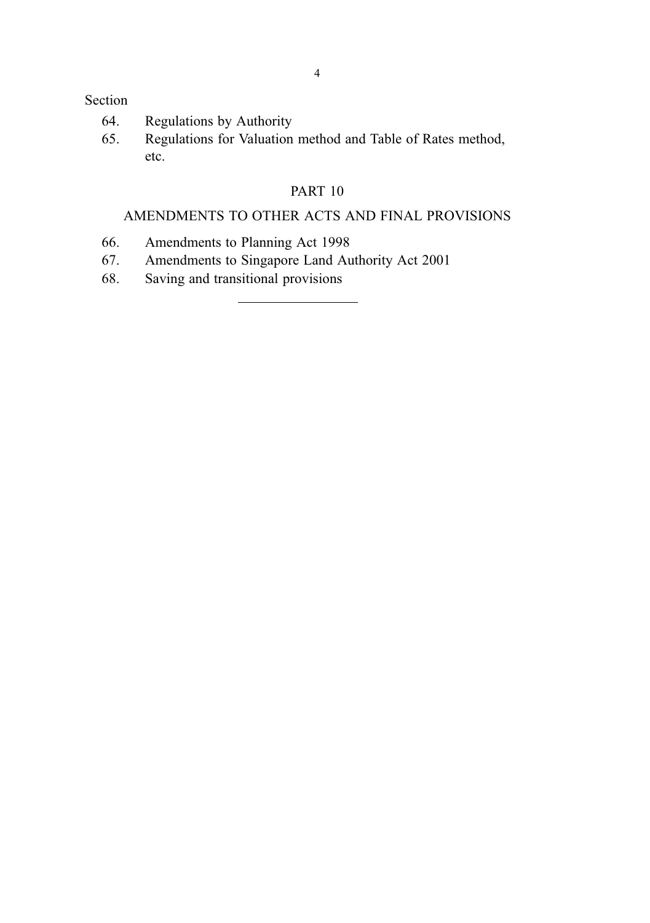#### Section

- 64. Regulations by Authority
- 65. Regulations for Valuation method and Table of Rates method, etc.

### PART 10

# AMENDMENTS TO OTHER ACTS AND FINAL PROVISIONS

- 66. Amendments to Planning Act 1998
- 67. Amendments to Singapore Land Authority Act 2001
- 68. Saving and transitional provisions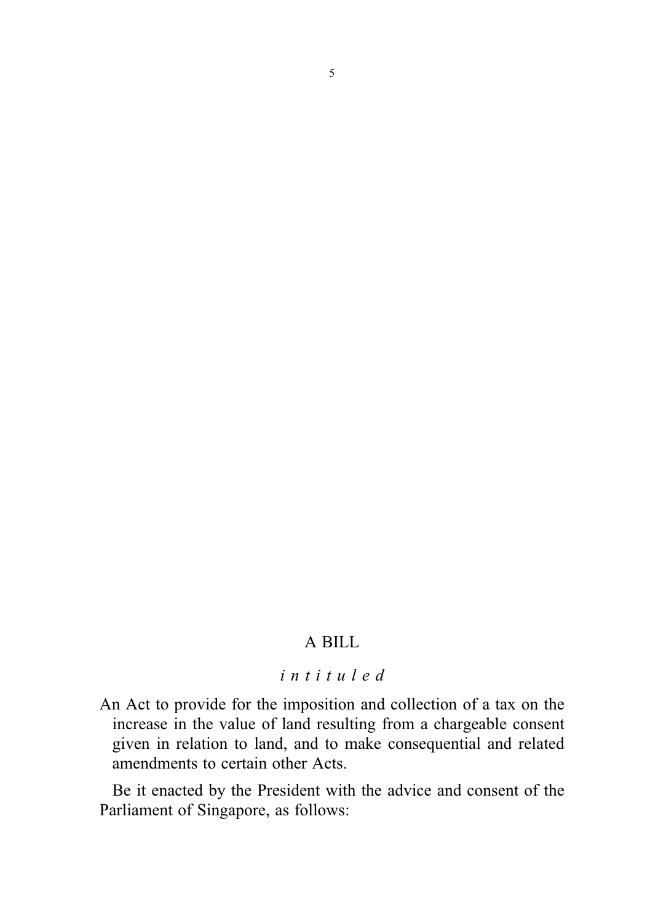# A BILL

### intituled

An Act to provide for the imposition and collection of a tax on the increase in the value of land resulting from a chargeable consent given in relation to land, and to make consequential and related amendments to certain other Acts.

Be it enacted by the President with the advice and consent of the Parliament of Singapore, as follows: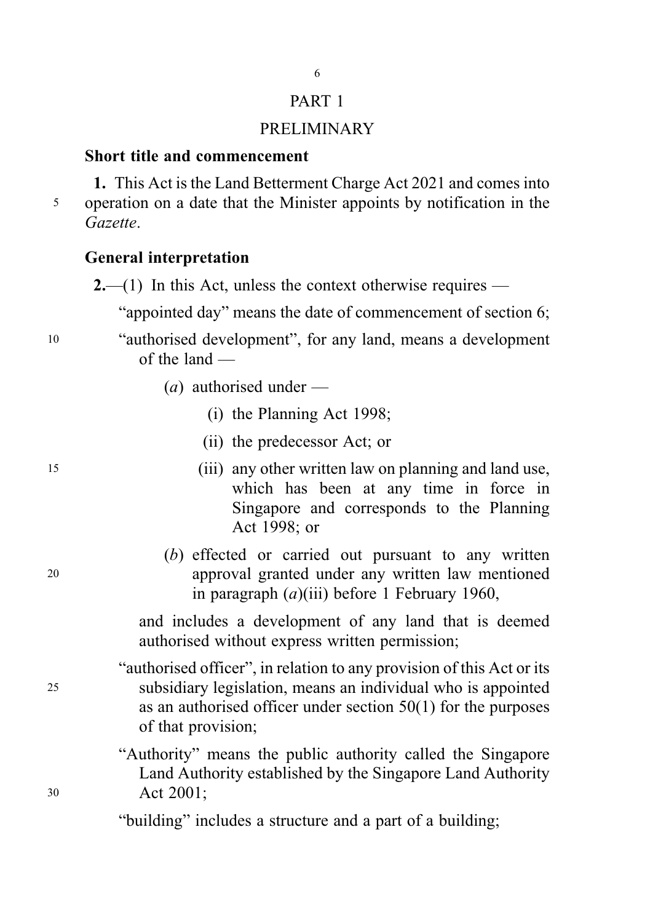# PART 1

### PRELIMINARY

### Short title and commencement

1. This Act is the Land Betterment Charge Act 2021 and comes into <sup>5</sup> operation on a date that the Minister appoints by notification in the Gazette.

### General interpretation

 $2$ —(1) In this Act, unless the context otherwise requires —

"appointed day" means the date of commencement of section 6;

<sup>10</sup> "authorised development", for any land, means a development of the land —

- (*a*) authorised under
	- (i) the Planning Act 1998;
	- (ii) the predecessor Act; or
- <sup>15</sup> (iii) any other written law on planning and land use, which has been at any time in force in Singapore and corresponds to the Planning Act 1998; or
- (b) effected or carried out pursuant to any written <sup>20</sup> approval granted under any written law mentioned in paragraph  $(a)$ (iii) before 1 February 1960,

and includes a development of any land that is deemed authorised without express written permission;

"authorised officer", in relation to any provision of this Act or its <sup>25</sup> subsidiary legislation, means an individual who is appointed as an authorised officer under section 50(1) for the purposes of that provision;

"Authority" means the public authority called the Singapore Land Authority established by the Singapore Land Authority <sup>30</sup> Act 2001;

"building" includes a structure and a part of a building;

- 
-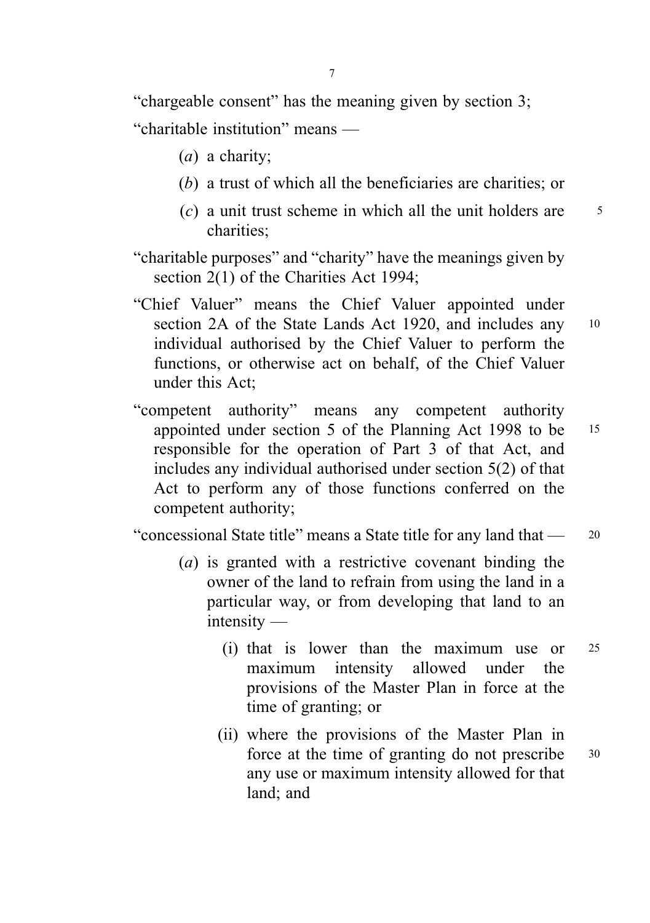"chargeable consent" has the meaning given by section 3; "charitable institution" means —

- (a) a charity;
- (b) a trust of which all the beneficiaries are charities; or
- $(c)$  a unit trust scheme in which all the unit holders are  $\frac{5}{5}$ charities;

"charitable purposes" and "charity" have the meanings given by section 2(1) of the Charities Act 1994;

- "Chief Valuer" means the Chief Valuer appointed under section 2A of the State Lands Act 1920, and includes any 10 individual authorised by the Chief Valuer to perform the functions, or otherwise act on behalf, of the Chief Valuer under this Act;
- "competent authority" means any competent authority appointed under section 5 of the Planning Act 1998 to be <sup>15</sup> responsible for the operation of Part 3 of that Act, and includes any individual authorised under section 5(2) of that Act to perform any of those functions conferred on the competent authority;

"concessional State title" means a State title for any land that — <sup>20</sup>

- (a) is granted with a restrictive covenant binding the owner of the land to refrain from using the land in a particular way, or from developing that land to an intensity —
	- (i) that is lower than the maximum use or <sup>25</sup> maximum intensity allowed under the provisions of the Master Plan in force at the time of granting; or
	- (ii) where the provisions of the Master Plan in force at the time of granting do not prescribe 30 any use or maximum intensity allowed for that land; and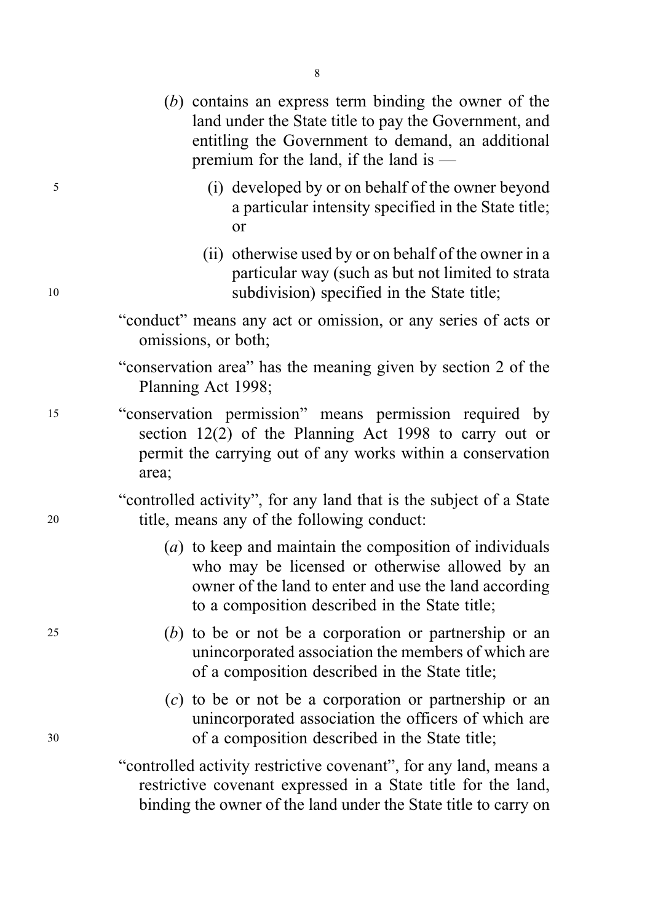- (b) contains an express term binding the owner of the land under the State title to pay the Government, and entitling the Government to demand, an additional premium for the land, if the land is —
- <sup>5</sup> (i) developed by or on behalf of the owner beyond a particular intensity specified in the State title; or
- (ii) otherwise used by or on behalf of the owner in a particular way (such as but not limited to strata <sup>10</sup> subdivision) specified in the State title;
	- "conduct" means any act or omission, or any series of acts or omissions, or both;
	- "conservation area" has the meaning given by section 2 of the Planning Act 1998;
- <sup>15</sup> "conservation permission" means permission required by section 12(2) of the Planning Act 1998 to carry out or permit the carrying out of any works within a conservation area;

"controlled activity", for any land that is the subject of a State <sup>20</sup> title, means any of the following conduct:

- (a) to keep and maintain the composition of individuals who may be licensed or otherwise allowed by an owner of the land to enter and use the land according to a composition described in the State title;
- <sup>25</sup> (b) to be or not be a corporation or partnership or an unincorporated association the members of which are of a composition described in the State title;
- (c) to be or not be a corporation or partnership or an unincorporated association the officers of which are <sup>30</sup> of a composition described in the State title;

"controlled activity restrictive covenant", for any land, means a restrictive covenant expressed in a State title for the land, binding the owner of the land under the State title to carry on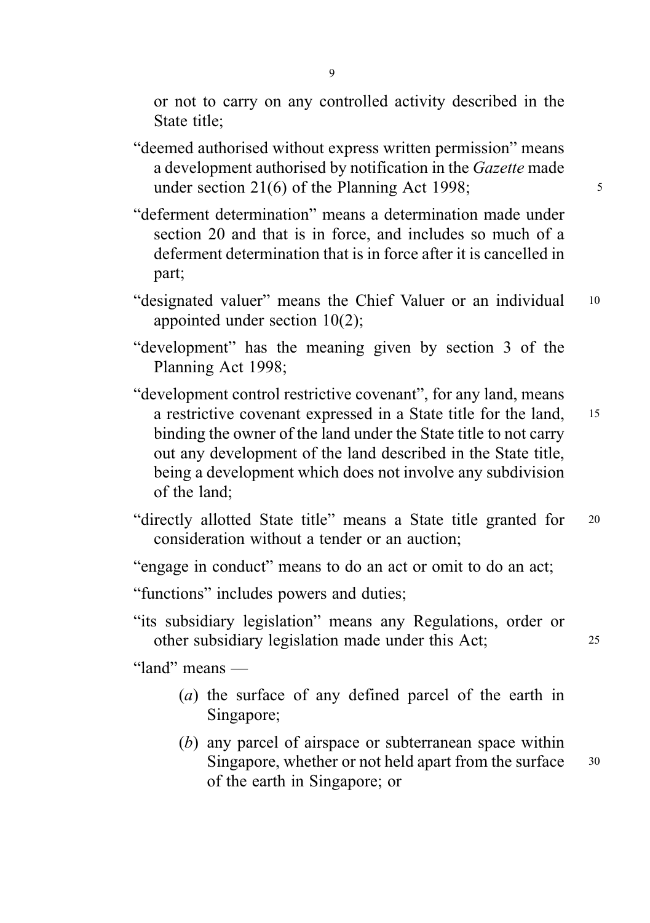or not to carry on any controlled activity described in the State title;

- "deemed authorised without express written permission" means a development authorised by notification in the Gazette made under section  $21(6)$  of the Planning Act 1998;
- "deferment determination" means a determination made under section 20 and that is in force, and includes so much of a deferment determination that is in force after it is cancelled in part;
- "designated valuer" means the Chief Valuer or an individual 10 appointed under section 10(2);
- "development" has the meaning given by section 3 of the Planning Act 1998;
- "development control restrictive covenant", for any land, means a restrictive covenant expressed in a State title for the land, <sup>15</sup> binding the owner of the land under the State title to not carry out any development of the land described in the State title, being a development which does not involve any subdivision of the land;
- "directly allotted State title" means a State title granted for <sup>20</sup> consideration without a tender or an auction;
- "engage in conduct" means to do an act or omit to do an act;
- "functions" includes powers and duties;
- "its subsidiary legislation" means any Regulations, order or other subsidiary legislation made under this Act; <sup>25</sup>

"land" means —

- (a) the surface of any defined parcel of the earth in Singapore;
- (b) any parcel of airspace or subterranean space within Singapore, whether or not held apart from the surface 30 of the earth in Singapore; or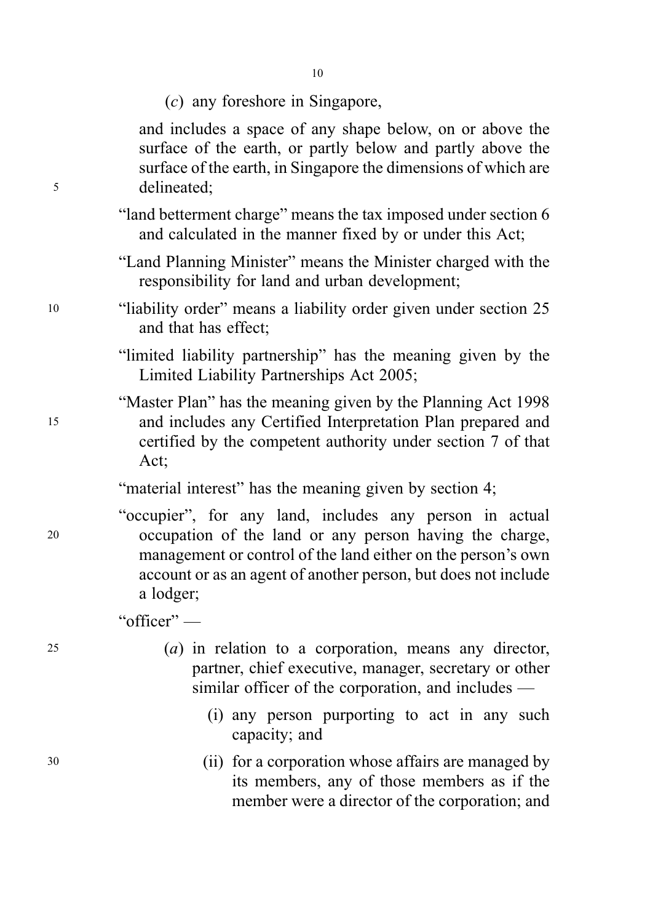(c) any foreshore in Singapore,

and includes a space of any shape below, on or above the surface of the earth, or partly below and partly above the surface of the earth, in Singapore the dimensions of which are <sup>5</sup> delineated;

- "land betterment charge" means the tax imposed under section 6 and calculated in the manner fixed by or under this Act;
- "Land Planning Minister" means the Minister charged with the responsibility for land and urban development;
- <sup>10</sup> "liability order" means a liability order given under section 25 and that has effect;
	- "limited liability partnership" has the meaning given by the Limited Liability Partnerships Act 2005;
- "Master Plan" has the meaning given by the Planning Act 1998 <sup>15</sup> and includes any Certified Interpretation Plan prepared and certified by the competent authority under section 7 of that Act;

"material interest" has the meaning given by section 4;

"occupier", for any land, includes any person in actual <sup>20</sup> occupation of the land or any person having the charge, management or control of the land either on the person's own account or as an agent of another person, but does not include a lodger;

"officer" —

- <sup>25</sup> (a) in relation to a corporation, means any director, partner, chief executive, manager, secretary or other similar officer of the corporation, and includes —
	- (i) any person purporting to act in any such capacity; and
- <sup>30</sup> (ii) for a corporation whose affairs are managed by its members, any of those members as if the member were a director of the corporation; and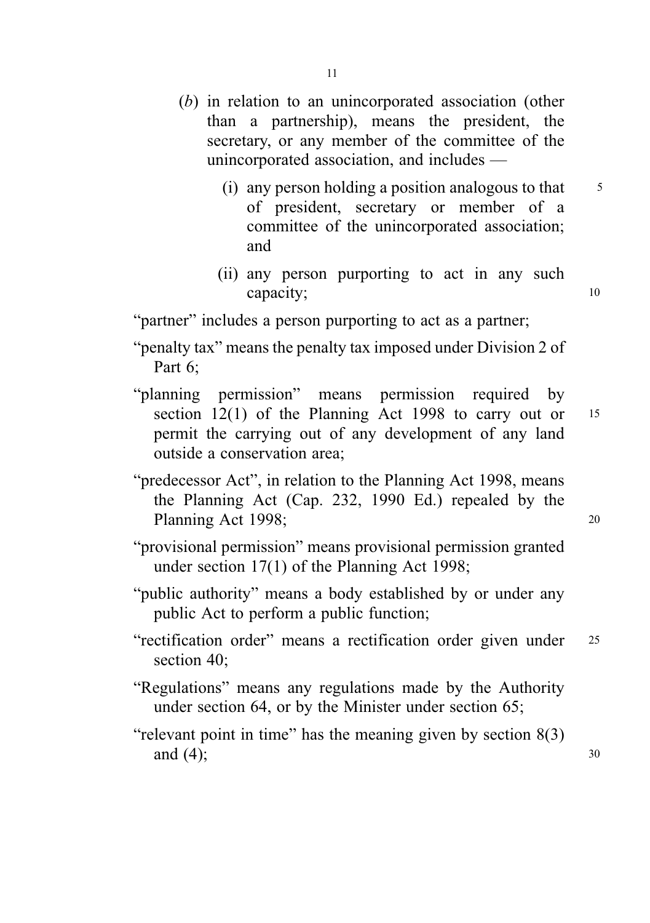- (b) in relation to an unincorporated association (other than a partnership), means the president, the secretary, or any member of the committee of the unincorporated association, and includes —
	- (i) any person holding a position analogous to that  $\frac{5}{5}$ of president, secretary or member of a committee of the unincorporated association; and
	- (ii) any person purporting to act in any such capacity; 10

"partner" includes a person purporting to act as a partner;

- "penalty tax" means the penalty tax imposed under Division 2 of Part 6;
- "planning permission" means permission required by section 12(1) of the Planning Act 1998 to carry out or 15 permit the carrying out of any development of any land outside a conservation area;
- "predecessor Act", in relation to the Planning Act 1998, means the Planning Act (Cap. 232, 1990 Ed.) repealed by the Planning Act 1998; 20
- "provisional permission" means provisional permission granted under section 17(1) of the Planning Act 1998;
- "public authority" means a body established by or under any public Act to perform a public function;
- "rectification order" means a rectification order given under <sup>25</sup> section 40:
- "Regulations" means any regulations made by the Authority under section 64, or by the Minister under section 65;
- "relevant point in time" has the meaning given by section 8(3) and  $(4)$ ; 30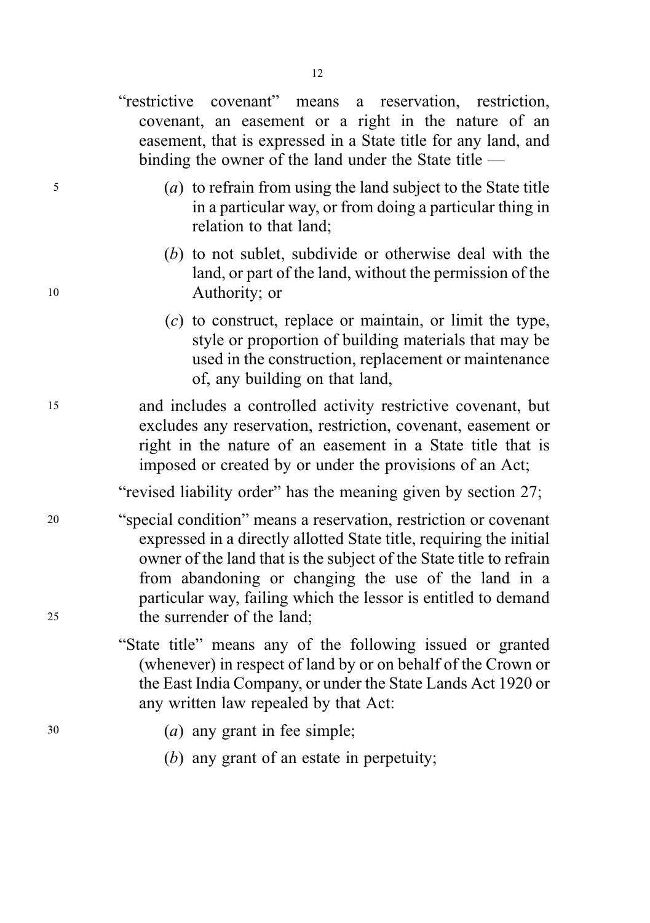"restrictive covenant" means a reservation, restriction, covenant, an easement or a right in the nature of an easement, that is expressed in a State title for any land, and binding the owner of the land under the State title —

- <sup>5</sup> (a) to refrain from using the land subject to the State title in a particular way, or from doing a particular thing in relation to that land;
- (b) to not sublet, subdivide or otherwise deal with the land, or part of the land, without the permission of the <sup>10</sup> Authority; or
	- (c) to construct, replace or maintain, or limit the type, style or proportion of building materials that may be used in the construction, replacement or maintenance of, any building on that land,
- <sup>15</sup> and includes a controlled activity restrictive covenant, but excludes any reservation, restriction, covenant, easement or right in the nature of an easement in a State title that is imposed or created by or under the provisions of an Act;

"revised liability order" has the meaning given by section 27;

- <sup>20</sup> "special condition" means a reservation, restriction or covenant expressed in a directly allotted State title, requiring the initial owner of the land that is the subject of the State title to refrain from abandoning or changing the use of the land in a particular way, failing which the lessor is entitled to demand <sup>25</sup> the surrender of the land;
	- "State title" means any of the following issued or granted (whenever) in respect of land by or on behalf of the Crown or the East India Company, or under the State Lands Act 1920 or any written law repealed by that Act:
- <sup>30</sup> (a) any grant in fee simple;
	- (b) any grant of an estate in perpetuity;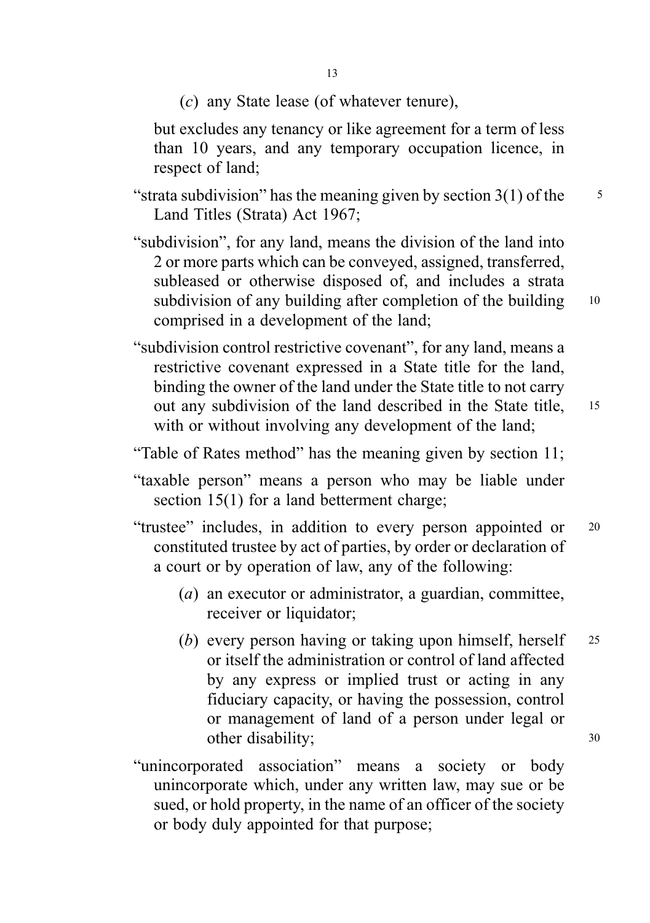(c) any State lease (of whatever tenure),

but excludes any tenancy or like agreement for a term of less than 10 years, and any temporary occupation licence, in respect of land;

- "strata subdivision" has the meaning given by section  $3(1)$  of the  $\frac{5}{5}$ Land Titles (Strata) Act 1967;
- "subdivision", for any land, means the division of the land into 2 or more parts which can be conveyed, assigned, transferred, subleased or otherwise disposed of, and includes a strata subdivision of any building after completion of the building 10 comprised in a development of the land;
- "subdivision control restrictive covenant", for any land, means a restrictive covenant expressed in a State title for the land, binding the owner of the land under the State title to not carry out any subdivision of the land described in the State title, <sup>15</sup> with or without involving any development of the land;
- "Table of Rates method" has the meaning given by section 11;
- "taxable person" means a person who may be liable under section 15(1) for a land betterment charge;
- "trustee" includes, in addition to every person appointed or <sup>20</sup> constituted trustee by act of parties, by order or declaration of a court or by operation of law, any of the following:
	- (a) an executor or administrator, a guardian, committee, receiver or liquidator;
	- (b) every person having or taking upon himself, herself 25 or itself the administration or control of land affected by any express or implied trust or acting in any fiduciary capacity, or having the possession, control or management of land of a person under legal or other disability; 30
- "unincorporated association" means a society or body unincorporate which, under any written law, may sue or be sued, or hold property, in the name of an officer of the society or body duly appointed for that purpose;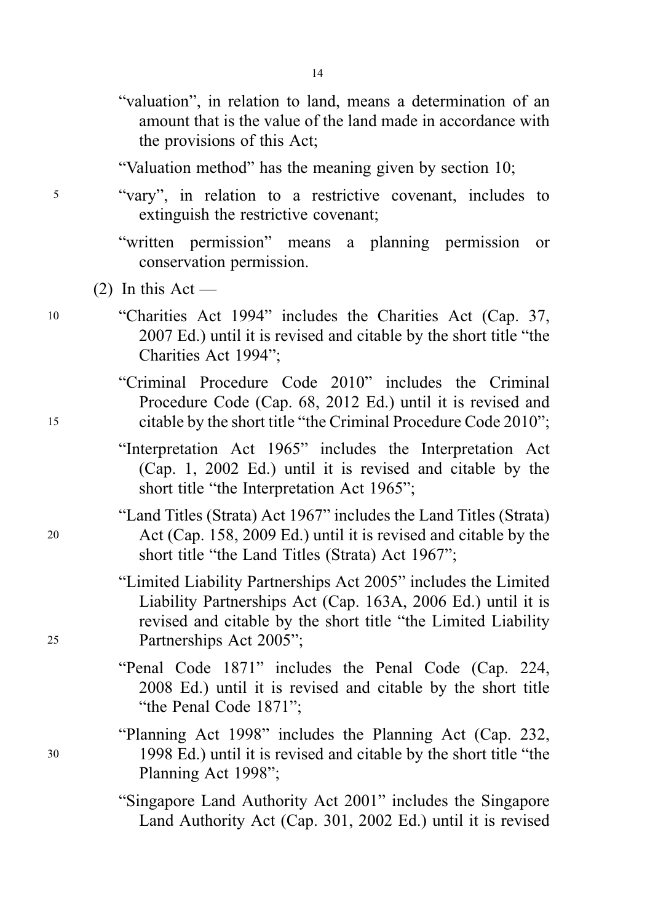- "valuation", in relation to land, means a determination of an amount that is the value of the land made in accordance with the provisions of this Act;
- "Valuation method" has the meaning given by section 10;
- <sup>5</sup> "vary", in relation to a restrictive covenant, includes to extinguish the restrictive covenant;
	- "written permission" means a planning permission or conservation permission.
	- $(2)$  In this Act —
- <sup>10</sup> "Charities Act 1994" includes the Charities Act (Cap. 37, 2007 Ed.) until it is revised and citable by the short title "the Charities Act 1994";
- "Criminal Procedure Code 2010" includes the Criminal Procedure Code (Cap. 68, 2012 Ed.) until it is revised and <sup>15</sup> citable by the short title "the Criminal Procedure Code 2010";
	- "Interpretation Act 1965" includes the Interpretation Act (Cap. 1, 2002 Ed.) until it is revised and citable by the short title "the Interpretation Act 1965";
- "Land Titles (Strata) Act 1967" includes the Land Titles (Strata) <sup>20</sup> Act (Cap. 158, 2009 Ed.) until it is revised and citable by the short title "the Land Titles (Strata) Act 1967";
- "Limited Liability Partnerships Act 2005" includes the Limited Liability Partnerships Act (Cap. 163A, 2006 Ed.) until it is revised and citable by the short title "the Limited Liability <sup>25</sup> Partnerships Act 2005";
	- "Penal Code 1871" includes the Penal Code (Cap. 224, 2008 Ed.) until it is revised and citable by the short title "the Penal Code 1871";
- "Planning Act 1998" includes the Planning Act (Cap. 232, <sup>30</sup> 1998 Ed.) until it is revised and citable by the short title "the Planning Act 1998";
	- "Singapore Land Authority Act 2001" includes the Singapore Land Authority Act (Cap. 301, 2002 Ed.) until it is revised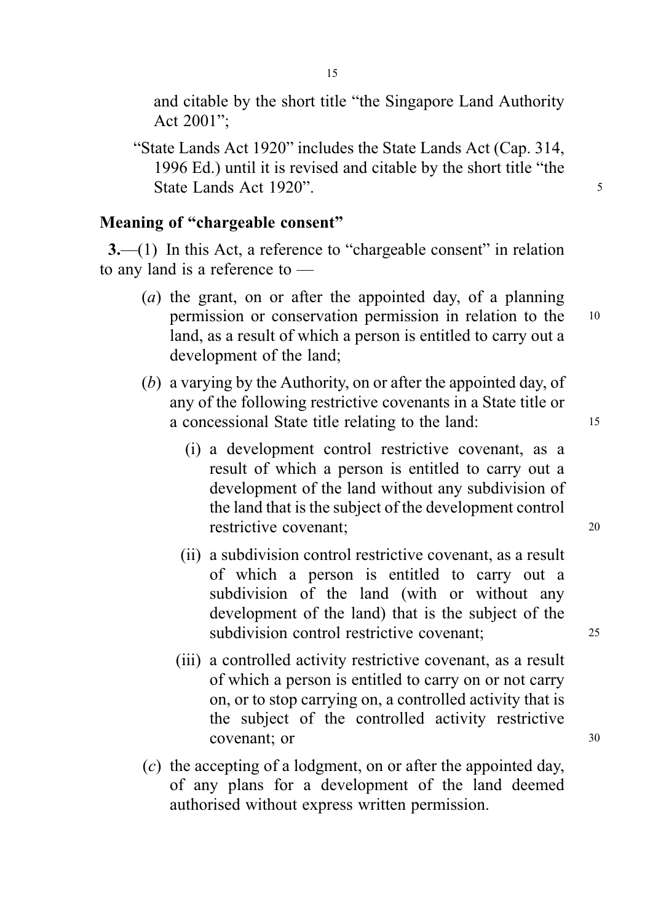and citable by the short title "the Singapore Land Authority Act 2001";

"State Lands Act 1920" includes the State Lands Act (Cap. 314, 1996 Ed.) until it is revised and citable by the short title "the State Lands Act 1920". The state of the state of the state of the state of the state of the state of the state of the state of the state of the state of the state of the state of the state of the state of the state of the

### Meaning of "chargeable consent"

3.—(1) In this Act, a reference to "chargeable consent" in relation to any land is a reference to —

- (a) the grant, on or after the appointed day, of a planning permission or conservation permission in relation to the <sup>10</sup> land, as a result of which a person is entitled to carry out a development of the land;
- (b) a varying by the Authority, on or after the appointed day, of any of the following restrictive covenants in a State title or a concessional State title relating to the land: <sup>15</sup>
	- (i) a development control restrictive covenant, as a result of which a person is entitled to carry out a development of the land without any subdivision of the land that is the subject of the development control restrictive covenant: 20
	- (ii) a subdivision control restrictive covenant, as a result of which a person is entitled to carry out a subdivision of the land (with or without any development of the land) that is the subject of the subdivision control restrictive covenant: 25
	- (iii) a controlled activity restrictive covenant, as a result of which a person is entitled to carry on or not carry on, or to stop carrying on, a controlled activity that is the subject of the controlled activity restrictive covenant; or 30
- (c) the accepting of a lodgment, on or after the appointed day, of any plans for a development of the land deemed authorised without express written permission.

15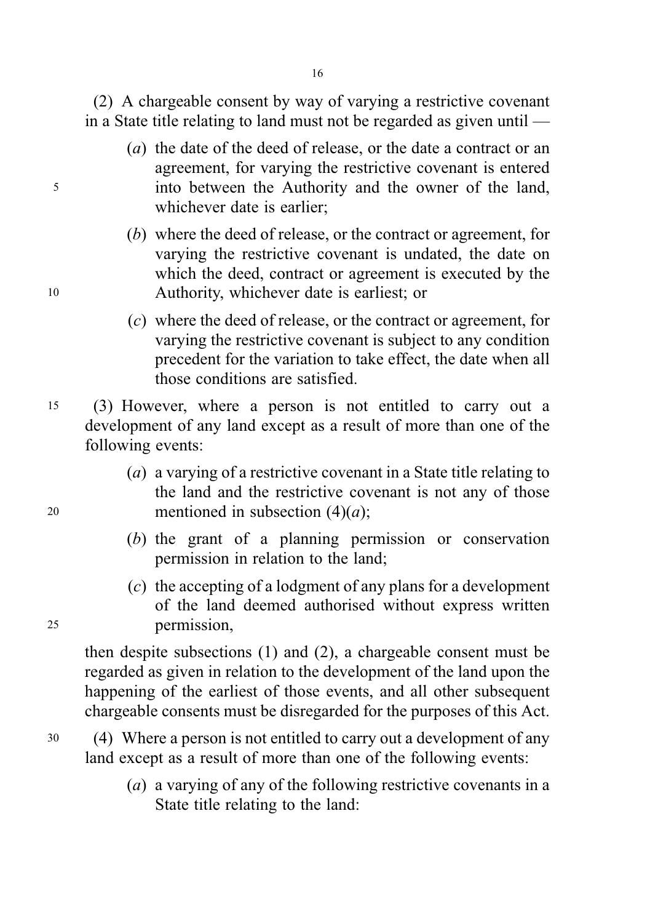16

(2) A chargeable consent by way of varying a restrictive covenant in a State title relating to land must not be regarded as given until —

- (a) the date of the deed of release, or the date a contract or an agreement, for varying the restrictive covenant is entered <sup>5</sup> into between the Authority and the owner of the land, whichever date is earlier;
- (b) where the deed of release, or the contract or agreement, for varying the restrictive covenant is undated, the date on which the deed, contract or agreement is executed by the <sup>10</sup> Authority, whichever date is earliest; or
	- (c) where the deed of release, or the contract or agreement, for varying the restrictive covenant is subject to any condition precedent for the variation to take effect, the date when all those conditions are satisfied.
- <sup>15</sup> (3) However, where a person is not entitled to carry out a development of any land except as a result of more than one of the following events:
- (a) a varying of a restrictive covenant in a State title relating to the land and the restrictive covenant is not any of those 20 mentioned in subsection  $(4)(a)$ ;
	- (b) the grant of a planning permission or conservation permission in relation to the land;
- (c) the accepting of a lodgment of any plans for a development of the land deemed authorised without express written <sup>25</sup> permission,

then despite subsections (1) and (2), a chargeable consent must be regarded as given in relation to the development of the land upon the happening of the earliest of those events, and all other subsequent chargeable consents must be disregarded for the purposes of this Act.

- <sup>30</sup> (4) Where a person is not entitled to carry out a development of any land except as a result of more than one of the following events:
	- (a) a varying of any of the following restrictive covenants in a State title relating to the land: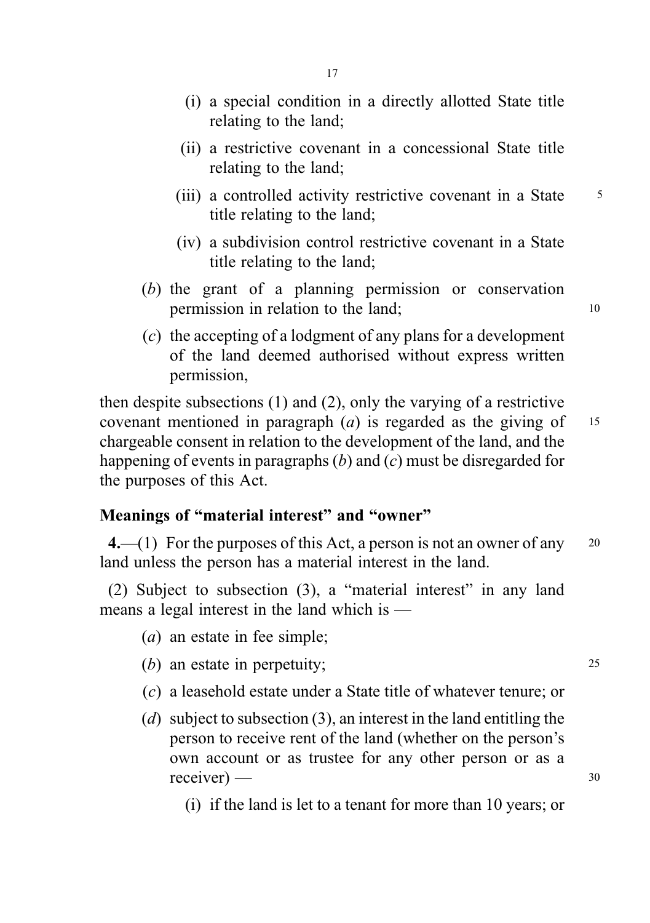- (i) a special condition in a directly allotted State title relating to the land;
- (ii) a restrictive covenant in a concessional State title relating to the land;
- (iii) a controlled activity restrictive covenant in a State 5 title relating to the land;
- (iv) a subdivision control restrictive covenant in a State title relating to the land;
- (b) the grant of a planning permission or conservation permission in relation to the land; 10
- (c) the accepting of a lodgment of any plans for a development of the land deemed authorised without express written permission,

then despite subsections (1) and (2), only the varying of a restrictive covenant mentioned in paragraph  $(a)$  is regarded as the giving of 15 chargeable consent in relation to the development of the land, and the happening of events in paragraphs  $(b)$  and  $(c)$  must be disregarded for the purposes of this Act.

# Meanings of "material interest" and "owner"

4.—(1) For the purposes of this Act, a person is not an owner of any  $20$ land unless the person has a material interest in the land.

(2) Subject to subsection (3), a "material interest" in any land means a legal interest in the land which is —

- (a) an estate in fee simple;
- (b) an estate in perpetuity; 25
- (c) a leasehold estate under a State title of whatever tenure; or
- (d) subject to subsection (3), an interest in the land entitling the person to receive rent of the land (whether on the person's own account or as trustee for any other person or as a  $receiver$   $-$  30

(i) if the land is let to a tenant for more than 10 years; or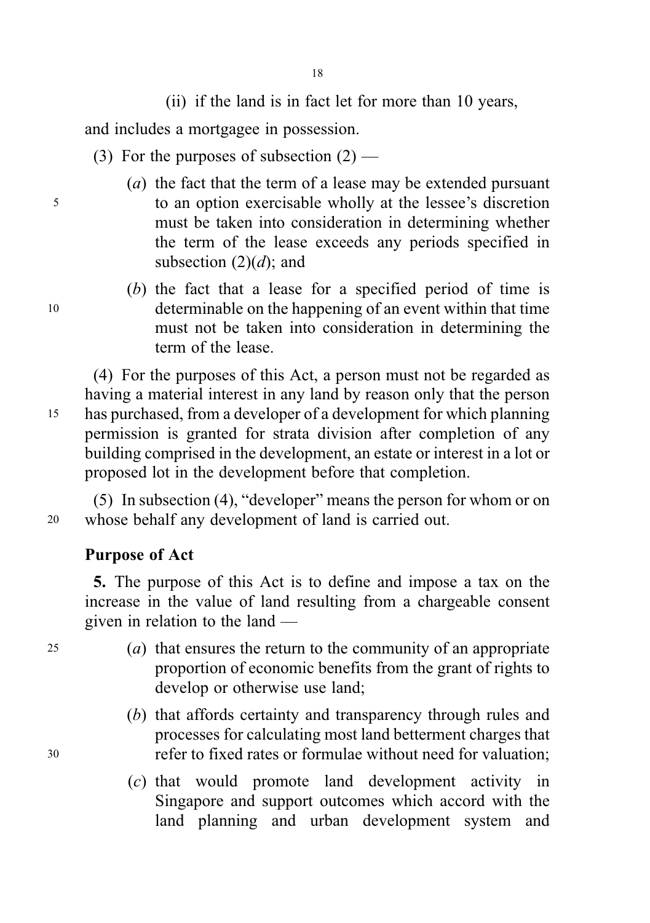(ii) if the land is in fact let for more than 10 years,

and includes a mortgagee in possession.

- (3) For the purposes of subsection  $(2)$  —
- (a) the fact that the term of a lease may be extended pursuant <sup>5</sup> to an option exercisable wholly at the lessee's discretion must be taken into consideration in determining whether the term of the lease exceeds any periods specified in subsection  $(2)(d)$ ; and
- (b) the fact that a lease for a specified period of time is <sup>10</sup> determinable on the happening of an event within that time must not be taken into consideration in determining the term of the lease.

(4) For the purposes of this Act, a person must not be regarded as having a material interest in any land by reason only that the person <sup>15</sup> has purchased, from a developer of a development for which planning permission is granted for strata division after completion of any building comprised in the development, an estate or interest in a lot or proposed lot in the development before that completion.

(5) In subsection (4), "developer" means the person for whom or on <sup>20</sup> whose behalf any development of land is carried out.

# Purpose of Act

5. The purpose of this Act is to define and impose a tax on the increase in the value of land resulting from a chargeable consent given in relation to the land —

- <sup>25</sup> (a) that ensures the return to the community of an appropriate proportion of economic benefits from the grant of rights to develop or otherwise use land;
- (b) that affords certainty and transparency through rules and processes for calculating most land betterment charges that <sup>30</sup> refer to fixed rates or formulae without need for valuation;
	- (c) that would promote land development activity in Singapore and support outcomes which accord with the land planning and urban development system and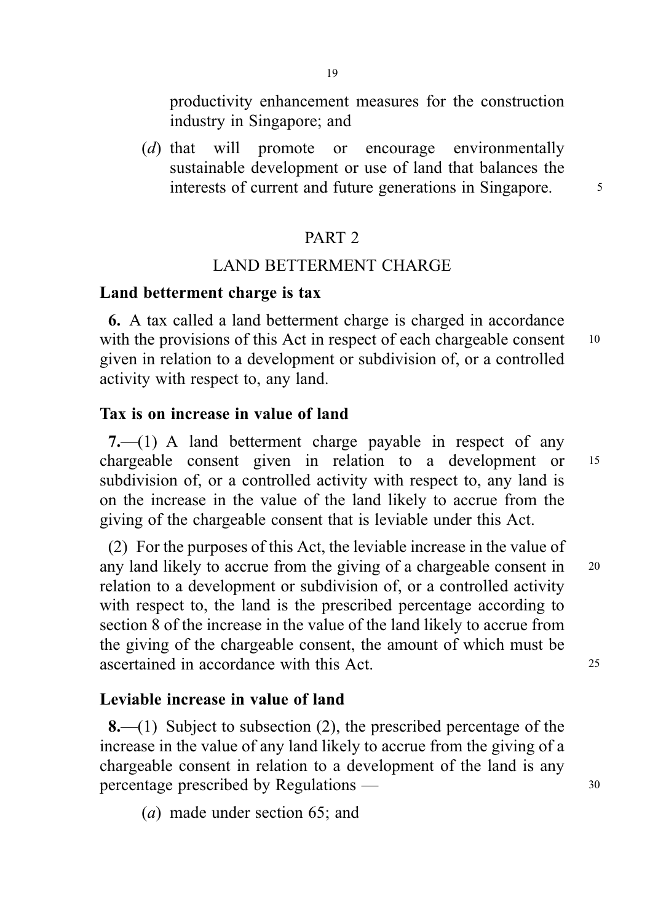productivity enhancement measures for the construction industry in Singapore; and

(d) that will promote or encourage environmentally sustainable development or use of land that balances the interests of current and future generations in Singapore.  $\frac{5}{10}$ 

### PART 2

# LAND BETTERMENT CHARGE

#### Land betterment charge is tax

6. A tax called a land betterment charge is charged in accordance with the provisions of this Act in respect of each chargeable consent 10 given in relation to a development or subdivision of, or a controlled activity with respect to, any land.

### Tax is on increase in value of land

7.—(1) A land betterment charge payable in respect of any chargeable consent given in relation to a development or <sup>15</sup> subdivision of, or a controlled activity with respect to, any land is on the increase in the value of the land likely to accrue from the giving of the chargeable consent that is leviable under this Act.

(2) For the purposes of this Act, the leviable increase in the value of any land likely to accrue from the giving of a chargeable consent in <sup>20</sup> relation to a development or subdivision of, or a controlled activity with respect to, the land is the prescribed percentage according to section 8 of the increase in the value of the land likely to accrue from the giving of the chargeable consent, the amount of which must be ascertained in accordance with this Act. 25

### Leviable increase in value of land

8.—(1) Subject to subsection (2), the prescribed percentage of the increase in the value of any land likely to accrue from the giving of a chargeable consent in relation to a development of the land is any percentage prescribed by Regulations — 30

(a) made under section 65; and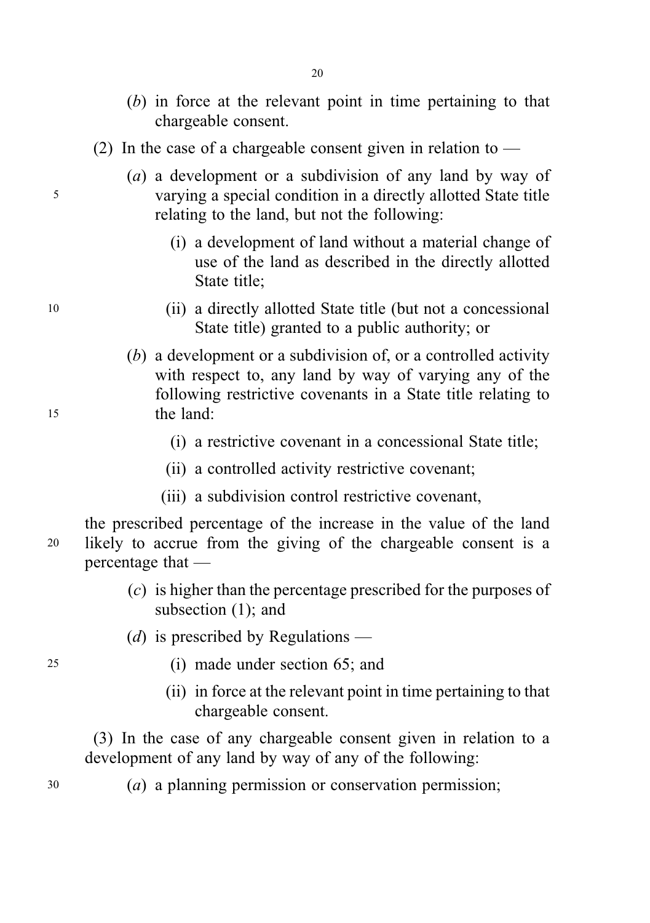- (b) in force at the relevant point in time pertaining to that chargeable consent.
- (2) In the case of a chargeable consent given in relation to  $-$
- (a) a development or a subdivision of any land by way of <sup>5</sup> varying a special condition in a directly allotted State title relating to the land, but not the following:
	- (i) a development of land without a material change of use of the land as described in the directly allotted State title;
- <sup>10</sup> (ii) a directly allotted State title (but not a concessional State title) granted to a public authority; or
- (b) a development or a subdivision of, or a controlled activity with respect to, any land by way of varying any of the following restrictive covenants in a State title relating to <sup>15</sup> the land:
	- (i) a restrictive covenant in a concessional State title;
	- (ii) a controlled activity restrictive covenant;
	- (iii) a subdivision control restrictive covenant,

the prescribed percentage of the increase in the value of the land <sup>20</sup> likely to accrue from the giving of the chargeable consent is a percentage that —

- (c) is higher than the percentage prescribed for the purposes of subsection (1); and
- (d) is prescribed by Regulations —
- <sup>25</sup> (i) made under section 65; and
	- (ii) in force at the relevant point in time pertaining to that chargeable consent.

(3) In the case of any chargeable consent given in relation to a development of any land by way of any of the following:

<sup>30</sup> (a) a planning permission or conservation permission;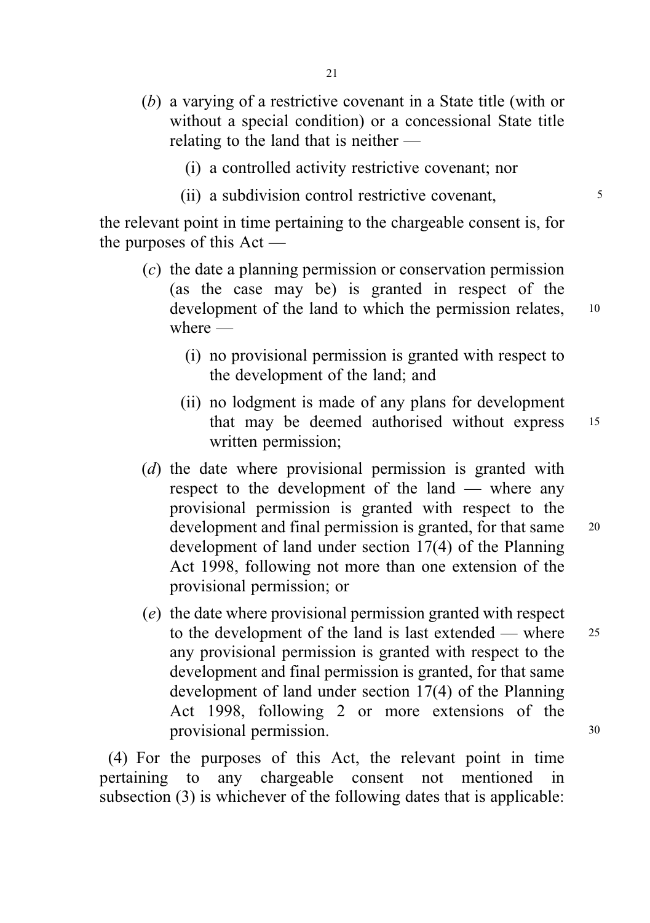- (b) a varying of a restrictive covenant in a State title (with or without a special condition) or a concessional State title relating to the land that is neither —
	- (i) a controlled activity restrictive covenant; nor
	- (ii) a subdivision control restrictive covenant,

the relevant point in time pertaining to the chargeable consent is, for the purposes of this Act —

- (c) the date a planning permission or conservation permission (as the case may be) is granted in respect of the development of the land to which the permission relates, 10 where —
	- (i) no provisional permission is granted with respect to the development of the land; and
	- (ii) no lodgment is made of any plans for development that may be deemed authorised without express <sup>15</sup> written permission;
- (d) the date where provisional permission is granted with respect to the development of the land — where any provisional permission is granted with respect to the development and final permission is granted, for that same <sup>20</sup> development of land under section 17(4) of the Planning Act 1998, following not more than one extension of the provisional permission; or
- (e) the date where provisional permission granted with respect to the development of the land is last extended — where 25 any provisional permission is granted with respect to the development and final permission is granted, for that same development of land under section 17(4) of the Planning Act 1998, following 2 or more extensions of the provisional permission. 30

(4) For the purposes of this Act, the relevant point in time pertaining to any chargeable consent not mentioned in subsection (3) is whichever of the following dates that is applicable: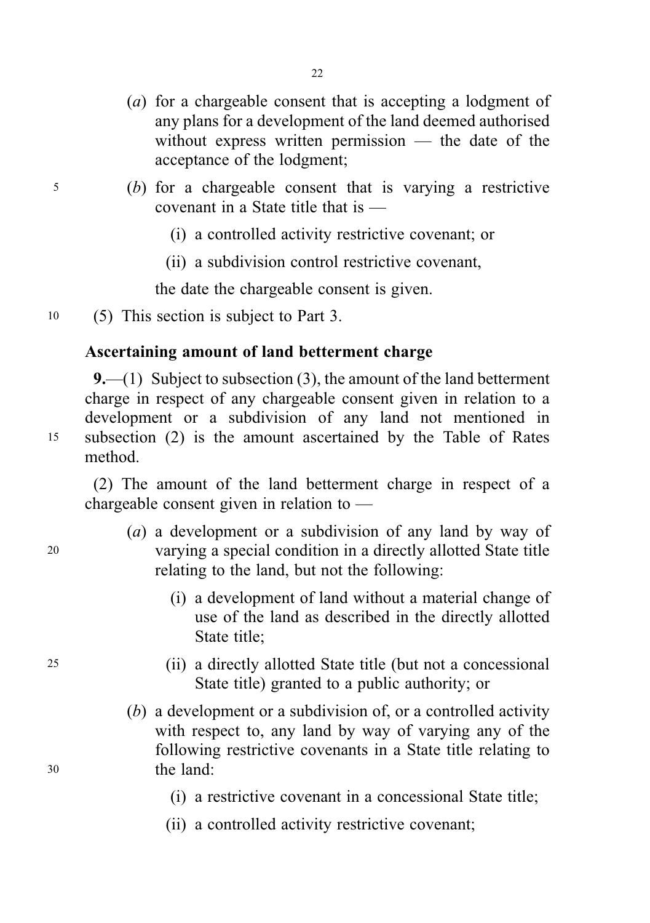- (a) for a chargeable consent that is accepting a lodgment of any plans for a development of the land deemed authorised without express written permission — the date of the acceptance of the lodgment;
- <sup>5</sup> (b) for a chargeable consent that is varying a restrictive covenant in a State title that is —
	- (i) a controlled activity restrictive covenant; or
	- (ii) a subdivision control restrictive covenant,

the date the chargeable consent is given.

<sup>10</sup> (5) This section is subject to Part 3.

### Ascertaining amount of land betterment charge

9.—(1) Subject to subsection  $(3)$ , the amount of the land betterment charge in respect of any chargeable consent given in relation to a development or a subdivision of any land not mentioned in <sup>15</sup> subsection (2) is the amount ascertained by the Table of Rates method.

(2) The amount of the land betterment charge in respect of a chargeable consent given in relation to —

- (a) a development or a subdivision of any land by way of <sup>20</sup> varying a special condition in a directly allotted State title relating to the land, but not the following:
	- (i) a development of land without a material change of use of the land as described in the directly allotted State title;
- <sup>25</sup> (ii) a directly allotted State title (but not a concessional State title) granted to a public authority; or
- (b) a development or a subdivision of, or a controlled activity with respect to, any land by way of varying any of the following restrictive covenants in a State title relating to <sup>30</sup> the land:
	- (i) a restrictive covenant in a concessional State title;
	- (ii) a controlled activity restrictive covenant;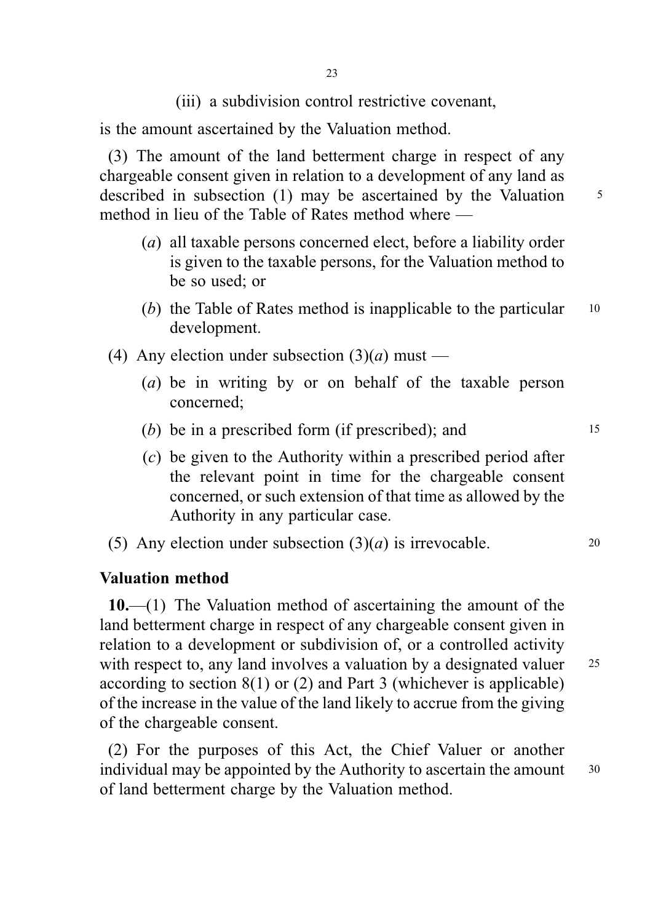(iii) a subdivision control restrictive covenant,

is the amount ascertained by the Valuation method.

(3) The amount of the land betterment charge in respect of any chargeable consent given in relation to a development of any land as described in subsection (1) may be ascertained by the Valuation  $5$ method in lieu of the Table of Rates method where —

- (a) all taxable persons concerned elect, before a liability order is given to the taxable persons, for the Valuation method to be so used; or
- (b) the Table of Rates method is inapplicable to the particular  $10$ development.
- (4) Any election under subsection  $(3)(a)$  must
	- (a) be in writing by or on behalf of the taxable person concerned;
	- (b) be in a prescribed form (if prescribed); and  $15$
	- (c) be given to the Authority within a prescribed period after the relevant point in time for the chargeable consent concerned, or such extension of that time as allowed by the Authority in any particular case.
- (5) Any election under subsection  $(3)(a)$  is irrevocable. 20

### Valuation method

10.—(1) The Valuation method of ascertaining the amount of the land betterment charge in respect of any chargeable consent given in relation to a development or subdivision of, or a controlled activity with respect to, any land involves a valuation by a designated valuer 25 according to section 8(1) or (2) and Part 3 (whichever is applicable) of the increase in the value of the land likely to accrue from the giving of the chargeable consent.

(2) For the purposes of this Act, the Chief Valuer or another individual may be appointed by the Authority to ascertain the amount 30 of land betterment charge by the Valuation method.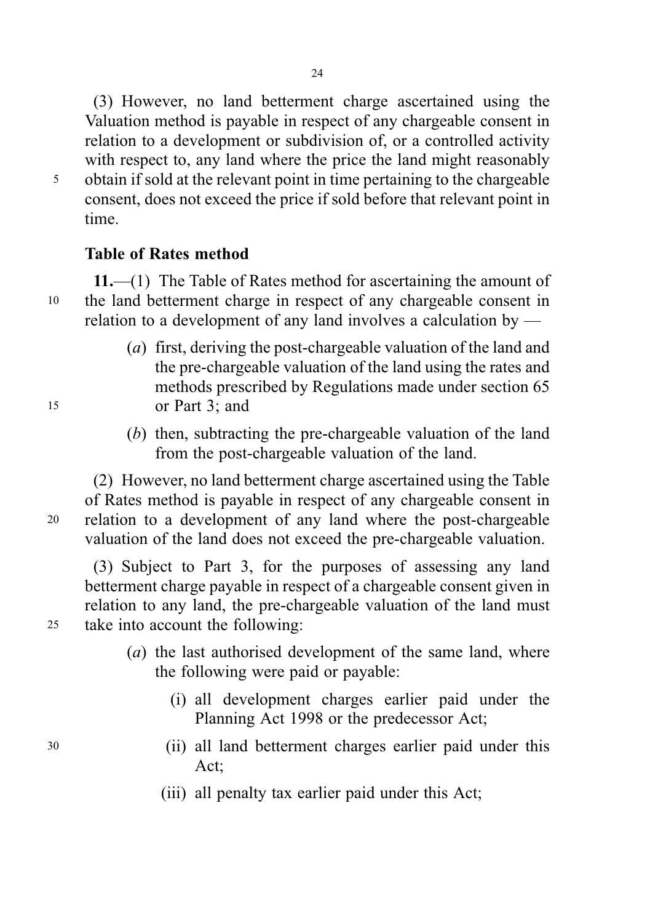(3) However, no land betterment charge ascertained using the Valuation method is payable in respect of any chargeable consent in relation to a development or subdivision of, or a controlled activity with respect to, any land where the price the land might reasonably <sup>5</sup> obtain if sold at the relevant point in time pertaining to the chargeable consent, does not exceed the price if sold before that relevant point in time.

### Table of Rates method

11.—(1) The Table of Rates method for ascertaining the amount of <sup>10</sup> the land betterment charge in respect of any chargeable consent in relation to a development of any land involves a calculation by —

- (a) first, deriving the post-chargeable valuation of the land and the pre-chargeable valuation of the land using the rates and methods prescribed by Regulations made under section 65 <sup>15</sup> or Part 3; and
	- (b) then, subtracting the pre-chargeable valuation of the land from the post-chargeable valuation of the land.

(2) However, no land betterment charge ascertained using the Table of Rates method is payable in respect of any chargeable consent in <sup>20</sup> relation to a development of any land where the post-chargeable valuation of the land does not exceed the pre-chargeable valuation.

(3) Subject to Part 3, for the purposes of assessing any land betterment charge payable in respect of a chargeable consent given in relation to any land, the pre-chargeable valuation of the land must <sup>25</sup> take into account the following:

- (a) the last authorised development of the same land, where the following were paid or payable:
	- (i) all development charges earlier paid under the Planning Act 1998 or the predecessor Act;
- <sup>30</sup> (ii) all land betterment charges earlier paid under this Act;
	- (iii) all penalty tax earlier paid under this Act;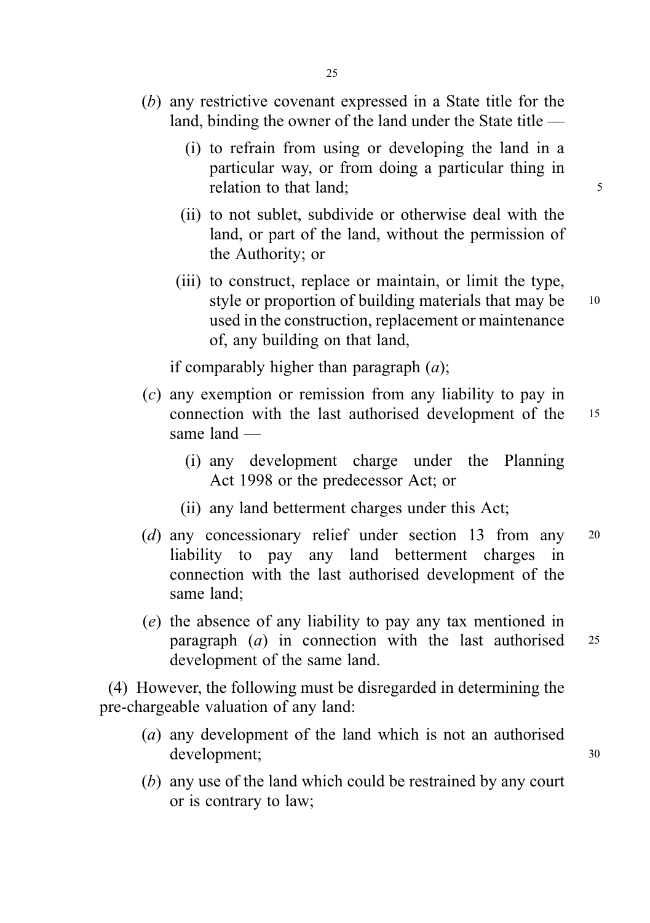- (b) any restrictive covenant expressed in a State title for the land, binding the owner of the land under the State title —
	- (i) to refrain from using or developing the land in a particular way, or from doing a particular thing in relation to that land; 5
	- (ii) to not sublet, subdivide or otherwise deal with the land, or part of the land, without the permission of the Authority; or
	- (iii) to construct, replace or maintain, or limit the type, style or proportion of building materials that may be 10 used in the construction, replacement or maintenance of, any building on that land,

if comparably higher than paragraph  $(a)$ ;

- (c) any exemption or remission from any liability to pay in connection with the last authorised development of the <sup>15</sup> same land —
	- (i) any development charge under the Planning Act 1998 or the predecessor Act; or
	- (ii) any land betterment charges under this Act;
- (d) any concessionary relief under section 13 from any 20 liability to pay any land betterment charges in connection with the last authorised development of the same land;
- (e) the absence of any liability to pay any tax mentioned in paragraph  $(a)$  in connection with the last authorised  $25$ development of the same land.

(4) However, the following must be disregarded in determining the pre-chargeable valuation of any land:

- (a) any development of the land which is not an authorised development; <sup>30</sup>
- (b) any use of the land which could be restrained by any court or is contrary to law;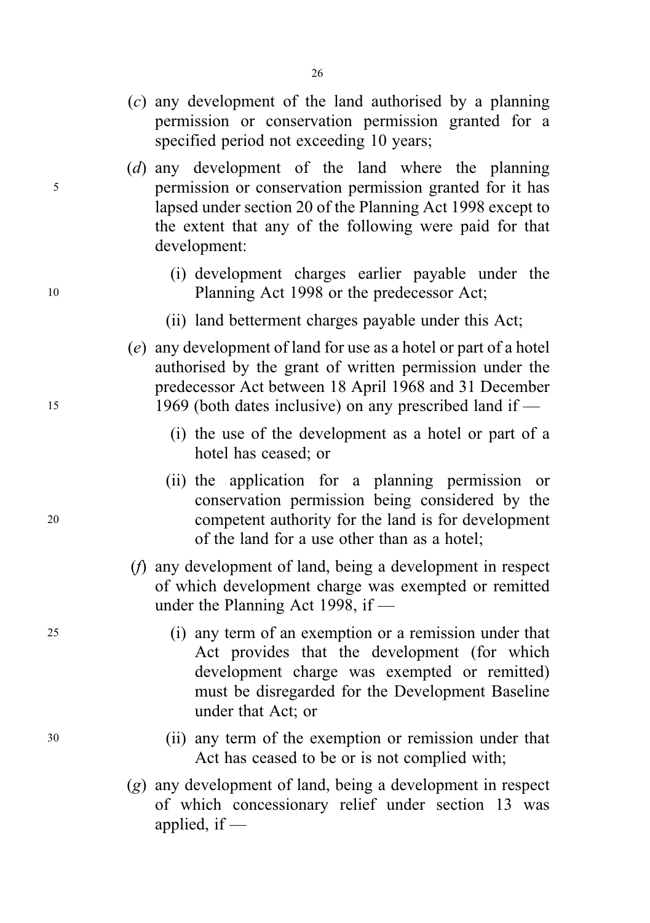- (c) any development of the land authorised by a planning permission or conservation permission granted for a specified period not exceeding 10 years;
- (d) any development of the land where the planning <sup>5</sup> permission or conservation permission granted for it has lapsed under section 20 of the Planning Act 1998 except to the extent that any of the following were paid for that development:
- (i) development charges earlier payable under the 10 Planning Act 1998 or the predecessor Act;
	- (ii) land betterment charges payable under this Act;
- (e) any development of land for use as a hotel or part of a hotel authorised by the grant of written permission under the predecessor Act between 18 April 1968 and 31 December <sup>15</sup> 1969 (both dates inclusive) on any prescribed land if —
	- (i) the use of the development as a hotel or part of a hotel has ceased; or
- (ii) the application for a planning permission or conservation permission being considered by the <sup>20</sup> competent authority for the land is for development of the land for a use other than as a hotel;
	- (f) any development of land, being a development in respect of which development charge was exempted or remitted under the Planning Act 1998, if —
- <sup>25</sup> (i) any term of an exemption or a remission under that Act provides that the development (for which development charge was exempted or remitted) must be disregarded for the Development Baseline under that Act; or
- <sup>30</sup> (ii) any term of the exemption or remission under that Act has ceased to be or is not complied with;
	- (g) any development of land, being a development in respect of which concessionary relief under section 13 was applied, if  $-$

26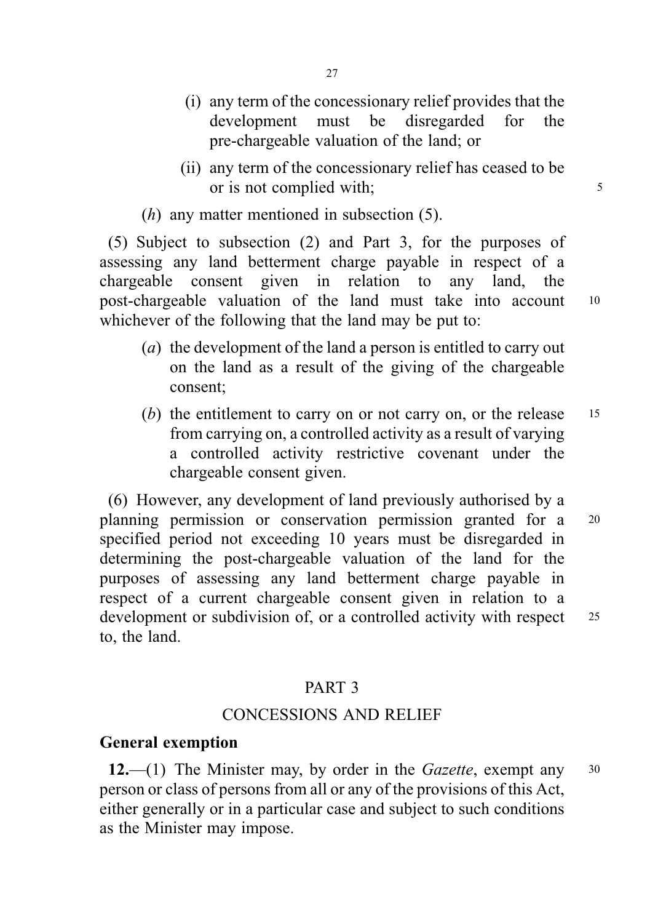- (i) any term of the concessionary relief provides that the development must be disregarded for the pre-chargeable valuation of the land; or
- (ii) any term of the concessionary relief has ceased to be or is not complied with;

 $(h)$  any matter mentioned in subsection  $(5)$ .

(5) Subject to subsection (2) and Part 3, for the purposes of assessing any land betterment charge payable in respect of a chargeable consent given in relation to any land, the post-chargeable valuation of the land must take into account <sup>10</sup> whichever of the following that the land may be put to:

- (a) the development of the land a person is entitled to carry out on the land as a result of the giving of the chargeable consent;
- (b) the entitlement to carry on or not carry on, or the release  $15$ from carrying on, a controlled activity as a result of varying a controlled activity restrictive covenant under the chargeable consent given.

(6) However, any development of land previously authorised by a planning permission or conservation permission granted for a <sup>20</sup> specified period not exceeding 10 years must be disregarded in determining the post-chargeable valuation of the land for the purposes of assessing any land betterment charge payable in respect of a current chargeable consent given in relation to a development or subdivision of, or a controlled activity with respect 25 to, the land.

### PART 3

# CONCESSIONS AND RELIEF

### General exemption

12.—(1) The Minister may, by order in the Gazette, exempt any  $30$ person or class of persons from all or any of the provisions of this Act, either generally or in a particular case and subject to such conditions as the Minister may impose.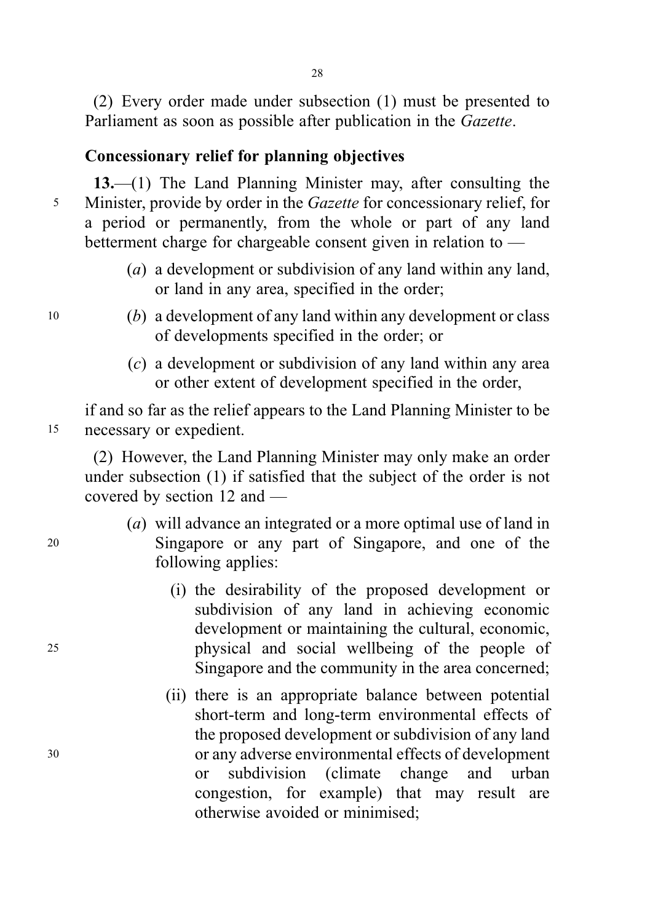(2) Every order made under subsection (1) must be presented to Parliament as soon as possible after publication in the Gazette.

# Concessionary relief for planning objectives

13.—(1) The Land Planning Minister may, after consulting the <sup>5</sup> Minister, provide by order in the Gazette for concessionary relief, for a period or permanently, from the whole or part of any land betterment charge for chargeable consent given in relation to —

- (a) a development or subdivision of any land within any land, or land in any area, specified in the order;
- <sup>10</sup> (b) a development of any land within any development or class of developments specified in the order; or
	- (c) a development or subdivision of any land within any area or other extent of development specified in the order,

if and so far as the relief appears to the Land Planning Minister to be <sup>15</sup> necessary or expedient.

(2) However, the Land Planning Minister may only make an order under subsection (1) if satisfied that the subject of the order is not covered by section 12 and —

- (a) will advance an integrated or a more optimal use of land in <sup>20</sup> Singapore or any part of Singapore, and one of the following applies:
- (i) the desirability of the proposed development or subdivision of any land in achieving economic development or maintaining the cultural, economic, <sup>25</sup> physical and social wellbeing of the people of Singapore and the community in the area concerned;
- (ii) there is an appropriate balance between potential short-term and long-term environmental effects of the proposed development or subdivision of any land <sup>30</sup> or any adverse environmental effects of development or subdivision (climate change and urban congestion, for example) that may result are otherwise avoided or minimised;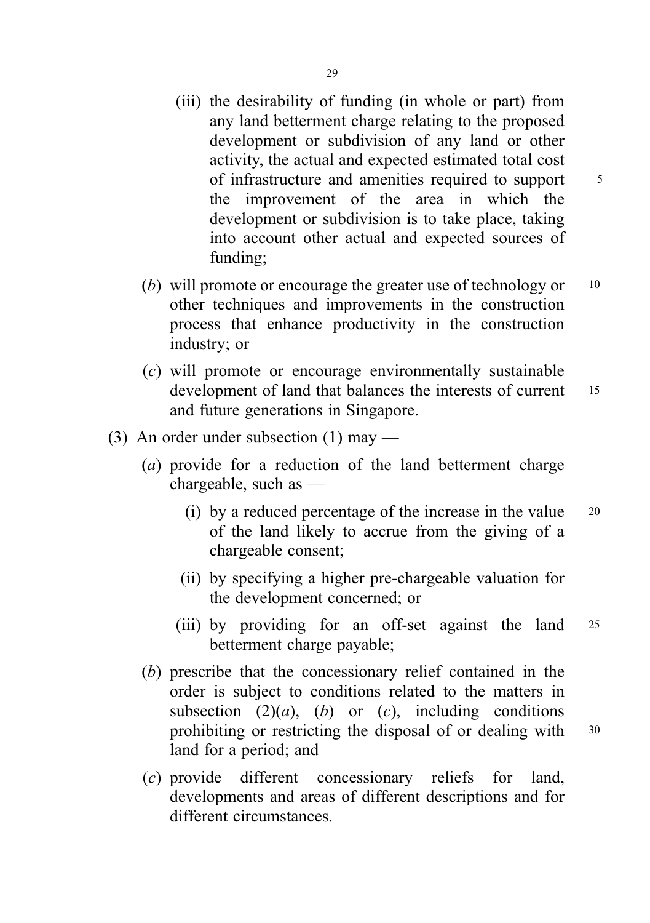- (iii) the desirability of funding (in whole or part) from any land betterment charge relating to the proposed development or subdivision of any land or other activity, the actual and expected estimated total cost of infrastructure and amenities required to support <sup>5</sup> the improvement of the area in which the development or subdivision is to take place, taking into account other actual and expected sources of funding;
- (b) will promote or encourage the greater use of technology or  $10$ other techniques and improvements in the construction process that enhance productivity in the construction industry; or
- (c) will promote or encourage environmentally sustainable development of land that balances the interests of current 15 and future generations in Singapore.
- (3) An order under subsection (1) may
	- (a) provide for a reduction of the land betterment charge chargeable, such as —
		- (i) by a reduced percentage of the increase in the value <sup>20</sup> of the land likely to accrue from the giving of a chargeable consent;
		- (ii) by specifying a higher pre-chargeable valuation for the development concerned; or
		- (iii) by providing for an off-set against the land <sup>25</sup> betterment charge payable;
	- (b) prescribe that the concessionary relief contained in the order is subject to conditions related to the matters in subsection  $(2)(a)$ ,  $(b)$  or  $(c)$ , including conditions prohibiting or restricting the disposal of or dealing with 30 land for a period; and
	- (c) provide different concessionary reliefs for land, developments and areas of different descriptions and for different circumstances.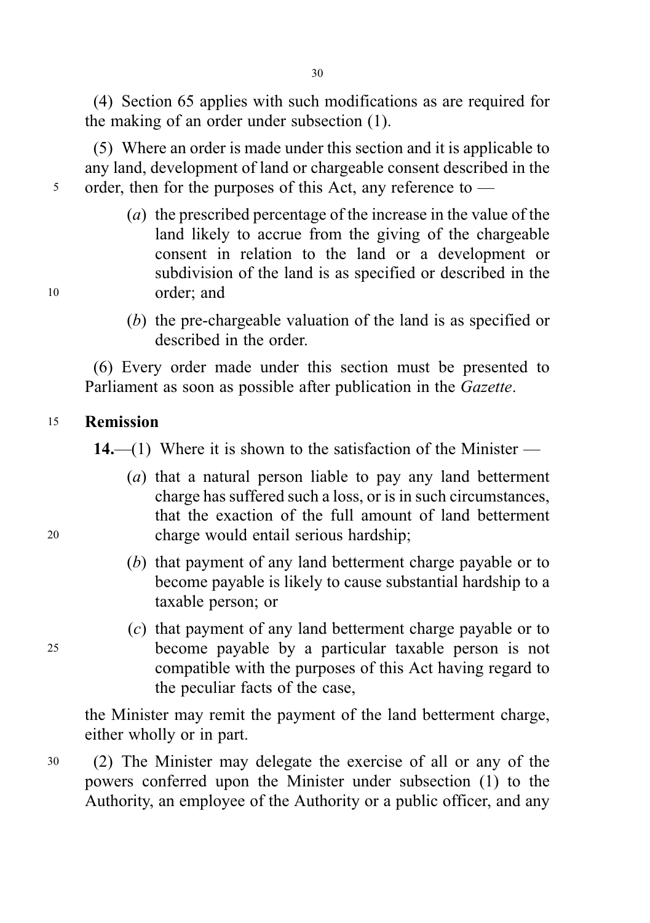(4) Section 65 applies with such modifications as are required for the making of an order under subsection (1).

(5) Where an order is made under this section and it is applicable to any land, development of land or chargeable consent described in the 5 order, then for the purposes of this Act, any reference to —

- (a) the prescribed percentage of the increase in the value of the land likely to accrue from the giving of the chargeable consent in relation to the land or a development or subdivision of the land is as specified or described in the <sup>10</sup> order; and
	- (b) the pre-chargeable valuation of the land is as specified or described in the order.

(6) Every order made under this section must be presented to Parliament as soon as possible after publication in the Gazette.

### <sup>15</sup> Remission

14.—(1) Where it is shown to the satisfaction of the Minister —

- (a) that a natural person liable to pay any land betterment charge has suffered such a loss, or is in such circumstances, that the exaction of the full amount of land betterment <sup>20</sup> charge would entail serious hardship;
	- (b) that payment of any land betterment charge payable or to become payable is likely to cause substantial hardship to a taxable person; or
- (c) that payment of any land betterment charge payable or to <sup>25</sup> become payable by a particular taxable person is not compatible with the purposes of this Act having regard to the peculiar facts of the case,

the Minister may remit the payment of the land betterment charge, either wholly or in part.

<sup>30</sup> (2) The Minister may delegate the exercise of all or any of the powers conferred upon the Minister under subsection (1) to the Authority, an employee of the Authority or a public officer, and any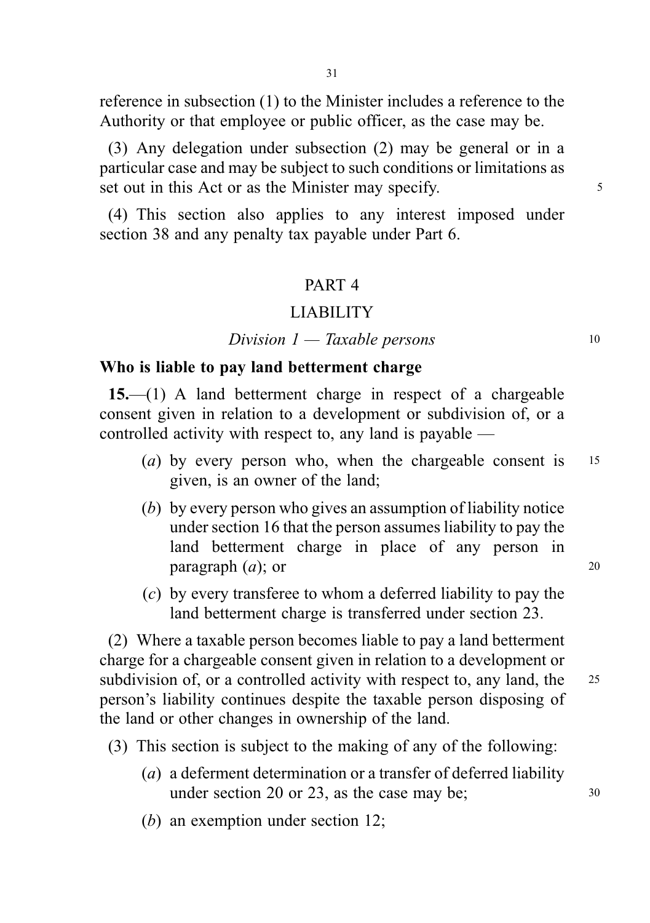reference in subsection (1) to the Minister includes a reference to the Authority or that employee or public officer, as the case may be.

(3) Any delegation under subsection (2) may be general or in a particular case and may be subject to such conditions or limitations as set out in this Act or as the Minister may specify.

(4) This section also applies to any interest imposed under section 38 and any penalty tax payable under Part 6.

### PART 4

### LIABILITY

#### $Division\ 1 - Taxable\ persons$  10

### Who is liable to pay land betterment charge

15.—(1) A land betterment charge in respect of a chargeable consent given in relation to a development or subdivision of, or a controlled activity with respect to, any land is payable —

- (a) by every person who, when the chargeable consent is  $15$ given, is an owner of the land;
- (b) by every person who gives an assumption of liability notice under section 16 that the person assumes liability to pay the land betterment charge in place of any person in  $\mathbf{p}$  paragraph  $(a)$ ; or 20
- (c) by every transferee to whom a deferred liability to pay the land betterment charge is transferred under section 23.

(2) Where a taxable person becomes liable to pay a land betterment charge for a chargeable consent given in relation to a development or subdivision of, or a controlled activity with respect to, any land, the 25 person's liability continues despite the taxable person disposing of the land or other changes in ownership of the land.

(3) This section is subject to the making of any of the following:

- (a) a deferment determination or a transfer of deferred liability under section 20 or 23, as the case may be;  $30 \text{ m}$
- (b) an exemption under section 12;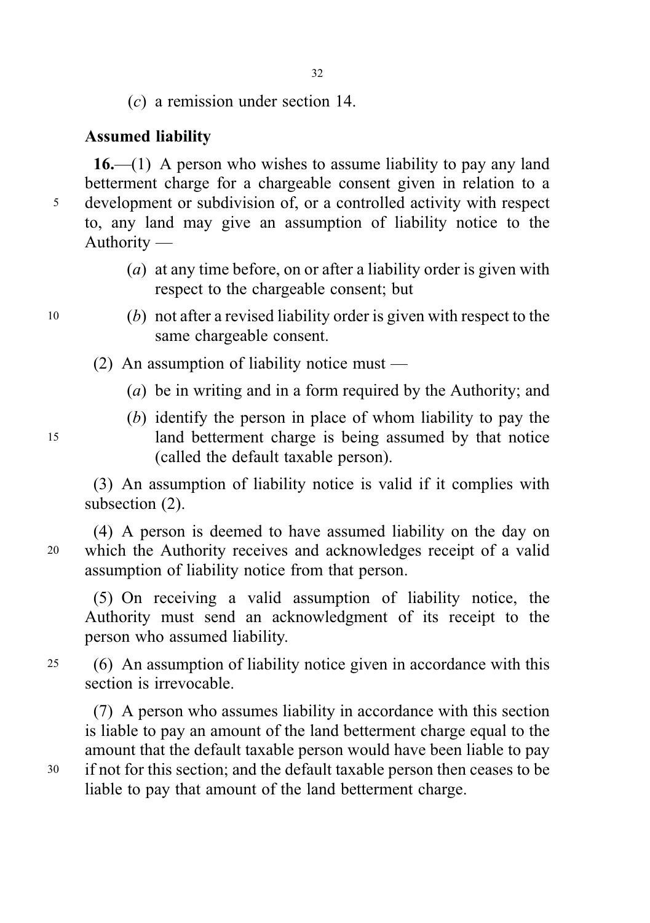(c) a remission under section 14.

# Assumed liability

 $16$ —(1) A person who wishes to assume liability to pay any land betterment charge for a chargeable consent given in relation to a <sup>5</sup> development or subdivision of, or a controlled activity with respect to, any land may give an assumption of liability notice to the Authority —

- (a) at any time before, on or after a liability order is given with respect to the chargeable consent; but
- <sup>10</sup> (b) not after a revised liability order is given with respect to the same chargeable consent.
	- (2) An assumption of liability notice must
		- (a) be in writing and in a form required by the Authority; and
- (b) identify the person in place of whom liability to pay the <sup>15</sup> land betterment charge is being assumed by that notice (called the default taxable person).

(3) An assumption of liability notice is valid if it complies with subsection (2).

(4) A person is deemed to have assumed liability on the day on <sup>20</sup> which the Authority receives and acknowledges receipt of a valid assumption of liability notice from that person.

(5) On receiving a valid assumption of liability notice, the Authority must send an acknowledgment of its receipt to the person who assumed liability.

<sup>25</sup> (6) An assumption of liability notice given in accordance with this section is irrevocable.

(7) A person who assumes liability in accordance with this section is liable to pay an amount of the land betterment charge equal to the amount that the default taxable person would have been liable to pay <sup>30</sup> if not for this section; and the default taxable person then ceases to be liable to pay that amount of the land betterment charge.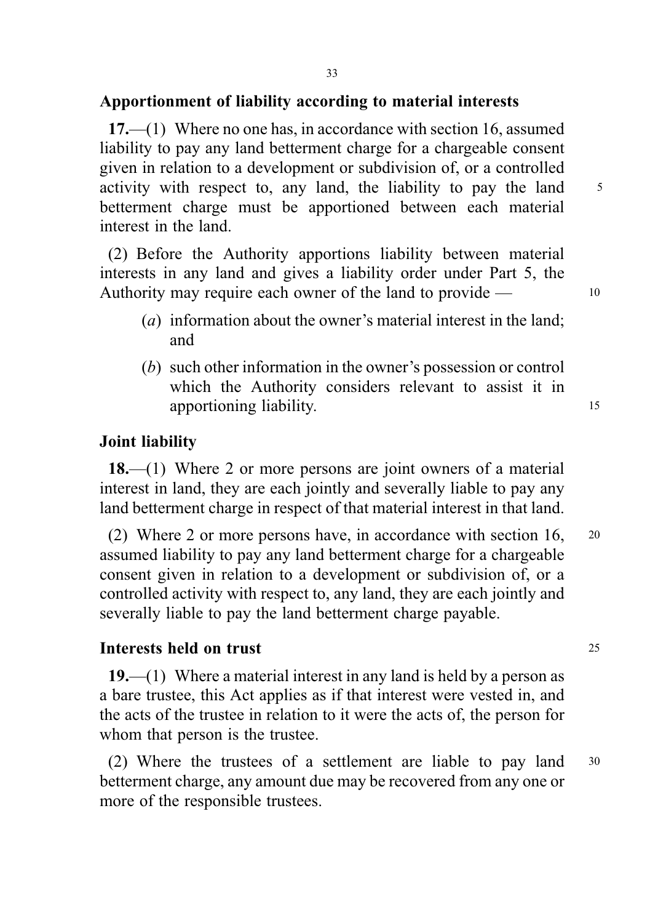# Apportionment of liability according to material interests

17.—(1) Where no one has, in accordance with section 16, assumed liability to pay any land betterment charge for a chargeable consent given in relation to a development or subdivision of, or a controlled activity with respect to, any land, the liability to pay the land 5 betterment charge must be apportioned between each material interest in the land.

(2) Before the Authority apportions liability between material interests in any land and gives a liability order under Part 5, the Authority may require each owner of the land to provide — 10

- (a) information about the owner's material interest in the land; and
- (b) such other information in the owner's possession or control which the Authority considers relevant to assist it in apportioning liability.

### Joint liability

18.—(1) Where 2 or more persons are joint owners of a material interest in land, they are each jointly and severally liable to pay any land betterment charge in respect of that material interest in that land.

(2) Where 2 or more persons have, in accordance with section 16, <sup>20</sup> assumed liability to pay any land betterment charge for a chargeable consent given in relation to a development or subdivision of, or a controlled activity with respect to, any land, they are each jointly and severally liable to pay the land betterment charge payable.

### Interests held on trust 25

19.—(1) Where a material interest in any land is held by a person as a bare trustee, this Act applies as if that interest were vested in, and the acts of the trustee in relation to it were the acts of, the person for whom that person is the trustee.

(2) Where the trustees of a settlement are liable to pay land <sup>30</sup> betterment charge, any amount due may be recovered from any one or more of the responsible trustees.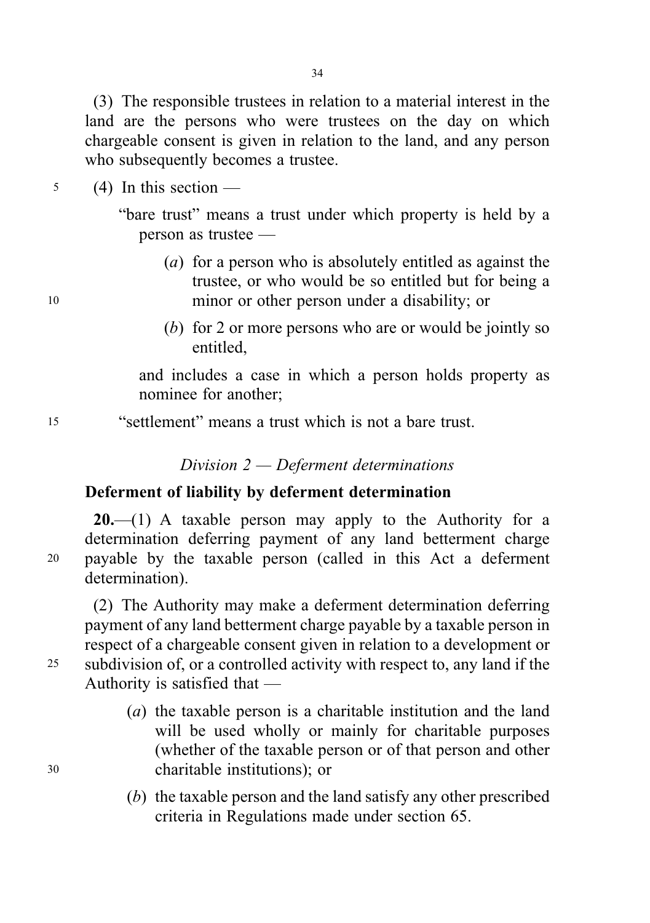(3) The responsible trustees in relation to a material interest in the land are the persons who were trustees on the day on which chargeable consent is given in relation to the land, and any person who subsequently becomes a trustee.

 $5$  (4) In this section —

"bare trust" means a trust under which property is held by a person as trustee —

- (a) for a person who is absolutely entitled as against the trustee, or who would be so entitled but for being a <sup>10</sup> minor or other person under a disability; or
	- (b) for 2 or more persons who are or would be jointly so entitled,

and includes a case in which a person holds property as nominee for another;

<sup>15</sup> "settlement" means a trust which is not a bare trust.

Division 2 — Deferment determinations

# Deferment of liability by deferment determination

**20.**—(1) A taxable person may apply to the Authority for a determination deferring payment of any land betterment charge <sup>20</sup> payable by the taxable person (called in this Act a deferment determination).

(2) The Authority may make a deferment determination deferring payment of any land betterment charge payable by a taxable person in respect of a chargeable consent given in relation to a development or <sup>25</sup> subdivision of, or a controlled activity with respect to, any land if the Authority is satisfied that —

- (a) the taxable person is a charitable institution and the land will be used wholly or mainly for charitable purposes (whether of the taxable person or of that person and other <sup>30</sup> charitable institutions); or
	- (b) the taxable person and the land satisfy any other prescribed criteria in Regulations made under section 65.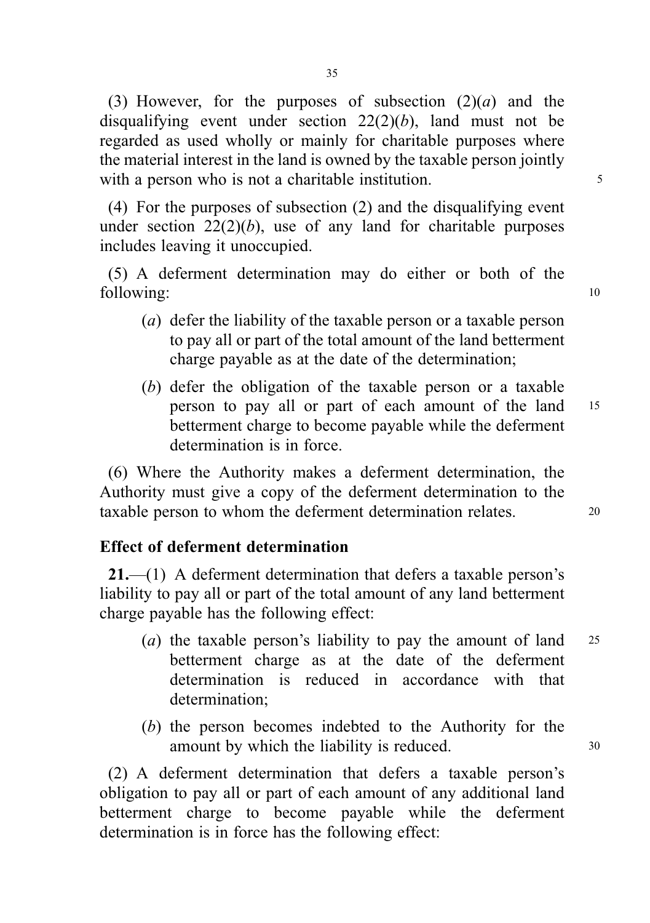(3) However, for the purposes of subsection  $(2)(a)$  and the disqualifying event under section  $22(2)(b)$ , land must not be regarded as used wholly or mainly for charitable purposes where the material interest in the land is owned by the taxable person jointly with a person who is not a charitable institution.

(4) For the purposes of subsection (2) and the disqualifying event under section  $22(2)(b)$ , use of any land for charitable purposes includes leaving it unoccupied.

(5) A deferment determination may do either or both of the following: 10

- (a) defer the liability of the taxable person or a taxable person to pay all or part of the total amount of the land betterment charge payable as at the date of the determination;
- (b) defer the obligation of the taxable person or a taxable person to pay all or part of each amount of the land <sup>15</sup> betterment charge to become payable while the deferment determination is in force.

(6) Where the Authority makes a deferment determination, the Authority must give a copy of the deferment determination to the taxable person to whom the deferment determination relates. 20

### Effect of deferment determination

21.—(1) A deferment determination that defers a taxable person's liability to pay all or part of the total amount of any land betterment charge payable has the following effect:

- (*a*) the taxable person's liability to pay the amount of land  $25$ betterment charge as at the date of the deferment determination is reduced in accordance with that determination;
- (b) the person becomes indebted to the Authority for the amount by which the liability is reduced.  $30$

(2) A deferment determination that defers a taxable person's obligation to pay all or part of each amount of any additional land betterment charge to become payable while the deferment determination is in force has the following effect: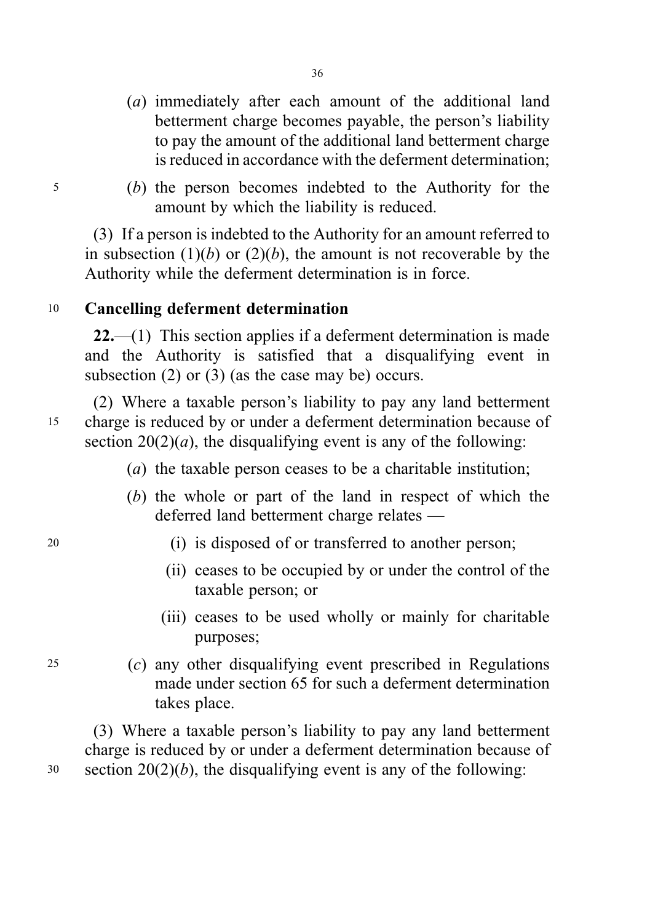- (a) immediately after each amount of the additional land betterment charge becomes payable, the person's liability to pay the amount of the additional land betterment charge is reduced in accordance with the deferment determination;
- <sup>5</sup> (b) the person becomes indebted to the Authority for the amount by which the liability is reduced.

(3) If a person is indebted to the Authority for an amount referred to in subsection  $(1)(b)$  or  $(2)(b)$ , the amount is not recoverable by the Authority while the deferment determination is in force.

# <sup>10</sup> Cancelling deferment determination

22.—(1) This section applies if a deferment determination is made and the Authority is satisfied that a disqualifying event in subsection (2) or (3) (as the case may be) occurs.

(2) Where a taxable person's liability to pay any land betterment <sup>15</sup> charge is reduced by or under a deferment determination because of section  $20(2)(a)$ , the disqualifying event is any of the following:

- (a) the taxable person ceases to be a charitable institution;
- (b) the whole or part of the land in respect of which the deferred land betterment charge relates —
- <sup>20</sup> (i) is disposed of or transferred to another person;
	- (ii) ceases to be occupied by or under the control of the taxable person; or
	- (iii) ceases to be used wholly or mainly for charitable purposes;
- <sup>25</sup> (c) any other disqualifying event prescribed in Regulations made under section 65 for such a deferment determination takes place.

(3) Where a taxable person's liability to pay any land betterment charge is reduced by or under a deferment determination because of  $30$  section  $20(2)(b)$ , the disqualifying event is any of the following: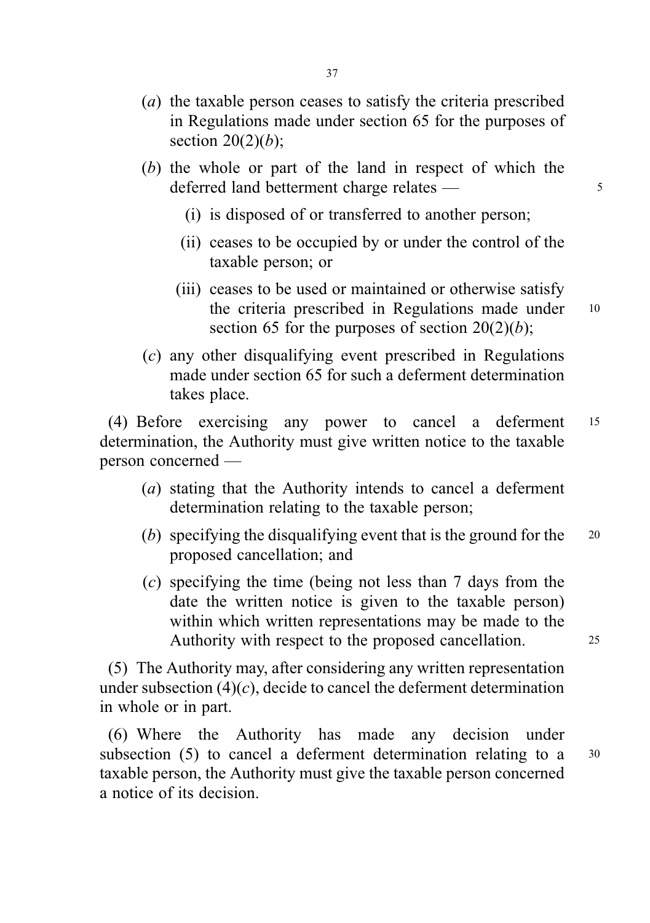- (a) the taxable person ceases to satisfy the criteria prescribed in Regulations made under section 65 for the purposes of section  $20(2)(b)$ ;
- (b) the whole or part of the land in respect of which the deferred land betterment charge relates — 5
	- (i) is disposed of or transferred to another person;
	- (ii) ceases to be occupied by or under the control of the taxable person; or
	- (iii) ceases to be used or maintained or otherwise satisfy the criteria prescribed in Regulations made under 10 section 65 for the purposes of section  $20(2)(b)$ ;
- (c) any other disqualifying event prescribed in Regulations made under section 65 for such a deferment determination takes place.

(4) Before exercising any power to cancel a deferment <sup>15</sup> determination, the Authority must give written notice to the taxable person concerned —

- (a) stating that the Authority intends to cancel a deferment determination relating to the taxable person;
- (b) specifying the disqualifying event that is the ground for the  $20$ proposed cancellation; and
- (c) specifying the time (being not less than 7 days from the date the written notice is given to the taxable person) within which written representations may be made to the Authority with respect to the proposed cancellation. 25

(5) The Authority may, after considering any written representation under subsection  $(4)(c)$ , decide to cancel the deferment determination in whole or in part.

(6) Where the Authority has made any decision under subsection (5) to cancel a deferment determination relating to a <sup>30</sup> taxable person, the Authority must give the taxable person concerned a notice of its decision.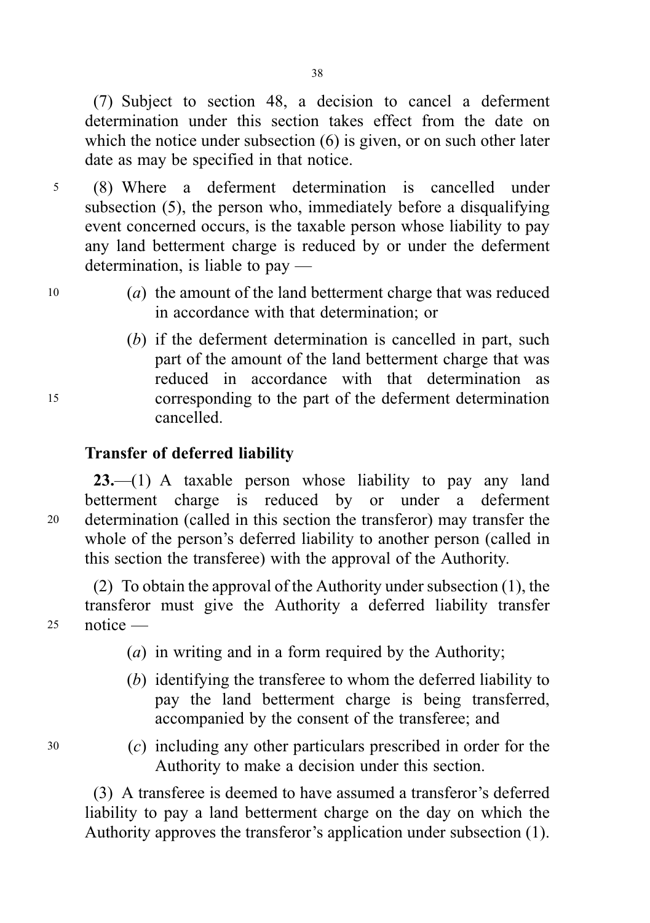(7) Subject to section 48, a decision to cancel a deferment determination under this section takes effect from the date on which the notice under subsection (6) is given, or on such other later date as may be specified in that notice.

- <sup>5</sup> (8) Where a deferment determination is cancelled under subsection (5), the person who, immediately before a disqualifying event concerned occurs, is the taxable person whose liability to pay any land betterment charge is reduced by or under the deferment determination, is liable to pay —
- <sup>10</sup> (a) the amount of the land betterment charge that was reduced in accordance with that determination; or
- (b) if the deferment determination is cancelled in part, such part of the amount of the land betterment charge that was reduced in accordance with that determination as <sup>15</sup> corresponding to the part of the deferment determination cancelled.

# Transfer of deferred liability

 $23$ —(1) A taxable person whose liability to pay any land betterment charge is reduced by or under a deferment <sup>20</sup> determination (called in this section the transferor) may transfer the whole of the person's deferred liability to another person (called in this section the transferee) with the approval of the Authority.

(2) To obtain the approval of the Authority under subsection (1), the transferor must give the Authority a deferred liability transfer <sup>25</sup> notice —

- (a) in writing and in a form required by the Authority;
- (b) identifying the transferee to whom the deferred liability to pay the land betterment charge is being transferred, accompanied by the consent of the transferee; and
- <sup>30</sup> (c) including any other particulars prescribed in order for the Authority to make a decision under this section.

(3) A transferee is deemed to have assumed a transferor's deferred liability to pay a land betterment charge on the day on which the Authority approves the transferor's application under subsection (1).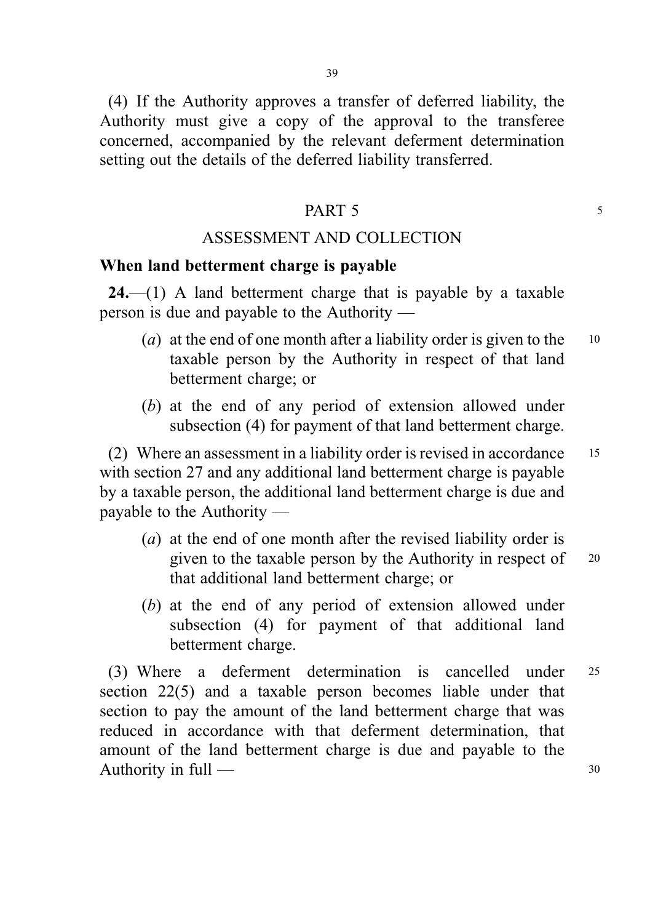(4) If the Authority approves a transfer of deferred liability, the Authority must give a copy of the approval to the transferee concerned, accompanied by the relevant deferment determination setting out the details of the deferred liability transferred.

#### PART 5

#### ASSESSMENT AND COLLECTION

#### When land betterment charge is payable

 $24.$ —(1) A land betterment charge that is payable by a taxable person is due and payable to the Authority —

- (*a*) at the end of one month after a liability order is given to the  $10$ taxable person by the Authority in respect of that land betterment charge; or
- (b) at the end of any period of extension allowed under subsection (4) for payment of that land betterment charge.

(2) Where an assessment in a liability order is revised in accordance <sup>15</sup> with section 27 and any additional land betterment charge is payable by a taxable person, the additional land betterment charge is due and payable to the Authority —

- (a) at the end of one month after the revised liability order is given to the taxable person by the Authority in respect of 20 that additional land betterment charge; or
- (b) at the end of any period of extension allowed under subsection (4) for payment of that additional land betterment charge.

(3) Where a deferment determination is cancelled under <sup>25</sup> section 22(5) and a taxable person becomes liable under that section to pay the amount of the land betterment charge that was reduced in accordance with that deferment determination, that amount of the land betterment charge is due and payable to the Authority in full — 30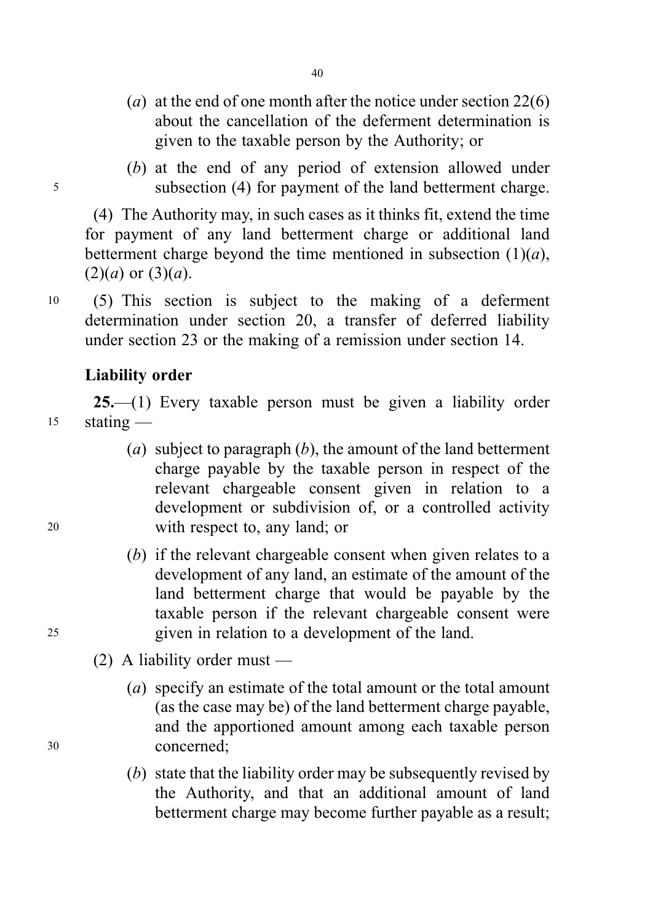- (a) at the end of one month after the notice under section  $22(6)$ about the cancellation of the deferment determination is given to the taxable person by the Authority; or
- (b) at the end of any period of extension allowed under <sup>5</sup> subsection (4) for payment of the land betterment charge.

(4) The Authority may, in such cases as it thinks fit, extend the time for payment of any land betterment charge or additional land betterment charge beyond the time mentioned in subsection  $(1)(a)$ ,  $(2)(a)$  or  $(3)(a)$ .

<sup>10</sup> (5) This section is subject to the making of a deferment determination under section 20, a transfer of deferred liability under section 23 or the making of a remission under section 14.

# Liability order

25.—(1) Every taxable person must be given a liability order <sup>15</sup> stating —

- (a) subject to paragraph  $(b)$ , the amount of the land betterment charge payable by the taxable person in respect of the relevant chargeable consent given in relation to a development or subdivision of, or a controlled activity <sup>20</sup> with respect to, any land; or
- (b) if the relevant chargeable consent when given relates to a development of any land, an estimate of the amount of the land betterment charge that would be payable by the taxable person if the relevant chargeable consent were <sup>25</sup> given in relation to a development of the land.
	- (2) A liability order must —
- (a) specify an estimate of the total amount or the total amount (as the case may be) of the land betterment charge payable, and the apportioned amount among each taxable person <sup>30</sup> concerned;
	- (b) state that the liability order may be subsequently revised by the Authority, and that an additional amount of land betterment charge may become further payable as a result;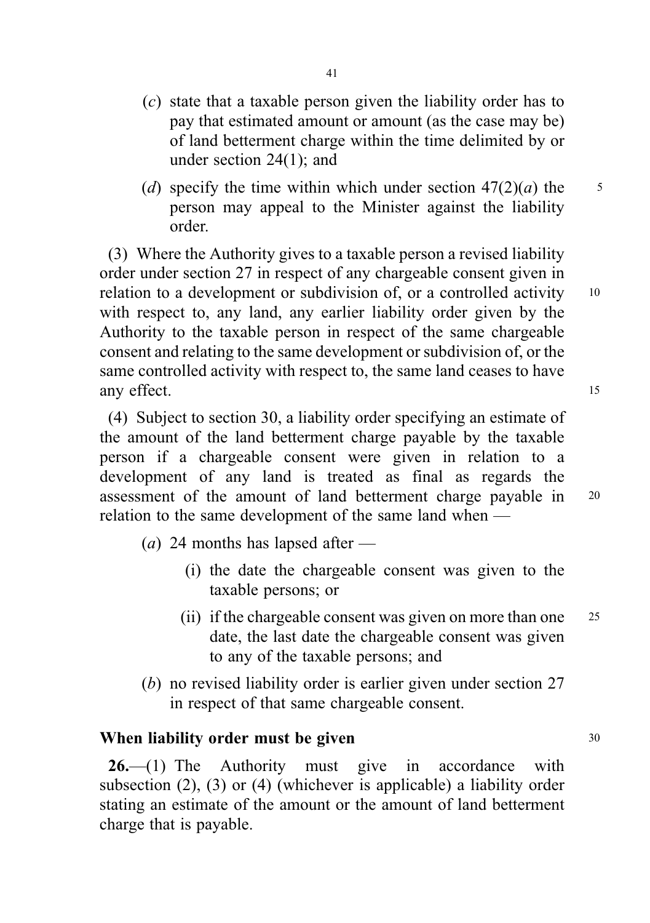- (c) state that a taxable person given the liability order has to pay that estimated amount or amount (as the case may be) of land betterment charge within the time delimited by or under section 24(1); and
- (d) specify the time within which under section  $47(2)(a)$  the 5 person may appeal to the Minister against the liability order.

(3) Where the Authority gives to a taxable person a revised liability order under section 27 in respect of any chargeable consent given in relation to a development or subdivision of, or a controlled activity 10 with respect to, any land, any earlier liability order given by the Authority to the taxable person in respect of the same chargeable consent and relating to the same development or subdivision of, or the same controlled activity with respect to, the same land ceases to have any effect. 15

(4) Subject to section 30, a liability order specifying an estimate of the amount of the land betterment charge payable by the taxable person if a chargeable consent were given in relation to a development of any land is treated as final as regards the assessment of the amount of land betterment charge payable in <sup>20</sup> relation to the same development of the same land when —

(*a*) 24 months has lapsed after  $-$ 

- (i) the date the chargeable consent was given to the taxable persons; or
- (ii) if the chargeable consent was given on more than one <sup>25</sup> date, the last date the chargeable consent was given to any of the taxable persons; and
- (b) no revised liability order is earlier given under section 27 in respect of that same chargeable consent.

## When liability order must be given  $30$

 $26$ —(1) The Authority must give in accordance with subsection (2), (3) or (4) (whichever is applicable) a liability order stating an estimate of the amount or the amount of land betterment charge that is payable.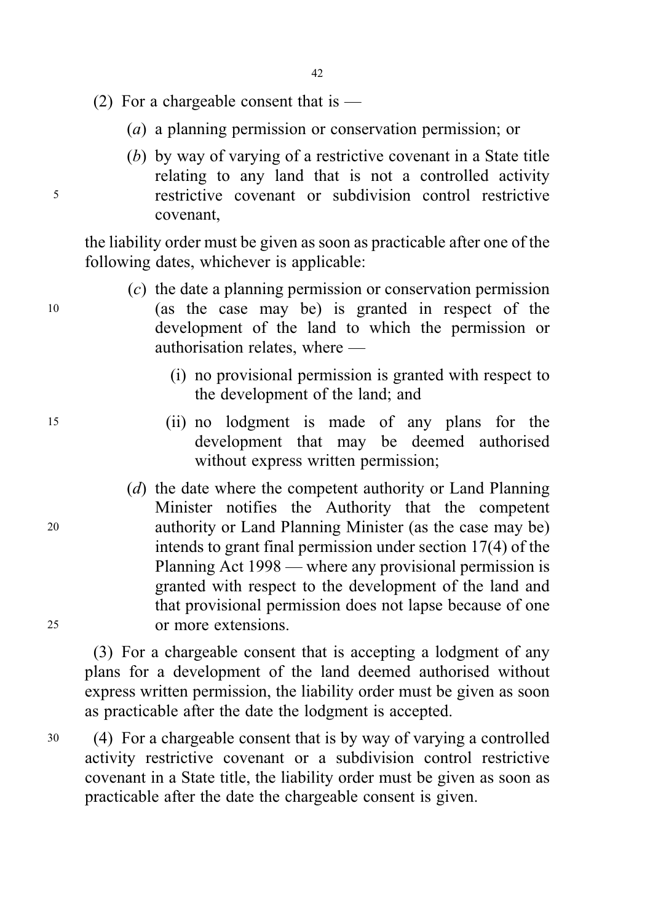- (2) For a chargeable consent that is  $-$ 
	- (a) a planning permission or conservation permission; or
- (b) by way of varying of a restrictive covenant in a State title relating to any land that is not a controlled activity <sup>5</sup> restrictive covenant or subdivision control restrictive covenant,

the liability order must be given as soon as practicable after one of the following dates, whichever is applicable:

- (c) the date a planning permission or conservation permission <sup>10</sup> (as the case may be) is granted in respect of the development of the land to which the permission or authorisation relates, where —
	- (i) no provisional permission is granted with respect to the development of the land; and
- <sup>15</sup> (ii) no lodgment is made of any plans for the development that may be deemed authorised without express written permission;
- (d) the date where the competent authority or Land Planning Minister notifies the Authority that the competent <sup>20</sup> authority or Land Planning Minister (as the case may be) intends to grant final permission under section 17(4) of the Planning Act 1998 — where any provisional permission is granted with respect to the development of the land and that provisional permission does not lapse because of one <sup>25</sup> or more extensions.

(3) For a chargeable consent that is accepting a lodgment of any plans for a development of the land deemed authorised without express written permission, the liability order must be given as soon as practicable after the date the lodgment is accepted.

<sup>30</sup> (4) For a chargeable consent that is by way of varying a controlled activity restrictive covenant or a subdivision control restrictive covenant in a State title, the liability order must be given as soon as practicable after the date the chargeable consent is given.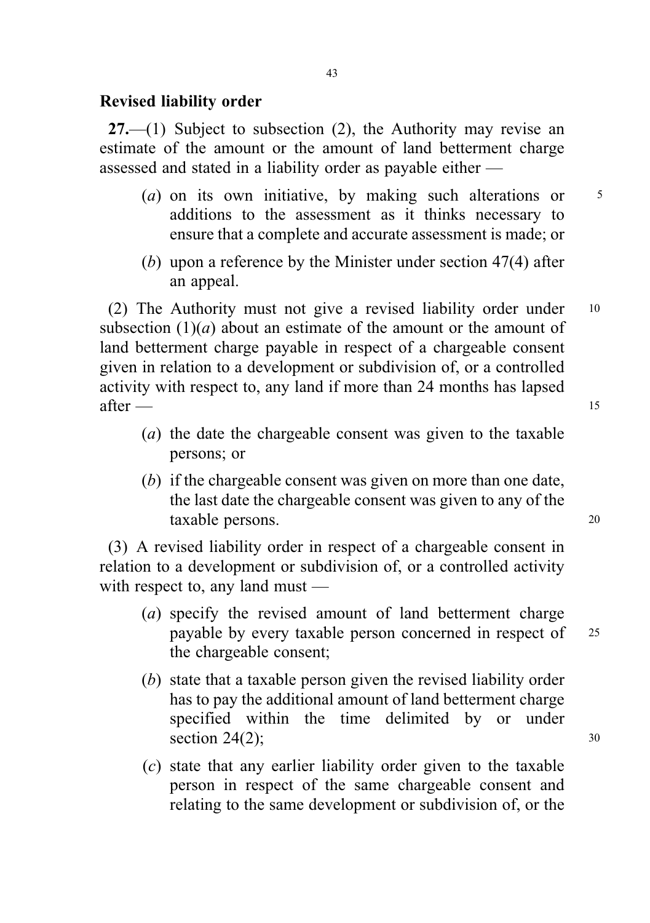#### Revised liability order

 $27.$ —(1) Subject to subsection (2), the Authority may revise an estimate of the amount or the amount of land betterment charge assessed and stated in a liability order as payable either —

- (a) on its own initiative, by making such alterations or  $5$ additions to the assessment as it thinks necessary to ensure that a complete and accurate assessment is made; or
- (b) upon a reference by the Minister under section 47(4) after an appeal.

(2) The Authority must not give a revised liability order under <sup>10</sup> subsection  $(1)(a)$  about an estimate of the amount or the amount of land betterment charge payable in respect of a chargeable consent given in relation to a development or subdivision of, or a controlled activity with respect to, any land if more than 24 months has lapsed  $\text{after}$  15

- (a) the date the chargeable consent was given to the taxable persons; or
- (b) if the chargeable consent was given on more than one date, the last date the chargeable consent was given to any of the taxable persons. <sup>20</sup>

(3) A revised liability order in respect of a chargeable consent in relation to a development or subdivision of, or a controlled activity with respect to, any land must —

- (a) specify the revised amount of land betterment charge payable by every taxable person concerned in respect of <sup>25</sup> the chargeable consent;
- (b) state that a taxable person given the revised liability order has to pay the additional amount of land betterment charge specified within the time delimited by or under section  $24(2)$ ;  $30$
- (c) state that any earlier liability order given to the taxable person in respect of the same chargeable consent and relating to the same development or subdivision of, or the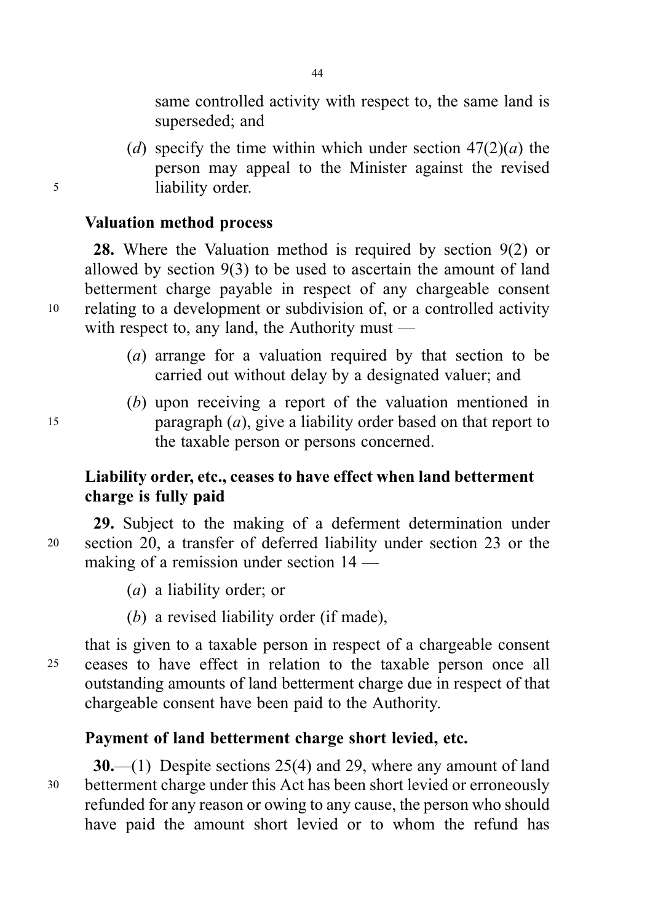same controlled activity with respect to, the same land is superseded; and

(d) specify the time within which under section  $47(2)(a)$  the person may appeal to the Minister against the revised <sup>5</sup> liability order.

# Valuation method process

28. Where the Valuation method is required by section 9(2) or allowed by section 9(3) to be used to ascertain the amount of land betterment charge payable in respect of any chargeable consent <sup>10</sup> relating to a development or subdivision of, or a controlled activity with respect to, any land, the Authority must —

- (a) arrange for a valuation required by that section to be carried out without delay by a designated valuer; and
- (b) upon receiving a report of the valuation mentioned in 15 paragraph  $(a)$ , give a liability order based on that report to the taxable person or persons concerned.

# Liability order, etc., ceases to have effect when land betterment charge is fully paid

29. Subject to the making of a deferment determination under <sup>20</sup> section 20, a transfer of deferred liability under section 23 or the making of a remission under section 14 —

- (a) a liability order; or
- (b) a revised liability order (if made),

that is given to a taxable person in respect of a chargeable consent <sup>25</sup> ceases to have effect in relation to the taxable person once all outstanding amounts of land betterment charge due in respect of that chargeable consent have been paid to the Authority.

## Payment of land betterment charge short levied, etc.

30.—(1) Despite sections 25(4) and 29, where any amount of land <sup>30</sup> betterment charge under this Act has been short levied or erroneously refunded for any reason or owing to any cause, the person who should have paid the amount short levied or to whom the refund has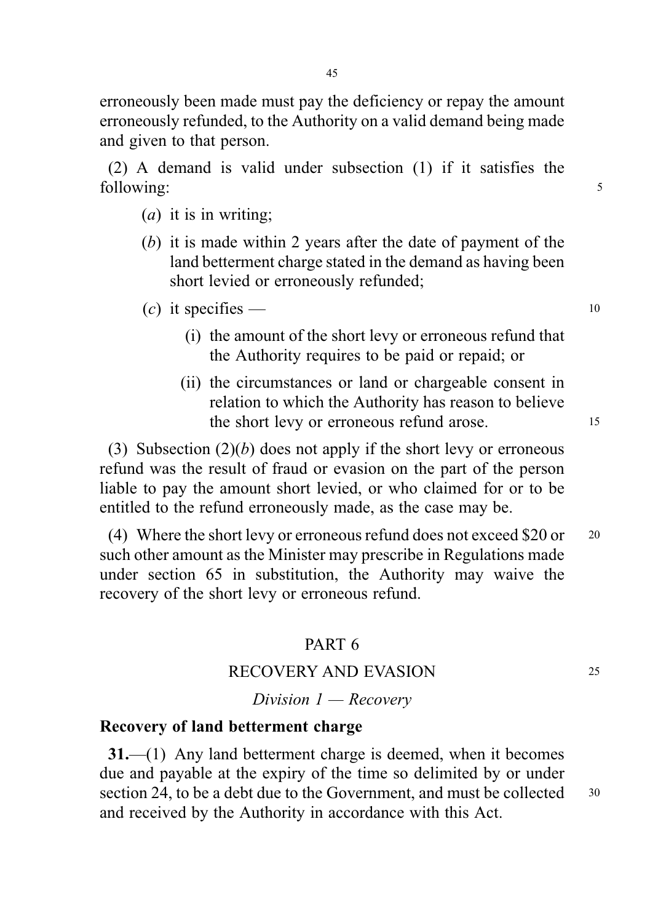erroneously been made must pay the deficiency or repay the amount erroneously refunded, to the Authority on a valid demand being made and given to that person.

(2) A demand is valid under subsection (1) if it satisfies the following:  $\frac{5}{5}$ 

- $(a)$  it is in writing;
- (b) it is made within 2 years after the date of payment of the land betterment charge stated in the demand as having been short levied or erroneously refunded;

 $(c)$  it specifies — 10

- (i) the amount of the short levy or erroneous refund that the Authority requires to be paid or repaid; or
- (ii) the circumstances or land or chargeable consent in relation to which the Authority has reason to believe the short levy or erroneous refund arose. 15

(3) Subsection  $(2)(b)$  does not apply if the short levy or erroneous refund was the result of fraud or evasion on the part of the person liable to pay the amount short levied, or who claimed for or to be entitled to the refund erroneously made, as the case may be.

(4) Where the short levy or erroneous refund does not exceed \$20 or <sup>20</sup> such other amount as the Minister may prescribe in Regulations made under section 65 in substitution, the Authority may waive the recovery of the short levy or erroneous refund.

# PART 6

### RECOVERY AND EVASION 25

Division  $1 -$  Recovery

# Recovery of land betterment charge

31.—(1) Any land betterment charge is deemed, when it becomes due and payable at the expiry of the time so delimited by or under section 24, to be a debt due to the Government, and must be collected 30 and received by the Authority in accordance with this Act.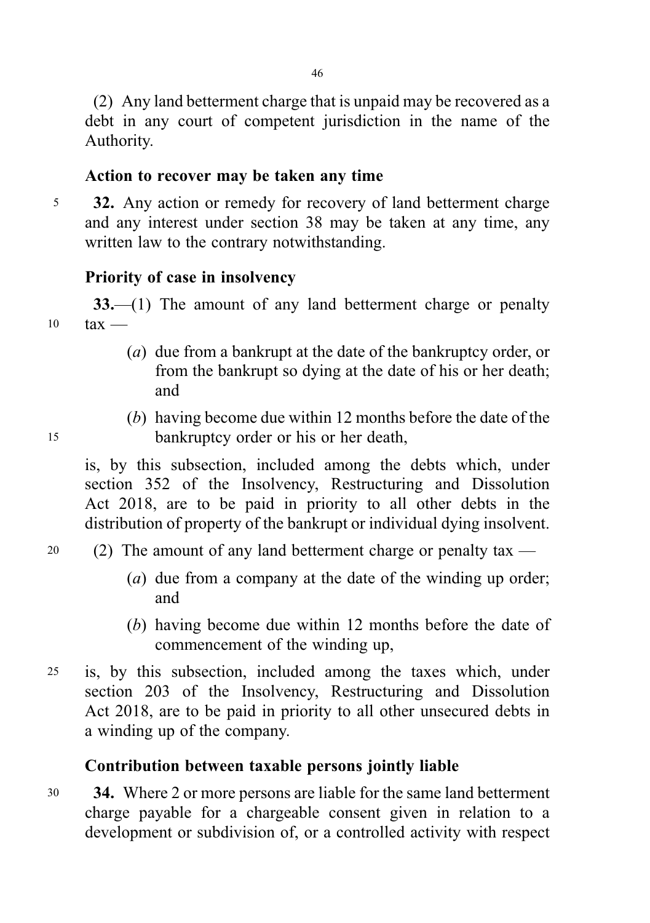(2) Any land betterment charge that is unpaid may be recovered as a debt in any court of competent jurisdiction in the name of the Authority.

# Action to recover may be taken any time

5 32. Any action or remedy for recovery of land betterment charge and any interest under section 38 may be taken at any time, any written law to the contrary notwithstanding.

# Priority of case in insolvency

33.—(1) The amount of any land betterment charge or penalty  $10$  tax —

- (a) due from a bankrupt at the date of the bankruptcy order, or from the bankrupt so dying at the date of his or her death; and
- (b) having become due within 12 months before the date of the <sup>15</sup> bankruptcy order or his or her death,

is, by this subsection, included among the debts which, under section 352 of the Insolvency, Restructuring and Dissolution Act 2018, are to be paid in priority to all other debts in the distribution of property of the bankrupt or individual dying insolvent.

- 20 (2) The amount of any land betterment charge or penalty tax  $-$ 
	- (a) due from a company at the date of the winding up order; and
	- (b) having become due within 12 months before the date of commencement of the winding up,
- <sup>25</sup> is, by this subsection, included among the taxes which, under section 203 of the Insolvency, Restructuring and Dissolution Act 2018, are to be paid in priority to all other unsecured debts in a winding up of the company.

# Contribution between taxable persons jointly liable

<sup>30</sup> 34. Where 2 or more persons are liable for the same land betterment charge payable for a chargeable consent given in relation to a development or subdivision of, or a controlled activity with respect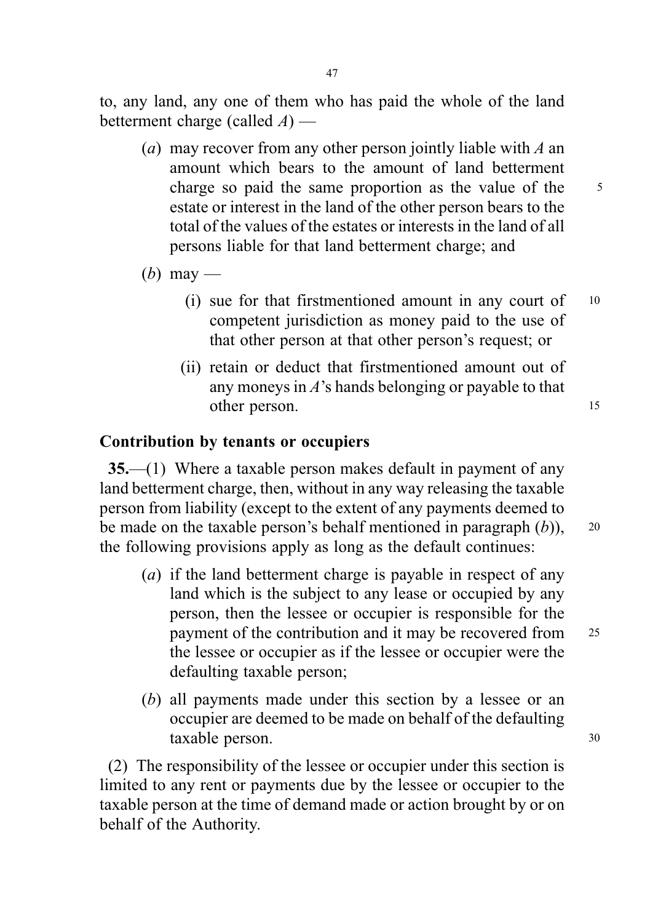to, any land, any one of them who has paid the whole of the land betterment charge (called  $A$ ) —

- (a) may recover from any other person jointly liable with  $A$  an amount which bears to the amount of land betterment charge so paid the same proportion as the value of the 5 estate or interest in the land of the other person bears to the total of the values of the estates or interests in the land of all persons liable for that land betterment charge; and
- (b) may
	- (i) sue for that firstmentioned amount in any court of <sup>10</sup> competent jurisdiction as money paid to the use of that other person at that other person's request; or
	- (ii) retain or deduct that firstmentioned amount out of any moneys in A's hands belonging or payable to that other person. 15

# Contribution by tenants or occupiers

35.—(1) Where a taxable person makes default in payment of any land betterment charge, then, without in any way releasing the taxable person from liability (except to the extent of any payments deemed to be made on the taxable person's behalf mentioned in paragraph  $(b)$ ), 20 the following provisions apply as long as the default continues:

- (a) if the land betterment charge is payable in respect of any land which is the subject to any lease or occupied by any person, then the lessee or occupier is responsible for the payment of the contribution and it may be recovered from <sup>25</sup> the lessee or occupier as if the lessee or occupier were the defaulting taxable person;
- (b) all payments made under this section by a lessee or an occupier are deemed to be made on behalf of the defaulting taxable person. 30

(2) The responsibility of the lessee or occupier under this section is limited to any rent or payments due by the lessee or occupier to the taxable person at the time of demand made or action brought by or on behalf of the Authority.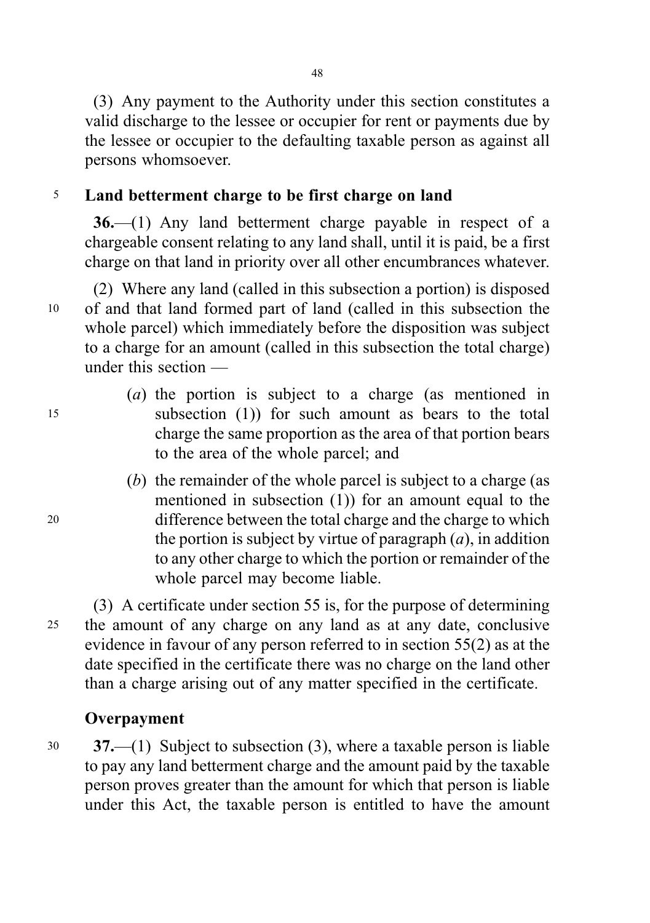(3) Any payment to the Authority under this section constitutes a valid discharge to the lessee or occupier for rent or payments due by the lessee or occupier to the defaulting taxable person as against all persons whomsoever.

# <sup>5</sup> Land betterment charge to be first charge on land

36.—(1) Any land betterment charge payable in respect of a chargeable consent relating to any land shall, until it is paid, be a first charge on that land in priority over all other encumbrances whatever.

(2) Where any land (called in this subsection a portion) is disposed <sup>10</sup> of and that land formed part of land (called in this subsection the whole parcel) which immediately before the disposition was subject to a charge for an amount (called in this subsection the total charge) under this section —

- (a) the portion is subject to a charge (as mentioned in <sup>15</sup> subsection (1)) for such amount as bears to the total charge the same proportion as the area of that portion bears to the area of the whole parcel; and
- (b) the remainder of the whole parcel is subject to a charge (as mentioned in subsection (1)) for an amount equal to the <sup>20</sup> difference between the total charge and the charge to which the portion is subject by virtue of paragraph  $(a)$ , in addition to any other charge to which the portion or remainder of the whole parcel may become liable.

(3) A certificate under section 55 is, for the purpose of determining <sup>25</sup> the amount of any charge on any land as at any date, conclusive evidence in favour of any person referred to in section 55(2) as at the date specified in the certificate there was no charge on the land other than a charge arising out of any matter specified in the certificate.

# **Overpayment**

<sup>30</sup> 37.—(1) Subject to subsection (3), where a taxable person is liable to pay any land betterment charge and the amount paid by the taxable person proves greater than the amount for which that person is liable under this Act, the taxable person is entitled to have the amount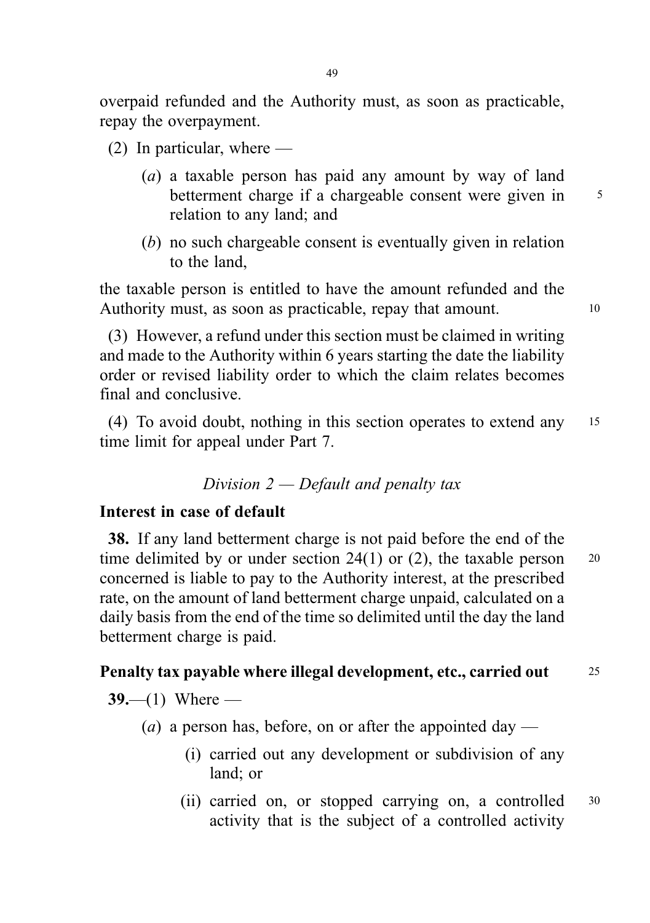overpaid refunded and the Authority must, as soon as practicable, repay the overpayment.

- (2) In particular, where
	- (a) a taxable person has paid any amount by way of land betterment charge if a chargeable consent were given in 5 relation to any land; and
	- (b) no such chargeable consent is eventually given in relation to the land,

the taxable person is entitled to have the amount refunded and the Authority must, as soon as practicable, repay that amount.

(3) However, a refund under this section must be claimed in writing and made to the Authority within 6 years starting the date the liability order or revised liability order to which the claim relates becomes final and conclusive.

(4) To avoid doubt, nothing in this section operates to extend any <sup>15</sup> time limit for appeal under Part 7.

## Division  $2$  — Default and penalty tax

## Interest in case of default

38. If any land betterment charge is not paid before the end of the time delimited by or under section  $24(1)$  or (2), the taxable person  $20$ concerned is liable to pay to the Authority interest, at the prescribed rate, on the amount of land betterment charge unpaid, calculated on a daily basis from the end of the time so delimited until the day the land betterment charge is paid.

## Penalty tax payable where illegal development, etc., carried out <sup>25</sup>

 $39 - (1)$  Where —

- (*a*) a person has, before, on or after the appointed day
	- (i) carried out any development or subdivision of any land; or
	- (ii) carried on, or stopped carrying on, a controlled <sup>30</sup> activity that is the subject of a controlled activity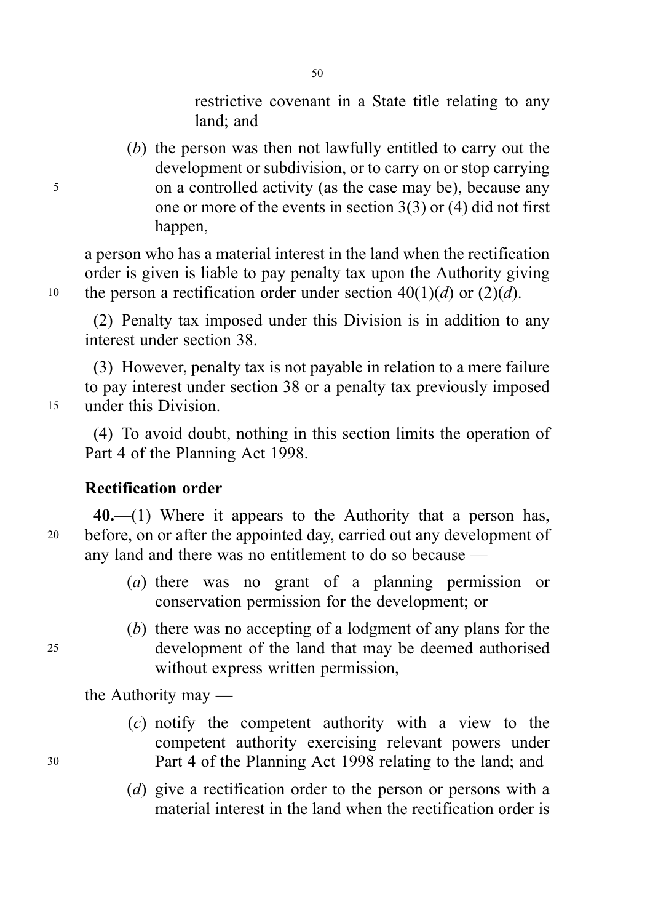restrictive covenant in a State title relating to any land; and

(b) the person was then not lawfully entitled to carry out the development or subdivision, or to carry on or stop carrying <sup>5</sup> on a controlled activity (as the case may be), because any one or more of the events in section 3(3) or (4) did not first happen,

a person who has a material interest in the land when the rectification order is given is liable to pay penalty tax upon the Authority giving 10 the person a rectification order under section  $40(1)(d)$  or  $(2)(d)$ .

(2) Penalty tax imposed under this Division is in addition to any interest under section 38.

(3) However, penalty tax is not payable in relation to a mere failure to pay interest under section 38 or a penalty tax previously imposed <sup>15</sup> under this Division.

(4) To avoid doubt, nothing in this section limits the operation of Part 4 of the Planning Act 1998.

# Rectification order

40.—(1) Where it appears to the Authority that a person has, <sup>20</sup> before, on or after the appointed day, carried out any development of any land and there was no entitlement to do so because —

- (a) there was no grant of a planning permission or conservation permission for the development; or
- (b) there was no accepting of a lodgment of any plans for the <sup>25</sup> development of the land that may be deemed authorised without express written permission,

the Authority may —

- (c) notify the competent authority with a view to the competent authority exercising relevant powers under <sup>30</sup> Part 4 of the Planning Act 1998 relating to the land; and
	- (d) give a rectification order to the person or persons with a material interest in the land when the rectification order is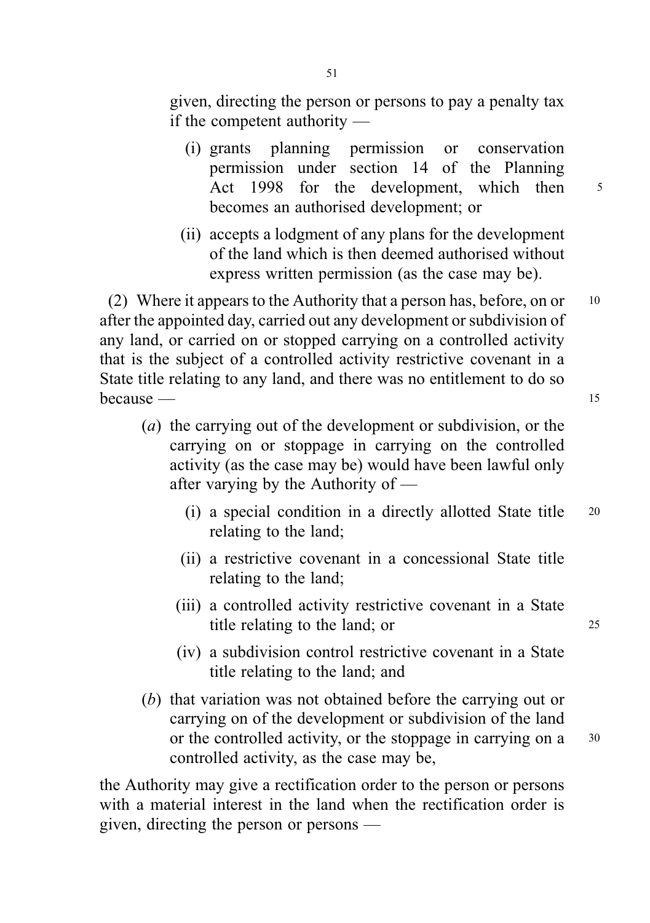- (i) grants planning permission or conservation permission under section 14 of the Planning Act 1998 for the development, which then  $5$ becomes an authorised development; or
- (ii) accepts a lodgment of any plans for the development of the land which is then deemed authorised without express written permission (as the case may be).

(2) Where it appears to the Authority that a person has, before, on or  $10$ after the appointed day, carried out any development or subdivision of any land, or carried on or stopped carrying on a controlled activity that is the subject of a controlled activity restrictive covenant in a State title relating to any land, and there was no entitlement to do so because — 15

- (a) the carrying out of the development or subdivision, or the carrying on or stoppage in carrying on the controlled activity (as the case may be) would have been lawful only after varying by the Authority of —
	- (i) a special condition in a directly allotted State title <sup>20</sup> relating to the land;
	- (ii) a restrictive covenant in a concessional State title relating to the land;
	- (iii) a controlled activity restrictive covenant in a State title relating to the land; or 25
	- (iv) a subdivision control restrictive covenant in a State title relating to the land; and
- (b) that variation was not obtained before the carrying out or carrying on of the development or subdivision of the land or the controlled activity, or the stoppage in carrying on a 30 controlled activity, as the case may be,

the Authority may give a rectification order to the person or persons with a material interest in the land when the rectification order is given, directing the person or persons —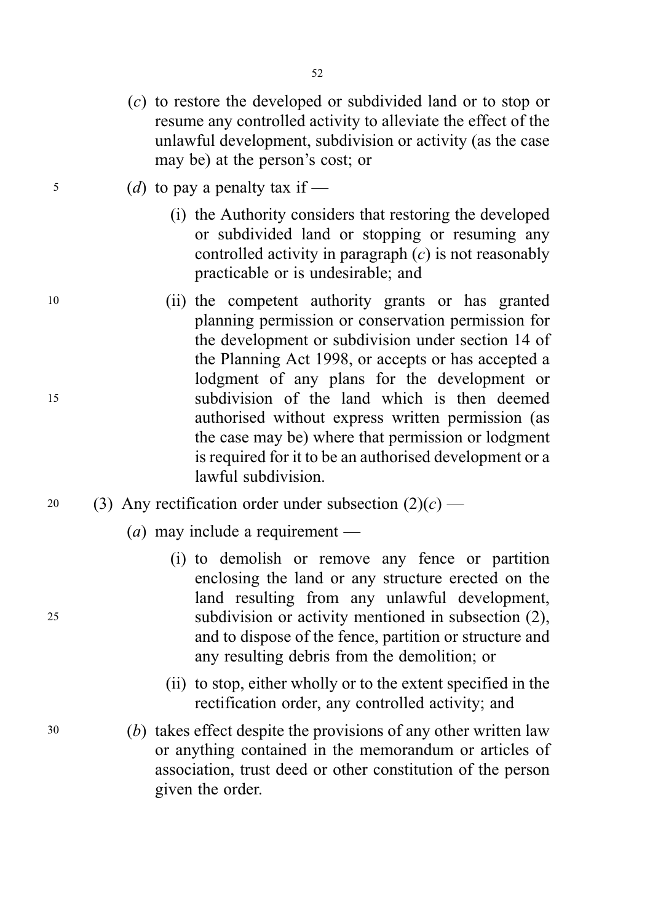- (c) to restore the developed or subdivided land or to stop or resume any controlled activity to alleviate the effect of the unlawful development, subdivision or activity (as the case may be) at the person's cost; or
- $\frac{5}{10}$  (d) to pay a penalty tax if
	- (i) the Authority considers that restoring the developed or subdivided land or stopping or resuming any controlled activity in paragraph  $(c)$  is not reasonably practicable or is undesirable; and
- <sup>10</sup> (ii) the competent authority grants or has granted planning permission or conservation permission for the development or subdivision under section 14 of the Planning Act 1998, or accepts or has accepted a lodgment of any plans for the development or <sup>15</sup> subdivision of the land which is then deemed authorised without express written permission (as the case may be) where that permission or lodgment is required for it to be an authorised development or a lawful subdivision.
- 20 (3) Any rectification order under subsection  $(2)(c)$ 
	- (*a*) may include a requirement —
- (i) to demolish or remove any fence or partition enclosing the land or any structure erected on the land resulting from any unlawful development, <sup>25</sup> subdivision or activity mentioned in subsection (2), and to dispose of the fence, partition or structure and any resulting debris from the demolition; or
	- (ii) to stop, either wholly or to the extent specified in the rectification order, any controlled activity; and
- <sup>30</sup> (b) takes effect despite the provisions of any other written law or anything contained in the memorandum or articles of association, trust deed or other constitution of the person given the order.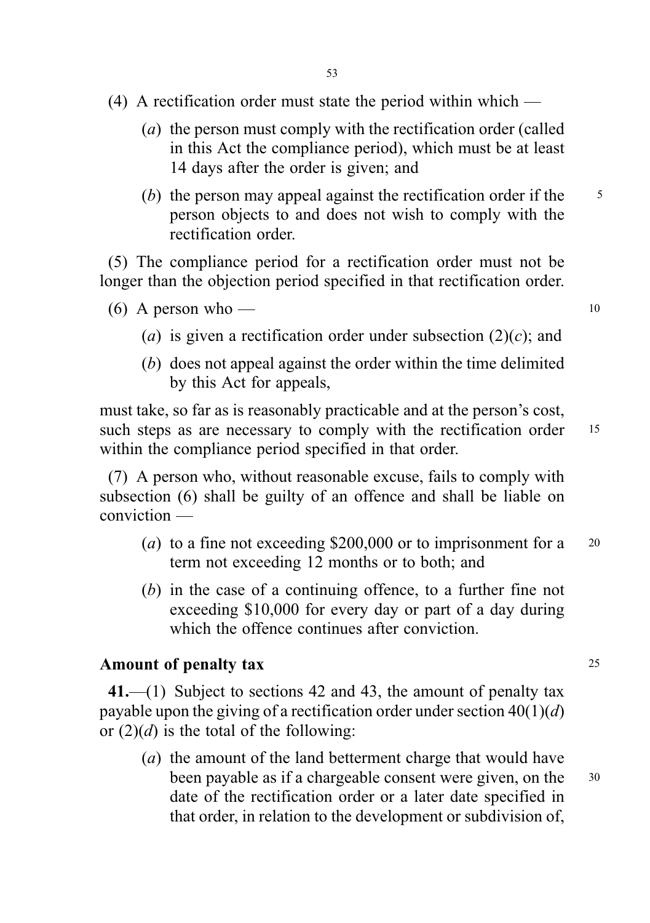- (4) A rectification order must state the period within which
	- (a) the person must comply with the rectification order (called in this Act the compliance period), which must be at least 14 days after the order is given; and
	- (b) the person may appeal against the rectification order if the  $\frac{5}{5}$ person objects to and does not wish to comply with the rectification order.

(5) The compliance period for a rectification order must not be longer than the objection period specified in that rectification order.

- $(6)$  A person who 10
	- (a) is given a rectification order under subsection  $(2)(c)$ ; and
	- (b) does not appeal against the order within the time delimited by this Act for appeals,

must take, so far as is reasonably practicable and at the person's cost, such steps as are necessary to comply with the rectification order 15 within the compliance period specified in that order.

(7) A person who, without reasonable excuse, fails to comply with subsection (6) shall be guilty of an offence and shall be liable on conviction —

- (a) to a fine not exceeding \$200,000 or to imprisonment for a  $20$ term not exceeding 12 months or to both; and
- (b) in the case of a continuing offence, to a further fine not exceeding \$10,000 for every day or part of a day during which the offence continues after conviction.

## Amount of penalty tax 25

41.—(1) Subject to sections 42 and 43, the amount of penalty tax payable upon the giving of a rectification order under section  $40(1)(d)$ or  $(2)(d)$  is the total of the following:

(a) the amount of the land betterment charge that would have been payable as if a chargeable consent were given, on the 30 date of the rectification order or a later date specified in that order, in relation to the development or subdivision of,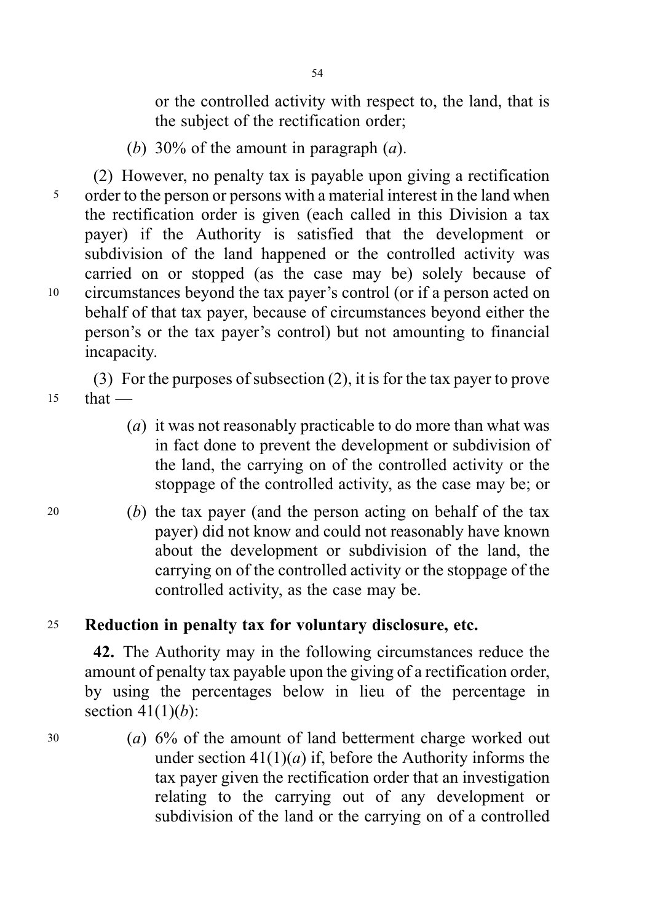or the controlled activity with respect to, the land, that is the subject of the rectification order;

(b) 30% of the amount in paragraph  $(a)$ .

(2) However, no penalty tax is payable upon giving a rectification <sup>5</sup> order to the person or persons with a material interest in the land when the rectification order is given (each called in this Division a tax payer) if the Authority is satisfied that the development or subdivision of the land happened or the controlled activity was carried on or stopped (as the case may be) solely because of <sup>10</sup> circumstances beyond the tax payer's control (or if a person acted on behalf of that tax payer, because of circumstances beyond either the person's or the tax payer's control) but not amounting to financial incapacity.

(3) For the purposes of subsection (2), it is for the tax payer to prove  $15$  that —

- (*a*) it was not reasonably practicable to do more than what was in fact done to prevent the development or subdivision of the land, the carrying on of the controlled activity or the stoppage of the controlled activity, as the case may be; or
- <sup>20</sup> (b) the tax payer (and the person acting on behalf of the tax payer) did not know and could not reasonably have known about the development or subdivision of the land, the carrying on of the controlled activity or the stoppage of the controlled activity, as the case may be.

# <sup>25</sup> Reduction in penalty tax for voluntary disclosure, etc.

42. The Authority may in the following circumstances reduce the amount of penalty tax payable upon the giving of a rectification order, by using the percentages below in lieu of the percentage in section  $41(1)(b)$ :

<sup>30</sup> (a) 6% of the amount of land betterment charge worked out under section  $41(1)(a)$  if, before the Authority informs the tax payer given the rectification order that an investigation relating to the carrying out of any development or subdivision of the land or the carrying on of a controlled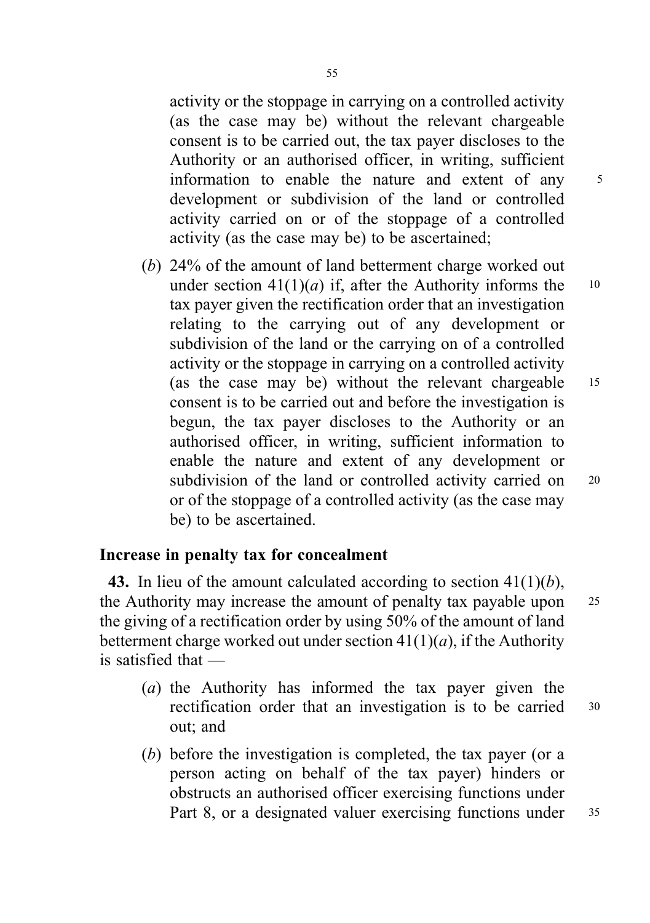activity or the stoppage in carrying on a controlled activity (as the case may be) without the relevant chargeable consent is to be carried out, the tax payer discloses to the Authority or an authorised officer, in writing, sufficient information to enable the nature and extent of any <sup>5</sup> development or subdivision of the land or controlled activity carried on or of the stoppage of a controlled activity (as the case may be) to be ascertained;

(b) 24% of the amount of land betterment charge worked out under section  $41(1)(a)$  if, after the Authority informs the 10 tax payer given the rectification order that an investigation relating to the carrying out of any development or subdivision of the land or the carrying on of a controlled activity or the stoppage in carrying on a controlled activity (as the case may be) without the relevant chargeable <sup>15</sup> consent is to be carried out and before the investigation is begun, the tax payer discloses to the Authority or an authorised officer, in writing, sufficient information to enable the nature and extent of any development or subdivision of the land or controlled activity carried on 20 or of the stoppage of a controlled activity (as the case may be) to be ascertained.

## Increase in penalty tax for concealment

43. In lieu of the amount calculated according to section  $41(1)(b)$ , the Authority may increase the amount of penalty tax payable upon 25 the giving of a rectification order by using 50% of the amount of land betterment charge worked out under section  $41(1)(a)$ , if the Authority is satisfied that —

- (a) the Authority has informed the tax payer given the rectification order that an investigation is to be carried <sup>30</sup> out; and
- (b) before the investigation is completed, the tax payer (or a person acting on behalf of the tax payer) hinders or obstructs an authorised officer exercising functions under Part 8, or a designated valuer exercising functions under 35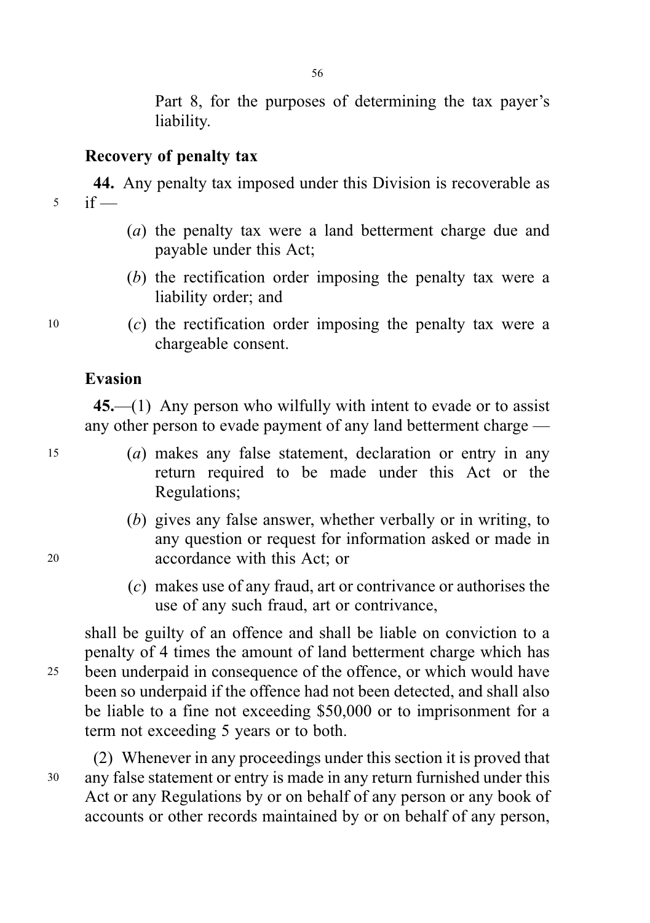Part 8, for the purposes of determining the tax payer's liability.

# Recovery of penalty tax

44. Any penalty tax imposed under this Division is recoverable as  $5$  if —

56

- (a) the penalty tax were a land betterment charge due and payable under this Act;
- (b) the rectification order imposing the penalty tax were a liability order; and
- <sup>10</sup> (c) the rectification order imposing the penalty tax were a chargeable consent.

## Evasion

45.—(1) Any person who wilfully with intent to evade or to assist any other person to evade payment of any land betterment charge —

- <sup>15</sup> (a) makes any false statement, declaration or entry in any return required to be made under this Act or the Regulations;
- (b) gives any false answer, whether verbally or in writing, to any question or request for information asked or made in <sup>20</sup> accordance with this Act; or
	- (c) makes use of any fraud, art or contrivance or authorises the use of any such fraud, art or contrivance,

shall be guilty of an offence and shall be liable on conviction to a penalty of 4 times the amount of land betterment charge which has <sup>25</sup> been underpaid in consequence of the offence, or which would have been so underpaid if the offence had not been detected, and shall also be liable to a fine not exceeding \$50,000 or to imprisonment for a term not exceeding 5 years or to both.

(2) Whenever in any proceedings under this section it is proved that <sup>30</sup> any false statement or entry is made in any return furnished under this Act or any Regulations by or on behalf of any person or any book of accounts or other records maintained by or on behalf of any person,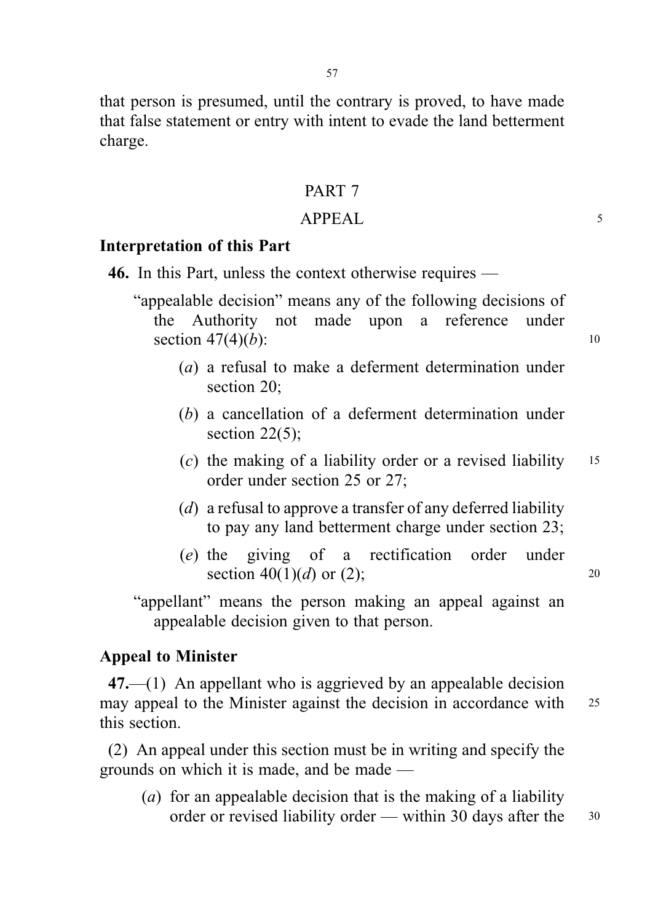that person is presumed, until the contrary is proved, to have made that false statement or entry with intent to evade the land betterment charge.

### PART 7

#### APPEAL 5

# Interpretation of this Part

- 46. In this Part, unless the context otherwise requires
	- "appealable decision" means any of the following decisions of the Authority not made upon a reference under section  $47(4)(b)$ : 10
		- (a) a refusal to make a deferment determination under section 20;
		- (b) a cancellation of a deferment determination under section 22(5);
		- (c) the making of a liability order or a revised liability  $15$ order under section 25 or 27;
		- (d) a refusal to approve a transfer of any deferred liability to pay any land betterment charge under section 23;
		- (e) the giving of a rectification order under section 40(1)(d) or (2); 20

"appellant" means the person making an appeal against an appealable decision given to that person.

#### Appeal to Minister

 $47.$ —(1) An appellant who is aggrieved by an appealable decision may appeal to the Minister against the decision in accordance with 25 this section.

(2) An appeal under this section must be in writing and specify the grounds on which it is made, and be made —

(a) for an appealable decision that is the making of a liability order or revised liability order — within 30 days after the 30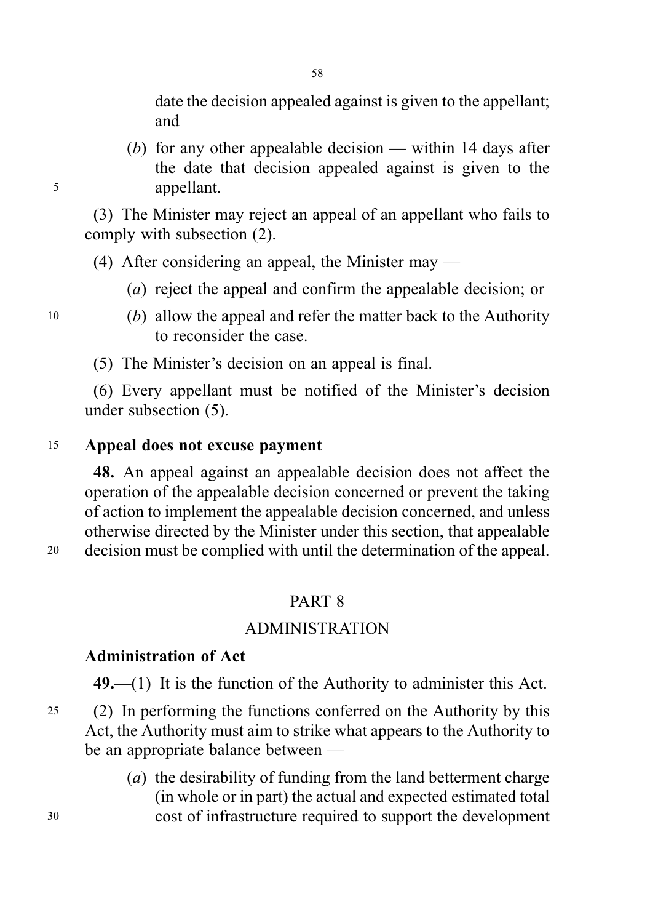date the decision appealed against is given to the appellant; and

(b) for any other appealable decision — within 14 days after the date that decision appealed against is given to the <sup>5</sup> appellant.

(3) The Minister may reject an appeal of an appellant who fails to comply with subsection (2).

(4) After considering an appeal, the Minister may —

- (a) reject the appeal and confirm the appealable decision; or
- <sup>10</sup> (b) allow the appeal and refer the matter back to the Authority to reconsider the case.

(5) The Minister's decision on an appeal is final.

(6) Every appellant must be notified of the Minister's decision under subsection (5).

## <sup>15</sup> Appeal does not excuse payment

48. An appeal against an appealable decision does not affect the operation of the appealable decision concerned or prevent the taking of action to implement the appealable decision concerned, and unless otherwise directed by the Minister under this section, that appealable

<sup>20</sup> decision must be complied with until the determination of the appeal.

# PART 8

## ADMINISTRATION

#### Administration of Act

 $49$ .—(1) It is the function of the Authority to administer this Act.

- <sup>25</sup> (2) In performing the functions conferred on the Authority by this Act, the Authority must aim to strike what appears to the Authority to be an appropriate balance between —
- (a) the desirability of funding from the land betterment charge (in whole or in part) the actual and expected estimated total <sup>30</sup> cost of infrastructure required to support the development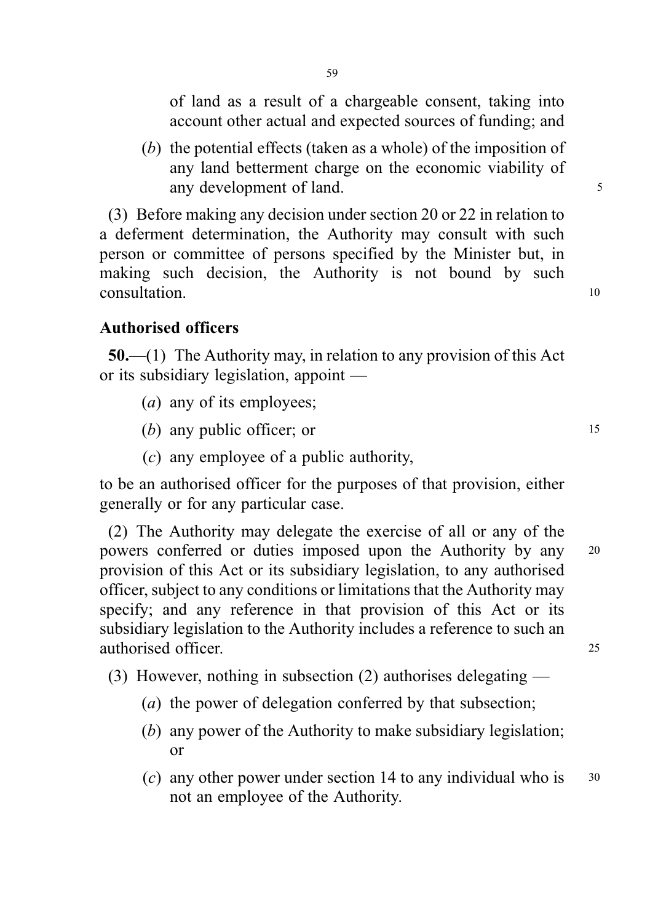of land as a result of a chargeable consent, taking into account other actual and expected sources of funding; and

(b) the potential effects (taken as a whole) of the imposition of any land betterment charge on the economic viability of any development of land.

(3) Before making any decision under section 20 or 22 in relation to a deferment determination, the Authority may consult with such person or committee of persons specified by the Minister but, in making such decision, the Authority is not bound by such consultation to the consultation of the consultation of the consultation of the consultation of the consultation of the consultation of the consultation of the consultation of the consultation of the consultation of the co

# Authorised officers

50.—(1) The Authority may, in relation to any provision of this Act or its subsidiary legislation, appoint —

- (*a*) any of its employees;
- $(b)$  any public officer; or  $15$
- (c) any employee of a public authority,

to be an authorised officer for the purposes of that provision, either generally or for any particular case.

(2) The Authority may delegate the exercise of all or any of the powers conferred or duties imposed upon the Authority by any <sup>20</sup> provision of this Act or its subsidiary legislation, to any authorised officer, subject to any conditions or limitations that the Authority may specify; and any reference in that provision of this Act or its subsidiary legislation to the Authority includes a reference to such an authorised officer. 25

(3) However, nothing in subsection (2) authorises delegating —

- (*a*) the power of delegation conferred by that subsection;
- (b) any power of the Authority to make subsidiary legislation; or
- (c) any other power under section 14 to any individual who is  $30$ not an employee of the Authority.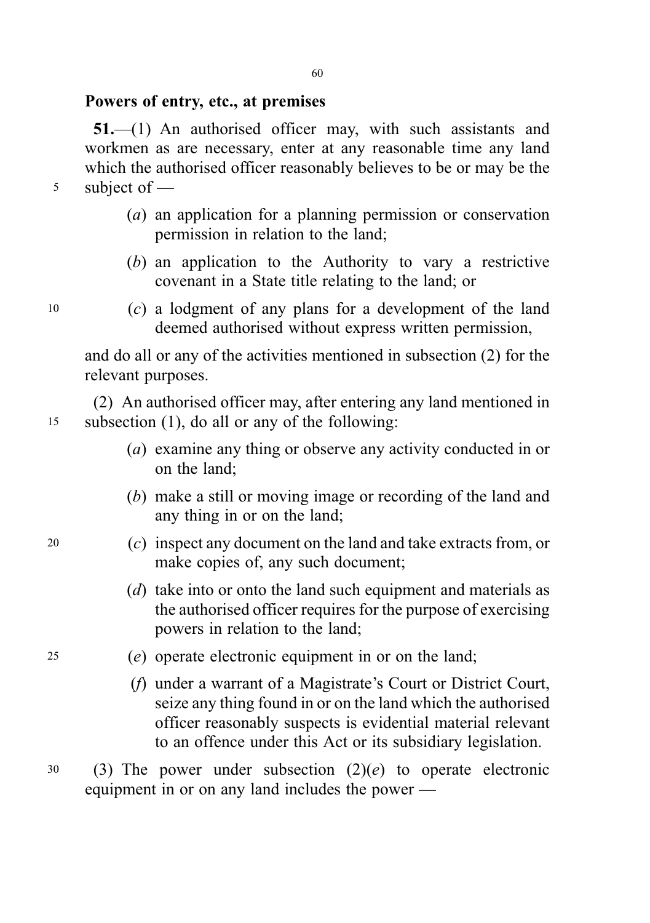### Powers of entry, etc., at premises

51.—(1) An authorised officer may, with such assistants and workmen as are necessary, enter at any reasonable time any land which the authorised officer reasonably believes to be or may be the <sup>5</sup> subject of —

- (a) an application for a planning permission or conservation permission in relation to the land;
- (b) an application to the Authority to vary a restrictive covenant in a State title relating to the land; or
- $10$  (c) a lodgment of any plans for a development of the land deemed authorised without express written permission,

and do all or any of the activities mentioned in subsection (2) for the relevant purposes.

(2) An authorised officer may, after entering any land mentioned in <sup>15</sup> subsection (1), do all or any of the following:

- (a) examine any thing or observe any activity conducted in or on the land;
- (b) make a still or moving image or recording of the land and any thing in or on the land;
- <sup>20</sup> (c) inspect any document on the land and take extracts from, or make copies of, any such document;
	- (d) take into or onto the land such equipment and materials as the authorised officer requires for the purpose of exercising powers in relation to the land;
- <sup>25</sup> (e) operate electronic equipment in or on the land;
	- (f) under a warrant of a Magistrate's Court or District Court, seize any thing found in or on the land which the authorised officer reasonably suspects is evidential material relevant to an offence under this Act or its subsidiary legislation.
- $30$  (3) The power under subsection  $(2)(e)$  to operate electronic equipment in or on any land includes the power —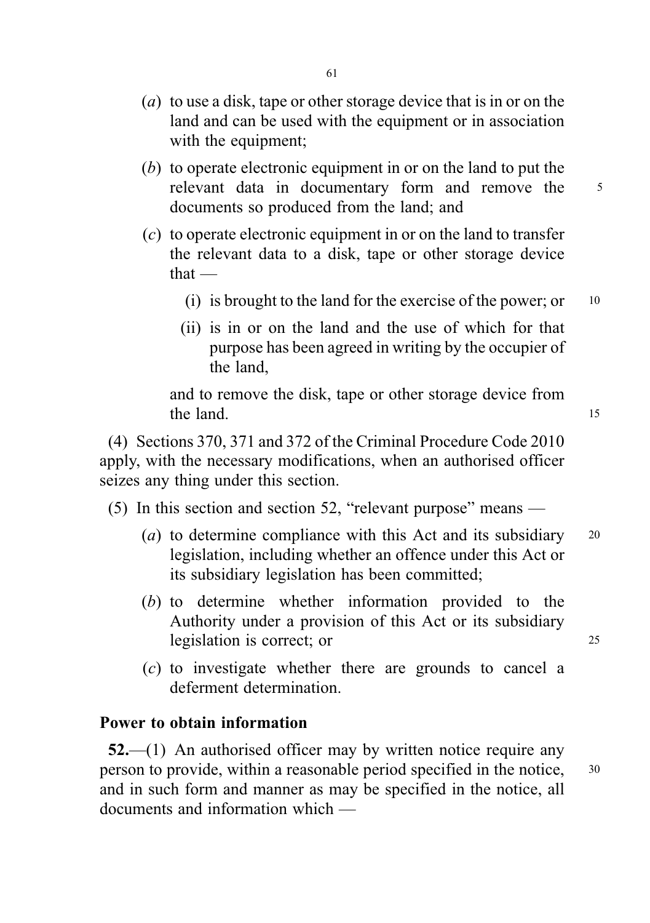- (a) to use a disk, tape or other storage device that is in or on the land and can be used with the equipment or in association with the equipment;
- (b) to operate electronic equipment in or on the land to put the relevant data in documentary form and remove the 5 documents so produced from the land; and
- (c) to operate electronic equipment in or on the land to transfer the relevant data to a disk, tape or other storage device that —
	- (i) is brought to the land for the exercise of the power; or  $10$
	- (ii) is in or on the land and the use of which for that purpose has been agreed in writing by the occupier of the land,

and to remove the disk, tape or other storage device from the land. 15

(4) Sections 370, 371 and 372 of the Criminal Procedure Code 2010 apply, with the necessary modifications, when an authorised officer seizes any thing under this section.

(5) In this section and section 52, "relevant purpose" means —

- (a) to determine compliance with this Act and its subsidiary  $20$ legislation, including whether an offence under this Act or its subsidiary legislation has been committed;
- (b) to determine whether information provided to the Authority under a provision of this Act or its subsidiary legislation is correct; or 25

(c) to investigate whether there are grounds to cancel a deferment determination.

#### Power to obtain information

 $52-$ (1) An authorised officer may by written notice require any person to provide, within a reasonable period specified in the notice, <sup>30</sup> and in such form and manner as may be specified in the notice, all documents and information which —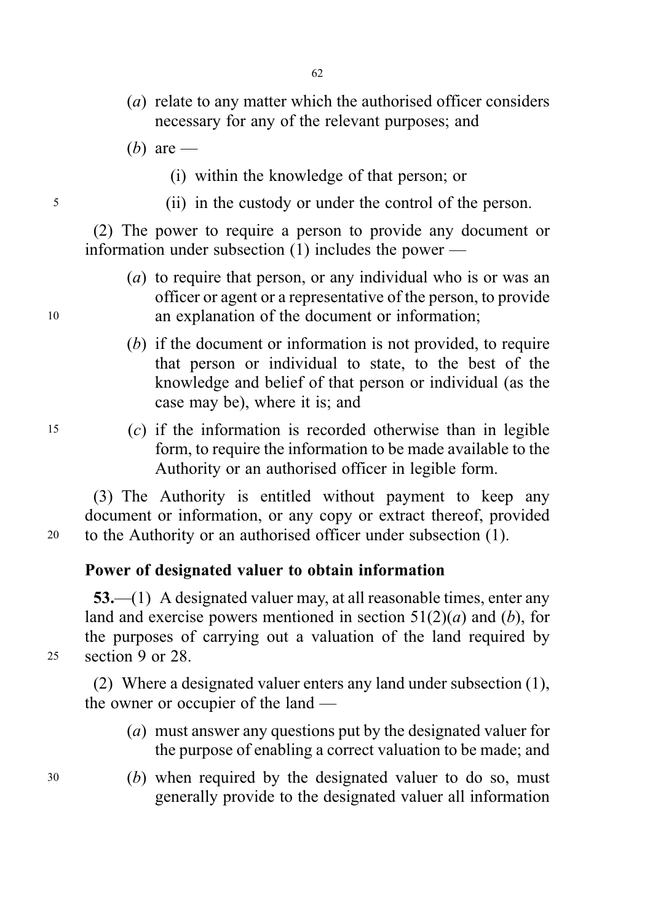- (a) relate to any matter which the authorised officer considers necessary for any of the relevant purposes; and
- (*b*) are
	- (i) within the knowledge of that person; or
- <sup>5</sup> (ii) in the custody or under the control of the person.

(2) The power to require a person to provide any document or information under subsection (1) includes the power —

- (a) to require that person, or any individual who is or was an officer or agent or a representative of the person, to provide <sup>10</sup> an explanation of the document or information;
	- (b) if the document or information is not provided, to require that person or individual to state, to the best of the knowledge and belief of that person or individual (as the case may be), where it is; and
- <sup>15</sup> (c) if the information is recorded otherwise than in legible form, to require the information to be made available to the Authority or an authorised officer in legible form.

(3) The Authority is entitled without payment to keep any document or information, or any copy or extract thereof, provided <sup>20</sup> to the Authority or an authorised officer under subsection (1).

#### Power of designated valuer to obtain information

53.—(1) A designated valuer may, at all reasonable times, enter any land and exercise powers mentioned in section  $51(2)(a)$  and (b), for the purposes of carrying out a valuation of the land required by <sup>25</sup> section 9 or 28.

(2) Where a designated valuer enters any land under subsection (1), the owner or occupier of the land —

- (a) must answer any questions put by the designated valuer for the purpose of enabling a correct valuation to be made; and
- <sup>30</sup> (b) when required by the designated valuer to do so, must generally provide to the designated valuer all information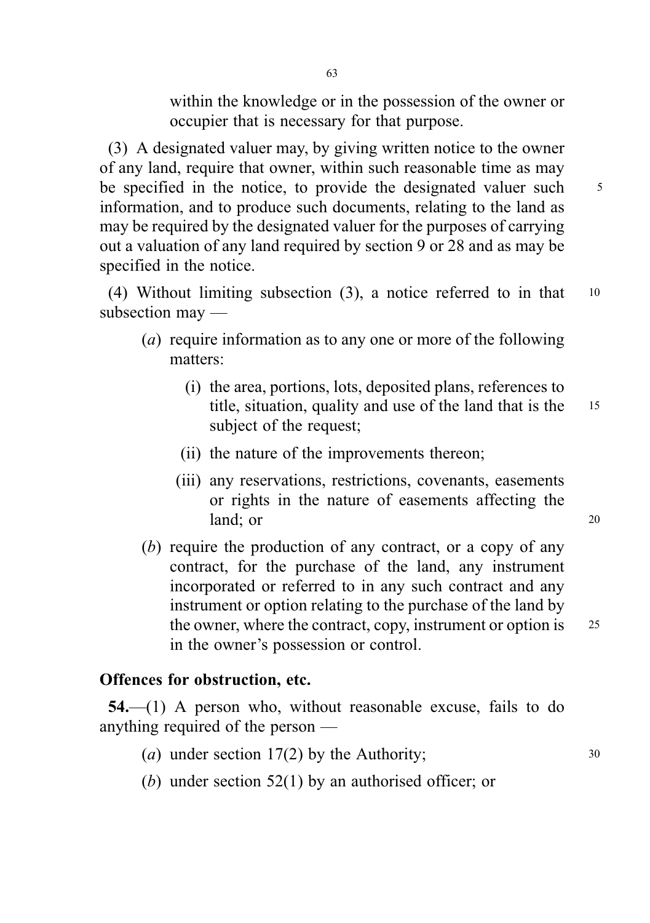within the knowledge or in the possession of the owner or occupier that is necessary for that purpose.

(3) A designated valuer may, by giving written notice to the owner of any land, require that owner, within such reasonable time as may be specified in the notice, to provide the designated valuer such  $\frac{5}{10}$ information, and to produce such documents, relating to the land as may be required by the designated valuer for the purposes of carrying out a valuation of any land required by section 9 or 28 and as may be specified in the notice.

(4) Without limiting subsection (3), a notice referred to in that <sup>10</sup> subsection may —

- (a) require information as to any one or more of the following matters:
	- (i) the area, portions, lots, deposited plans, references to title, situation, quality and use of the land that is the <sup>15</sup> subject of the request;
	- (ii) the nature of the improvements thereon;
	- (iii) any reservations, restrictions, covenants, easements or rights in the nature of easements affecting the land; or 20
- (b) require the production of any contract, or a copy of any contract, for the purchase of the land, any instrument incorporated or referred to in any such contract and any instrument or option relating to the purchase of the land by the owner, where the contract, copy, instrument or option is 25 in the owner's possession or control.

## Offences for obstruction, etc.

54.—(1) A person who, without reasonable excuse, fails to do anything required of the person —

- (a) under section  $17(2)$  by the Authority;  $30$
- (b) under section 52(1) by an authorised officer; or

63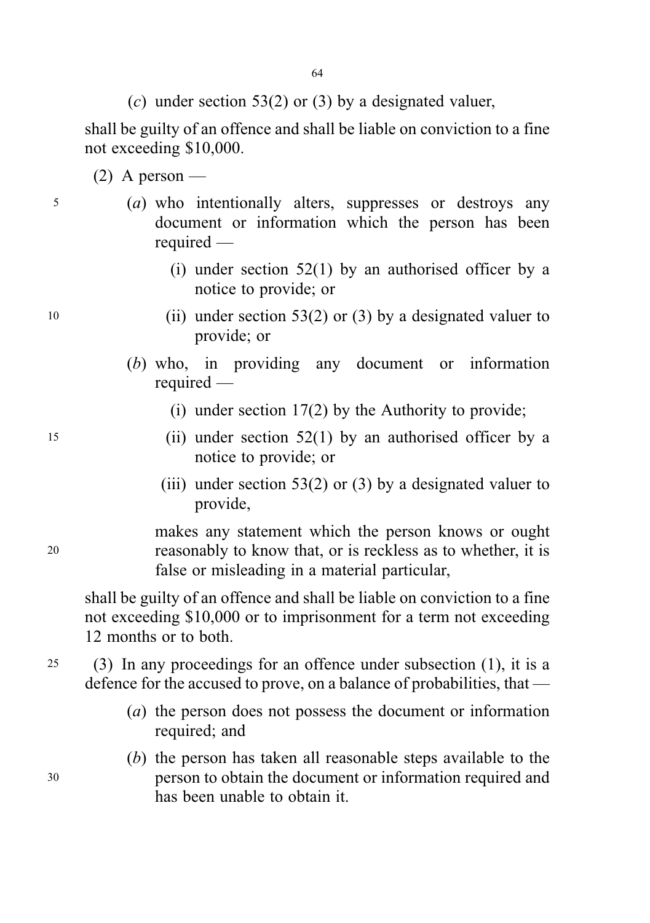(c) under section 53(2) or (3) by a designated valuer,

shall be guilty of an offence and shall be liable on conviction to a fine not exceeding \$10,000.

- $(2)$  A person —
- 
- 
- <sup>5</sup> (a) who intentionally alters, suppresses or destroys any document or information which the person has been required —
	- (i) under section  $52(1)$  by an authorised officer by a notice to provide; or
- 10 (ii) under section 53(2) or (3) by a designated valuer to provide; or
	- (b) who, in providing any document or information required —
		- (i) under section 17(2) by the Authority to provide;
- <sup>15</sup> (ii) under section 52(1) by an authorised officer by a notice to provide; or
	- (iii) under section 53(2) or (3) by a designated valuer to provide,

makes any statement which the person knows or ought <sup>20</sup> reasonably to know that, or is reckless as to whether, it is false or misleading in a material particular,

shall be guilty of an offence and shall be liable on conviction to a fine not exceeding \$10,000 or to imprisonment for a term not exceeding 12 months or to both.

<sup>25</sup> (3) In any proceedings for an offence under subsection (1), it is a defence for the accused to prove, on a balance of probabilities, that —

- (a) the person does not possess the document or information required; and
- (b) the person has taken all reasonable steps available to the <sup>30</sup> person to obtain the document or information required and has been unable to obtain it.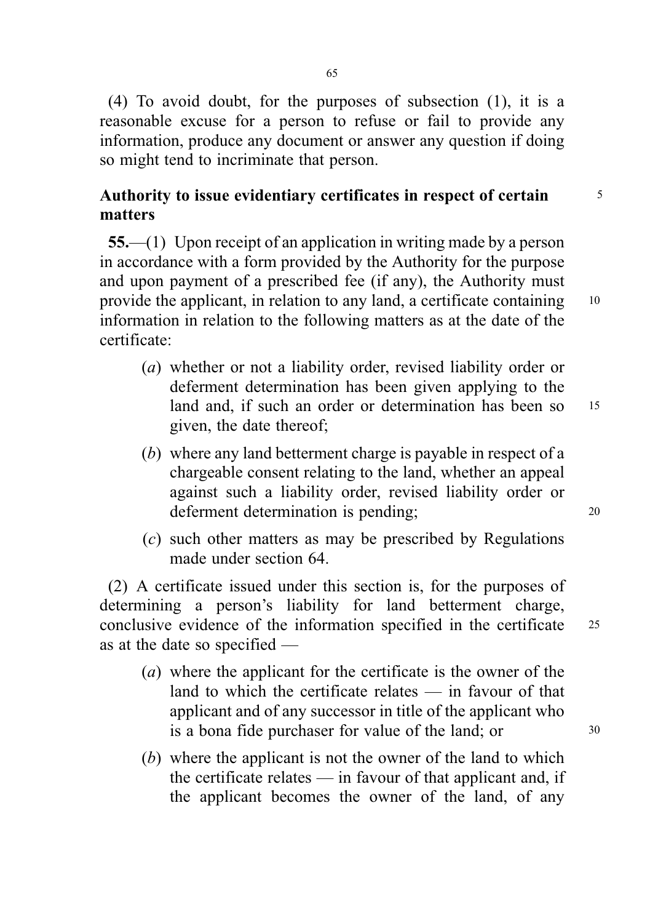(4) To avoid doubt, for the purposes of subsection (1), it is a reasonable excuse for a person to refuse or fail to provide any information, produce any document or answer any question if doing so might tend to incriminate that person.

# Authority to issue evidentiary certificates in respect of certain  $\frac{5}{10}$ matters

55.—(1) Upon receipt of an application in writing made by a person in accordance with a form provided by the Authority for the purpose and upon payment of a prescribed fee (if any), the Authority must provide the applicant, in relation to any land, a certificate containing 10 information in relation to the following matters as at the date of the certificate:

- (a) whether or not a liability order, revised liability order or deferment determination has been given applying to the land and, if such an order or determination has been so 15 given, the date thereof;
- (b) where any land betterment charge is payable in respect of a chargeable consent relating to the land, whether an appeal against such a liability order, revised liability order or deferment determination is pending; 20
- (c) such other matters as may be prescribed by Regulations made under section 64.

(2) A certificate issued under this section is, for the purposes of determining a person's liability for land betterment charge, conclusive evidence of the information specified in the certificate <sup>25</sup> as at the date so specified —

- (a) where the applicant for the certificate is the owner of the land to which the certificate relates — in favour of that applicant and of any successor in title of the applicant who is a bona fide purchaser for value of the land; or  $30$
- (b) where the applicant is not the owner of the land to which the certificate relates — in favour of that applicant and, if the applicant becomes the owner of the land, of any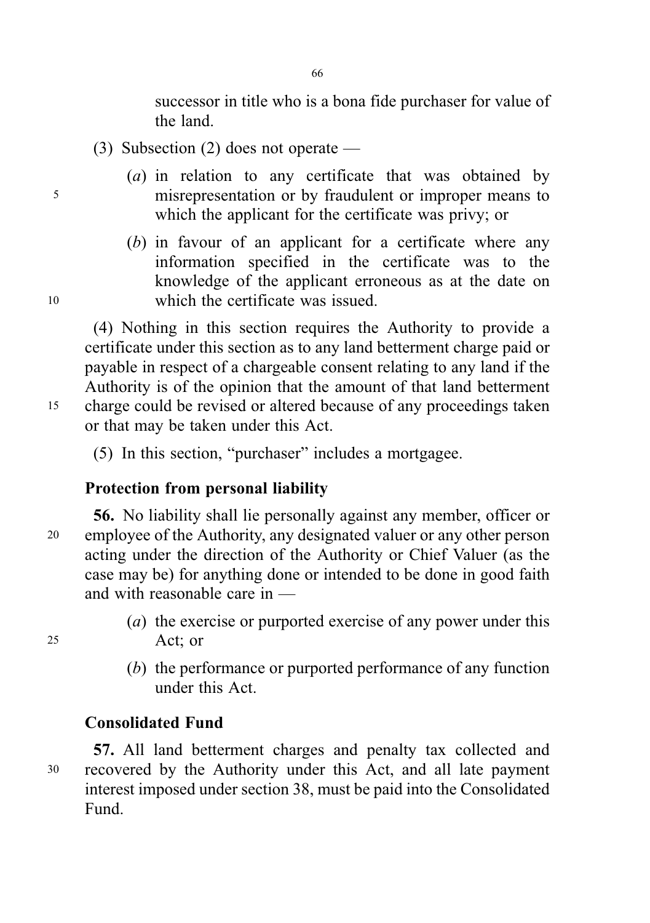successor in title who is a bona fide purchaser for value of the land.

- (3) Subsection (2) does not operate —
- (*a*) in relation to any certificate that was obtained by <sup>5</sup> misrepresentation or by fraudulent or improper means to which the applicant for the certificate was privy; or
- (b) in favour of an applicant for a certificate where any information specified in the certificate was to the knowledge of the applicant erroneous as at the date on <sup>10</sup> which the certificate was issued.

(4) Nothing in this section requires the Authority to provide a certificate under this section as to any land betterment charge paid or payable in respect of a chargeable consent relating to any land if the Authority is of the opinion that the amount of that land betterment <sup>15</sup> charge could be revised or altered because of any proceedings taken or that may be taken under this Act.

(5) In this section, "purchaser" includes a mortgagee.

# Protection from personal liability

- 56. No liability shall lie personally against any member, officer or <sup>20</sup> employee of the Authority, any designated valuer or any other person acting under the direction of the Authority or Chief Valuer (as the case may be) for anything done or intended to be done in good faith and with reasonable care in —
- (*a*) the exercise or purported exercise of any power under this <sup>25</sup> Act; or
	- (b) the performance or purported performance of any function under this Act.

# Consolidated Fund

57. All land betterment charges and penalty tax collected and <sup>30</sup> recovered by the Authority under this Act, and all late payment interest imposed under section 38, must be paid into the Consolidated Fund.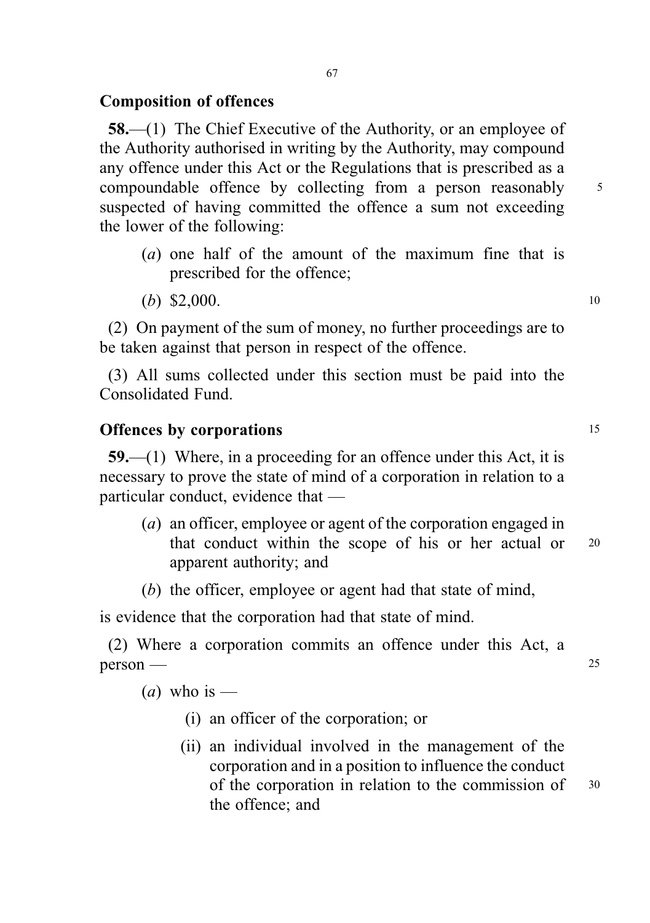## Composition of offences

58.—(1) The Chief Executive of the Authority, or an employee of the Authority authorised in writing by the Authority, may compound any offence under this Act or the Regulations that is prescribed as a compoundable offence by collecting from a person reasonably 5 suspected of having committed the offence a sum not exceeding the lower of the following:

- (a) one half of the amount of the maximum fine that is prescribed for the offence;
- (b) \$2,000. 10

(2) On payment of the sum of money, no further proceedings are to be taken against that person in respect of the offence.

(3) All sums collected under this section must be paid into the Consolidated Fund.

#### Offences by corporations 15

59.—(1) Where, in a proceeding for an offence under this Act, it is necessary to prove the state of mind of a corporation in relation to a particular conduct, evidence that —

- (a) an officer, employee or agent of the corporation engaged in that conduct within the scope of his or her actual or <sup>20</sup> apparent authority; and
- (b) the officer, employee or agent had that state of mind,

is evidence that the corporation had that state of mind.

(2) Where a corporation commits an offence under this Act, a  $person$  — 25

(*a*) who is —

- (i) an officer of the corporation; or
- (ii) an individual involved in the management of the corporation and in a position to influence the conduct of the corporation in relation to the commission of <sup>30</sup> the offence; and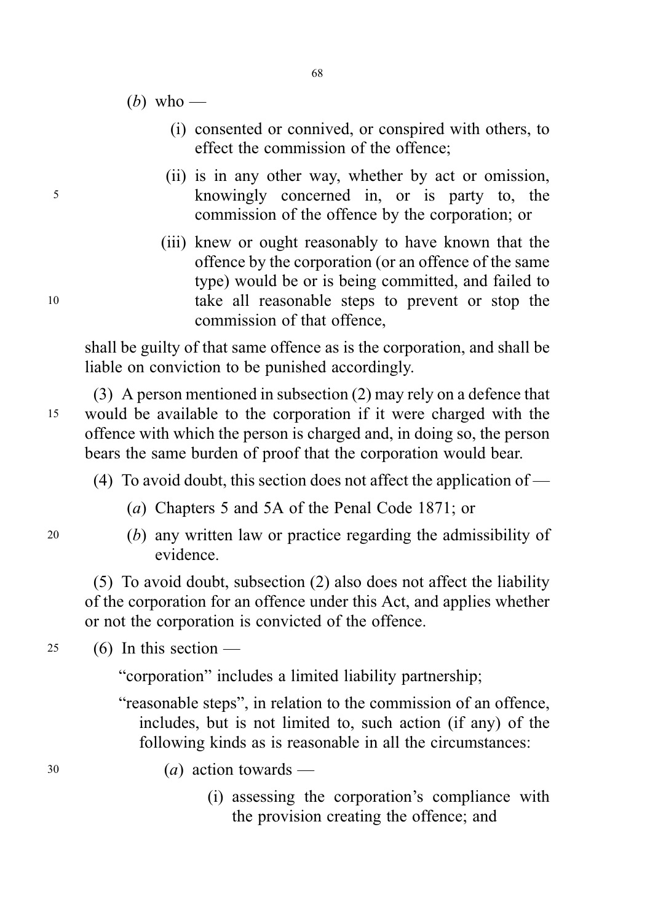(b) who —

- (i) consented or connived, or conspired with others, to effect the commission of the offence;
- (ii) is in any other way, whether by act or omission, <sup>5</sup> knowingly concerned in, or is party to, the commission of the offence by the corporation; or
- (iii) knew or ought reasonably to have known that the offence by the corporation (or an offence of the same type) would be or is being committed, and failed to <sup>10</sup> take all reasonable steps to prevent or stop the commission of that offence,

shall be guilty of that same offence as is the corporation, and shall be liable on conviction to be punished accordingly.

(3) A person mentioned in subsection (2) may rely on a defence that <sup>15</sup> would be available to the corporation if it were charged with the offence with which the person is charged and, in doing so, the person bears the same burden of proof that the corporation would bear.

- (4) To avoid doubt, this section does not affect the application of
	- (a) Chapters 5 and 5A of the Penal Code 1871; or
- 
- <sup>20</sup> (b) any written law or practice regarding the admissibility of evidence.

(5) To avoid doubt, subsection (2) also does not affect the liability of the corporation for an offence under this Act, and applies whether or not the corporation is convicted of the offence.

 $25$  (6) In this section —

"corporation" includes a limited liability partnership;

"reasonable steps", in relation to the commission of an offence, includes, but is not limited to, such action (if any) of the following kinds as is reasonable in all the circumstances:

 $(a)$  action towards —

(i) assessing the corporation's compliance with the provision creating the offence; and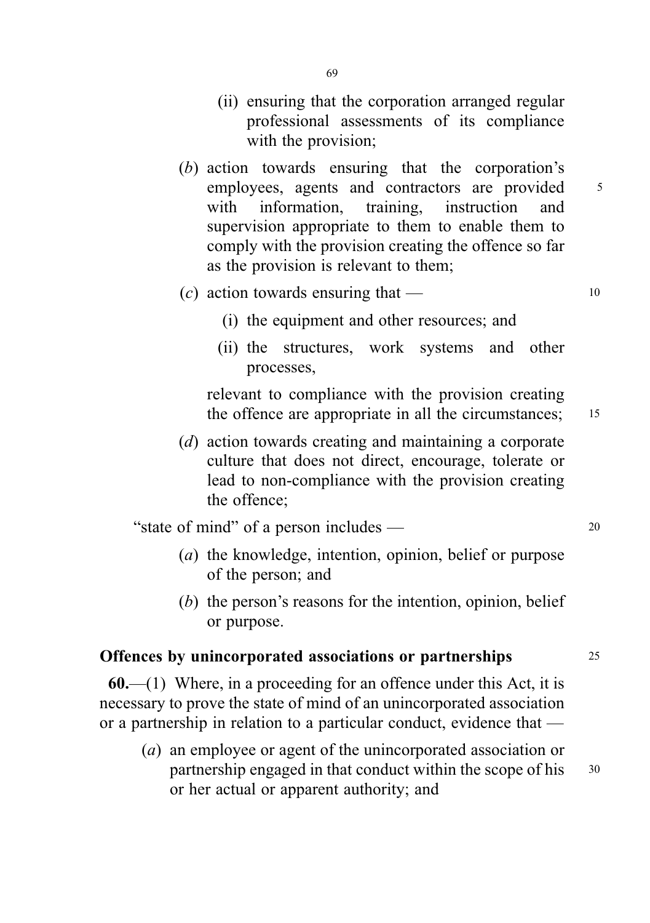- (ii) ensuring that the corporation arranged regular professional assessments of its compliance with the provision;
- (b) action towards ensuring that the corporation's employees, agents and contractors are provided 5 with information, training, instruction and supervision appropriate to them to enable them to comply with the provision creating the offence so far as the provision is relevant to them;
- (c) action towards ensuring that  $-$  10
	-
	- (i) the equipment and other resources; and
	- (ii) the structures, work systems and other processes,

relevant to compliance with the provision creating the offence are appropriate in all the circumstances: 15

(d) action towards creating and maintaining a corporate culture that does not direct, encourage, tolerate or lead to non-compliance with the provision creating the offence;

"state of mind" of a person includes — <sup>20</sup>

- (a) the knowledge, intention, opinion, belief or purpose of the person; and
- (b) the person's reasons for the intention, opinion, belief or purpose.

### Offences by unincorporated associations or partnerships 25

 $60$ .—(1) Where, in a proceeding for an offence under this Act, it is necessary to prove the state of mind of an unincorporated association or a partnership in relation to a particular conduct, evidence that —

(a) an employee or agent of the unincorporated association or partnership engaged in that conduct within the scope of his 30 or her actual or apparent authority; and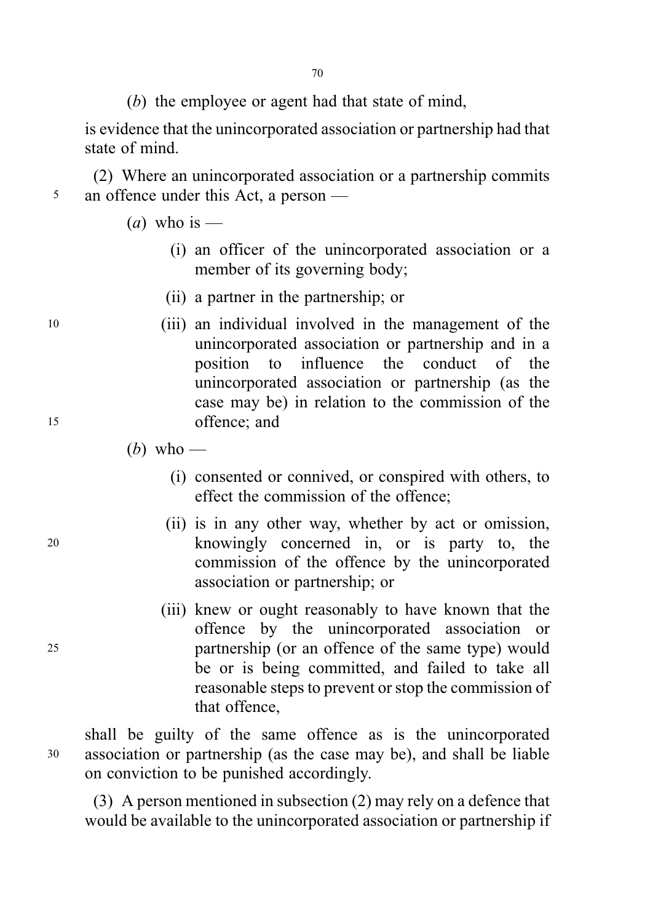(b) the employee or agent had that state of mind,

is evidence that the unincorporated association or partnership had that state of mind.

(2) Where an unincorporated association or a partnership commits <sup>5</sup> an offence under this Act, a person —

(*a*) who is —

- (i) an officer of the unincorporated association or a member of its governing body;
- (ii) a partner in the partnership; or
- <sup>10</sup> (iii) an individual involved in the management of the unincorporated association or partnership and in a position to influence the conduct of the unincorporated association or partnership (as the case may be) in relation to the commission of the <sup>15</sup> offence; and
	- (b) who
		- (i) consented or connived, or conspired with others, to effect the commission of the offence;
- (ii) is in any other way, whether by act or omission, <sup>20</sup> knowingly concerned in, or is party to, the commission of the offence by the unincorporated association or partnership; or
- (iii) knew or ought reasonably to have known that the offence by the unincorporated association or <sup>25</sup> partnership (or an offence of the same type) would be or is being committed, and failed to take all reasonable steps to prevent or stop the commission of that offence,

shall be guilty of the same offence as is the unincorporated <sup>30</sup> association or partnership (as the case may be), and shall be liable on conviction to be punished accordingly.

(3) A person mentioned in subsection (2) may rely on a defence that would be available to the unincorporated association or partnership if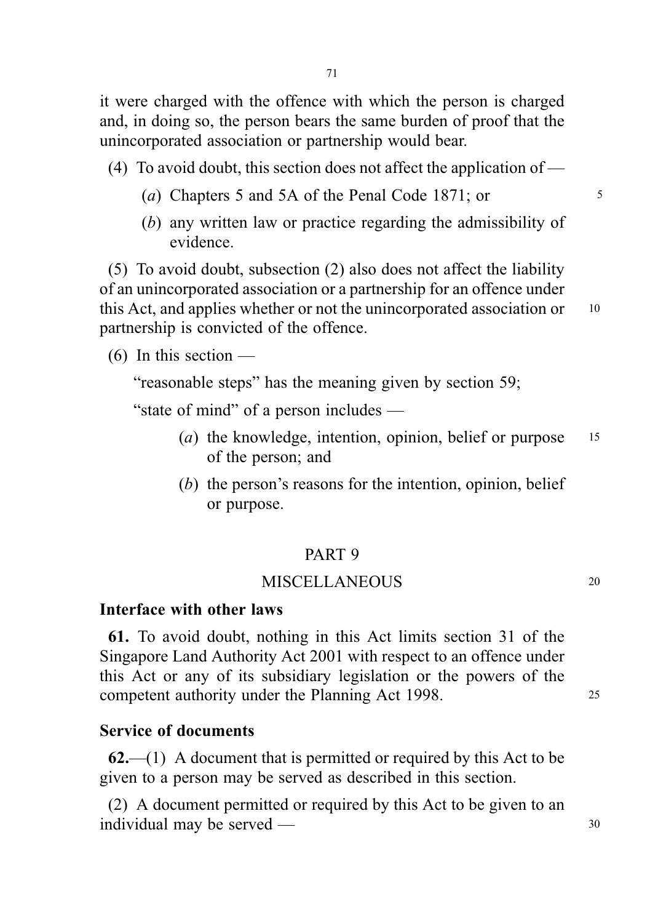it were charged with the offence with which the person is charged and, in doing so, the person bears the same burden of proof that the unincorporated association or partnership would bear.

- (4) To avoid doubt, this section does not affect the application of
	- (a) Chapters 5 and 5A of the Penal Code 1871; or  $\frac{5}{5}$
	- (b) any written law or practice regarding the admissibility of evidence.

(5) To avoid doubt, subsection (2) also does not affect the liability of an unincorporated association or a partnership for an offence under this Act, and applies whether or not the unincorporated association or 10 partnership is convicted of the offence.

 $(6)$  In this section —

"reasonable steps" has the meaning given by section 59;

"state of mind" of a person includes —

- (*a*) the knowledge, intention, opinion, belief or purpose  $15$ of the person; and
- (b) the person's reasons for the intention, opinion, belief or purpose.

#### PART 9

#### MISCELLANEOUS 20

#### Interface with other laws

61. To avoid doubt, nothing in this Act limits section 31 of the Singapore Land Authority Act 2001 with respect to an offence under this Act or any of its subsidiary legislation or the powers of the competent authority under the Planning Act 1998.

# Service of documents

 $62$ —(1) A document that is permitted or required by this Act to be given to a person may be served as described in this section.

(2) A document permitted or required by this Act to be given to an individual may be served —  $30$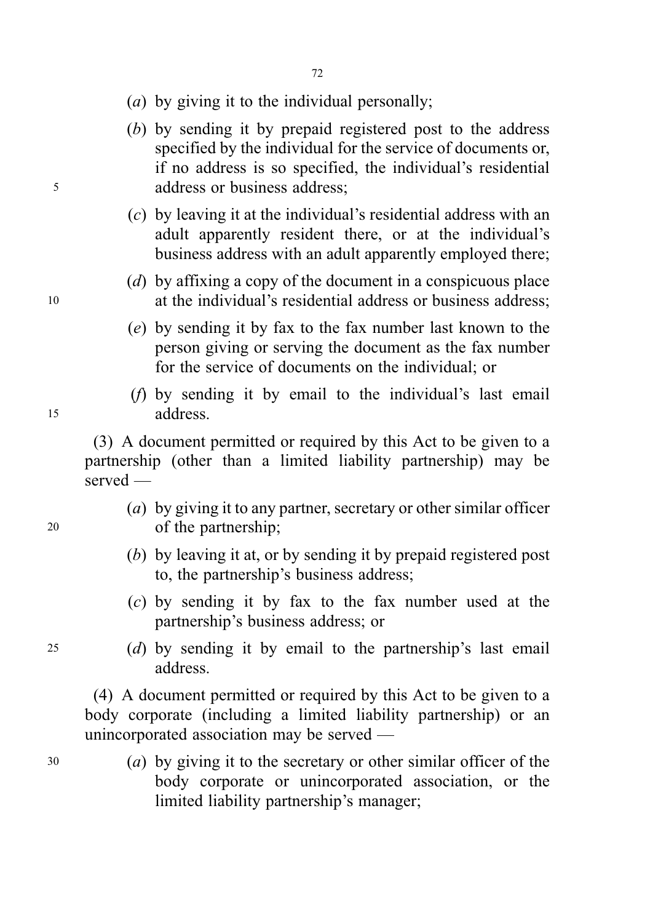- (a) by giving it to the individual personally;
- (b) by sending it by prepaid registered post to the address specified by the individual for the service of documents or, if no address is so specified, the individual's residential <sup>5</sup> address or business address;
	- (c) by leaving it at the individual's residential address with an adult apparently resident there, or at the individual's business address with an adult apparently employed there;
- (d) by affixing a copy of the document in a conspicuous place <sup>10</sup> at the individual's residential address or business address;
	- (e) by sending it by fax to the fax number last known to the person giving or serving the document as the fax number for the service of documents on the individual; or
- (f) by sending it by email to the individual's last email <sup>15</sup> address.

(3) A document permitted or required by this Act to be given to a partnership (other than a limited liability partnership) may be served —

- (a) by giving it to any partner, secretary or other similar officer <sup>20</sup> of the partnership;
	- (b) by leaving it at, or by sending it by prepaid registered post to, the partnership's business address;
	- (c) by sending it by fax to the fax number used at the partnership's business address; or
- <sup>25</sup> (d) by sending it by email to the partnership's last email address.

(4) A document permitted or required by this Act to be given to a body corporate (including a limited liability partnership) or an unincorporated association may be served —

<sup>30</sup> (a) by giving it to the secretary or other similar officer of the body corporate or unincorporated association, or the limited liability partnership's manager;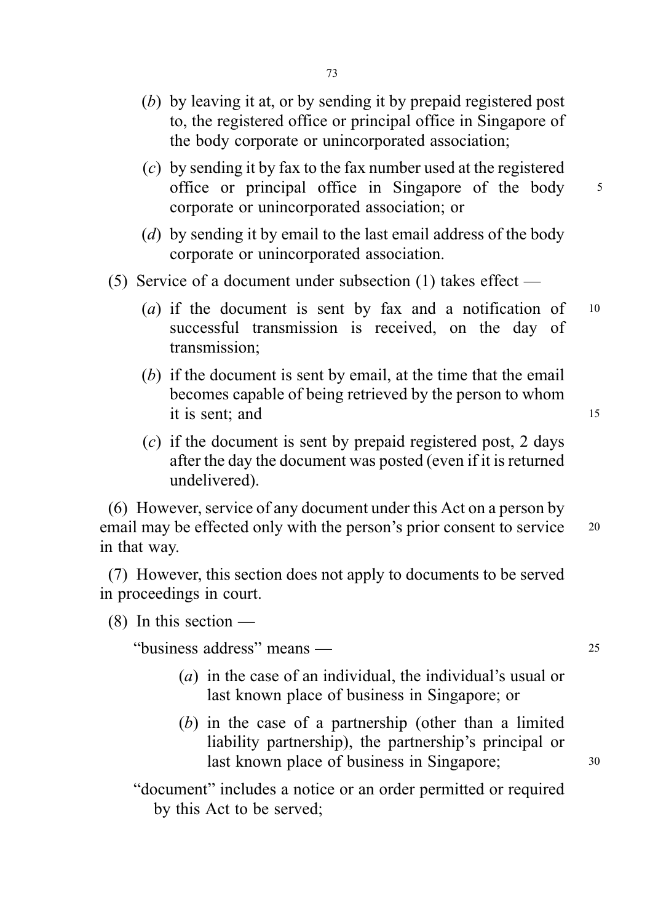- (b) by leaving it at, or by sending it by prepaid registered post to, the registered office or principal office in Singapore of the body corporate or unincorporated association;
- (c) by sending it by fax to the fax number used at the registered office or principal office in Singapore of the body <sup>5</sup> corporate or unincorporated association; or
- (d) by sending it by email to the last email address of the body corporate or unincorporated association.
- (5) Service of a document under subsection (1) takes effect
	- (a) if the document is sent by fax and a notification of  $10$ successful transmission is received, on the day of transmission;
	- (b) if the document is sent by email, at the time that the email becomes capable of being retrieved by the person to whom it is sent; and 15
	- (c) if the document is sent by prepaid registered post, 2 days after the day the document was posted (even if it is returned undelivered).

(6) However, service of any document under this Act on a person by email may be effected only with the person's prior consent to service 20 in that way.

(7) However, this section does not apply to documents to be served in proceedings in court.

(8) In this section —

"business address" means — <sup>25</sup>

- (a) in the case of an individual, the individual's usual or last known place of business in Singapore; or
- (b) in the case of a partnership (other than a limited liability partnership), the partnership's principal or last known place of business in Singapore; 30

"document" includes a notice or an order permitted or required by this Act to be served;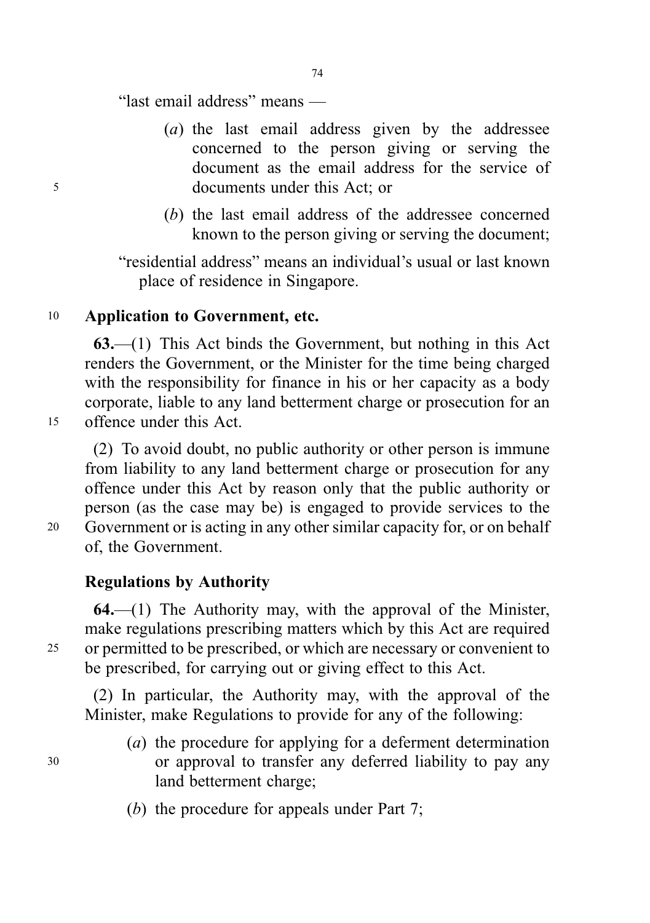74

"last email address" means —

- (a) the last email address given by the addressee concerned to the person giving or serving the document as the email address for the service of <sup>5</sup> documents under this Act; or
	- (b) the last email address of the addressee concerned known to the person giving or serving the document;

"residential address" means an individual's usual or last known place of residence in Singapore.

## <sup>10</sup> Application to Government, etc.

63.—(1) This Act binds the Government, but nothing in this Act renders the Government, or the Minister for the time being charged with the responsibility for finance in his or her capacity as a body corporate, liable to any land betterment charge or prosecution for an <sup>15</sup> offence under this Act.

(2) To avoid doubt, no public authority or other person is immune from liability to any land betterment charge or prosecution for any offence under this Act by reason only that the public authority or person (as the case may be) is engaged to provide services to the <sup>20</sup> Government or is acting in any other similar capacity for, or on behalf of, the Government.

## Regulations by Authority

 $64$ ,  $-(1)$  The Authority may, with the approval of the Minister, make regulations prescribing matters which by this Act are required <sup>25</sup> or permitted to be prescribed, or which are necessary or convenient to be prescribed, for carrying out or giving effect to this Act.

(2) In particular, the Authority may, with the approval of the Minister, make Regulations to provide for any of the following:

- (a) the procedure for applying for a deferment determination <sup>30</sup> or approval to transfer any deferred liability to pay any land betterment charge;
	- (b) the procedure for appeals under Part 7;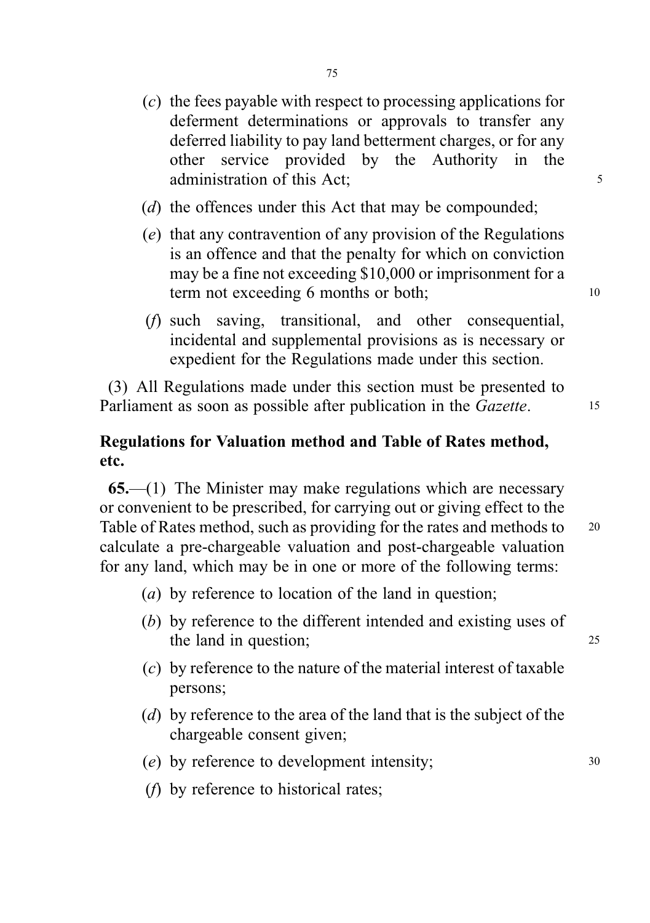- (c) the fees payable with respect to processing applications for deferment determinations or approvals to transfer any deferred liability to pay land betterment charges, or for any other service provided by the Authority in the administration of this Act: 5
- (d) the offences under this Act that may be compounded;
- (e) that any contravention of any provision of the Regulations is an offence and that the penalty for which on conviction may be a fine not exceeding \$10,000 or imprisonment for a term not exceeding 6 months or both;
- (f) such saving, transitional, and other consequential, incidental and supplemental provisions as is necessary or expedient for the Regulations made under this section.

(3) All Regulations made under this section must be presented to Parliament as soon as possible after publication in the *Gazette*. 15

# Regulations for Valuation method and Table of Rates method, etc.

65.—(1) The Minister may make regulations which are necessary or convenient to be prescribed, for carrying out or giving effect to the Table of Rates method, such as providing for the rates and methods to 20 calculate a pre-chargeable valuation and post-chargeable valuation for any land, which may be in one or more of the following terms:

- (a) by reference to location of the land in question;
- (b) by reference to the different intended and existing uses of the land in question; 25
- (c) by reference to the nature of the material interest of taxable persons;
- (d) by reference to the area of the land that is the subject of the chargeable consent given;
- (e) by reference to development intensity; <sup>30</sup>
- (f) by reference to historical rates;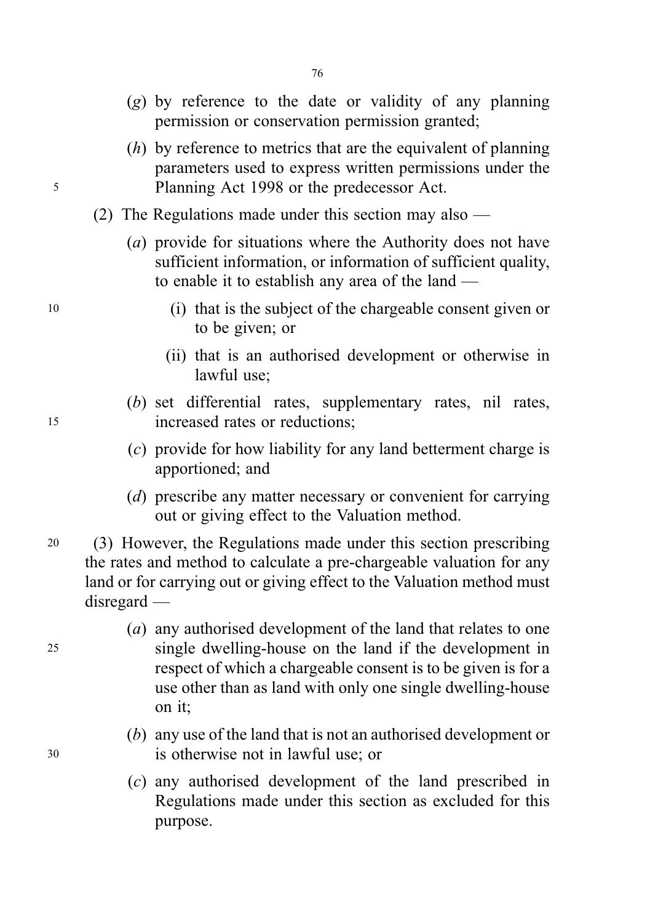- $(g)$  by reference to the date or validity of any planning permission or conservation permission granted;
- (h) by reference to metrics that are the equivalent of planning parameters used to express written permissions under the <sup>5</sup> Planning Act 1998 or the predecessor Act.
	- (2) The Regulations made under this section may also
		- (a) provide for situations where the Authority does not have sufficient information, or information of sufficient quality, to enable it to establish any area of the land —
- <sup>10</sup> (i) that is the subject of the chargeable consent given or to be given; or
	- (ii) that is an authorised development or otherwise in lawful use;
- (b) set differential rates, supplementary rates, nil rates, <sup>15</sup> increased rates or reductions;
	- (c) provide for how liability for any land betterment charge is apportioned; and
	- (d) prescribe any matter necessary or convenient for carrying out or giving effect to the Valuation method.
- <sup>20</sup> (3) However, the Regulations made under this section prescribing the rates and method to calculate a pre-chargeable valuation for any land or for carrying out or giving effect to the Valuation method must disregard —
- (a) any authorised development of the land that relates to one <sup>25</sup> single dwelling-house on the land if the development in respect of which a chargeable consent is to be given is for a use other than as land with only one single dwelling-house on it;
- (b) any use of the land that is not an authorised development or <sup>30</sup> is otherwise not in lawful use; or
	- (c) any authorised development of the land prescribed in Regulations made under this section as excluded for this purpose.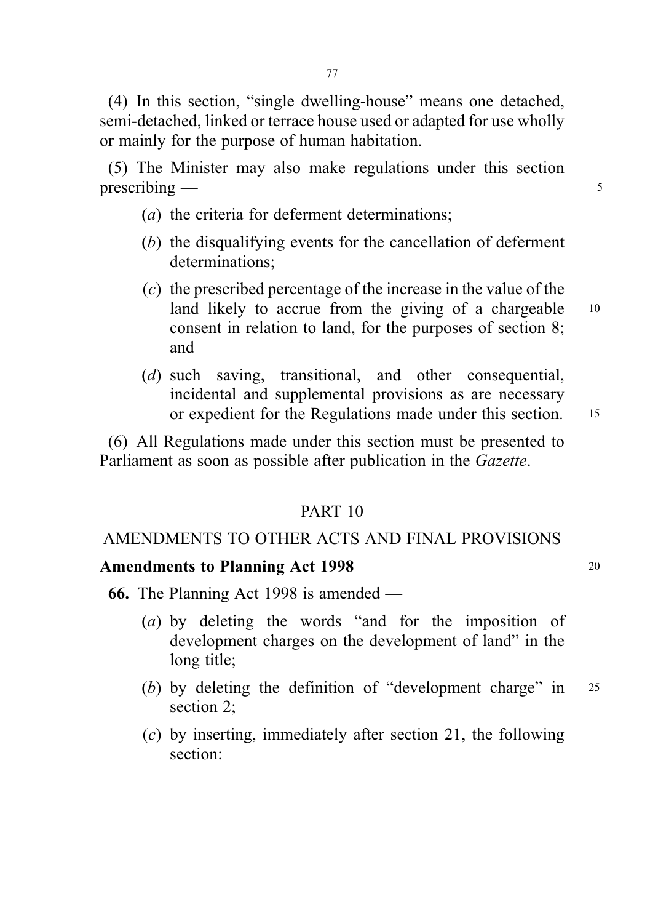(4) In this section, "single dwelling-house" means one detached, semi-detached, linked or terrace house used or adapted for use wholly or mainly for the purpose of human habitation.

(5) The Minister may also make regulations under this section  $prescribing \longrightarrow$  5

- (a) the criteria for deferment determinations;
- (b) the disqualifying events for the cancellation of deferment determinations;
- (c) the prescribed percentage of the increase in the value of the land likely to accrue from the giving of a chargeable 10 consent in relation to land, for the purposes of section 8; and
- (d) such saving, transitional, and other consequential, incidental and supplemental provisions as are necessary or expedient for the Regulations made under this section. <sup>15</sup>

(6) All Regulations made under this section must be presented to Parliament as soon as possible after publication in the Gazette.

## PART 10

## AMENDMENTS TO OTHER ACTS AND FINAL PROVISIONS

## Amendments to Planning Act 1998 20

- 66. The Planning Act 1998 is amended
	- (a) by deleting the words "and for the imposition of development charges on the development of land" in the long title;
	- (b) by deleting the definition of "development charge" in 25 section 2;
	- (c) by inserting, immediately after section 21, the following section: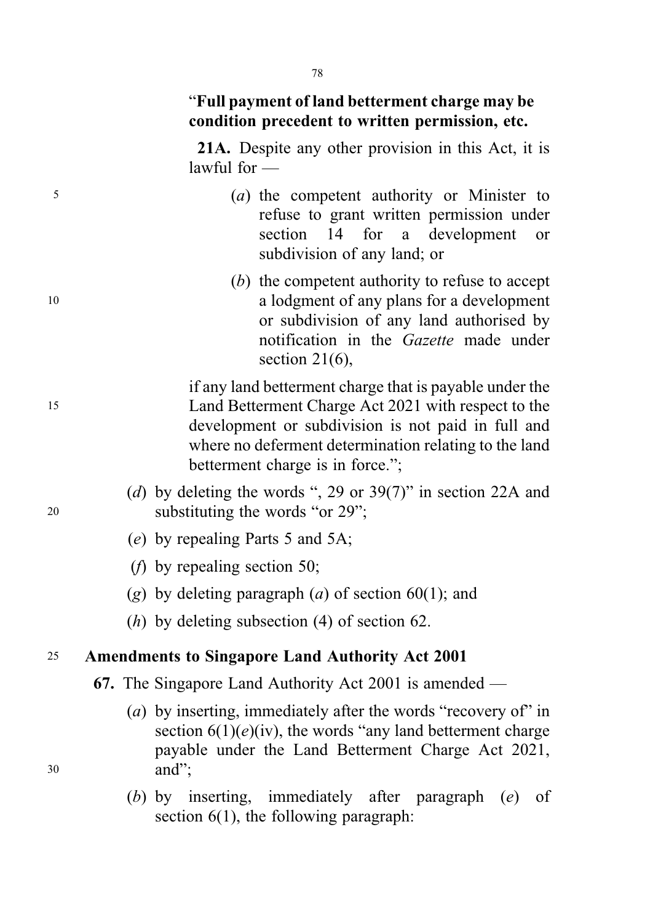## "Full payment of land betterment charge may be condition precedent to written permission, etc.

21A. Despite any other provision in this Act, it is lawful for  $-$ 

- <sup>5</sup> (a) the competent authority or Minister to refuse to grant written permission under section 14 for a development or subdivision of any land; or
- (b) the competent authority to refuse to accept <sup>10</sup> a lodgment of any plans for a development or subdivision of any land authorised by notification in the Gazette made under section 21(6).

if any land betterment charge that is payable under the <sup>15</sup> Land Betterment Charge Act 2021 with respect to the development or subdivision is not paid in full and where no deferment determination relating to the land betterment charge is in force.";

- (d) by deleting the words ", 29 or  $39(7)$ " in section 22A and <sup>20</sup> substituting the words "or 29";
	- (e) by repealing Parts 5 and 5A;
	- (f) by repealing section 50;
	- (g) by deleting paragraph  $(a)$  of section 60(1); and
	- (h) by deleting subsection (4) of section 62.

## <sup>25</sup> Amendments to Singapore Land Authority Act 2001

- 67. The Singapore Land Authority Act 2001 is amended —
- (a) by inserting, immediately after the words "recovery of" in section  $6(1)(e)(iv)$ , the words "any land betterment charge" payable under the Land Betterment Charge Act 2021, <sup>30</sup> and";
	- (b) by inserting, immediately after paragraph (e) of section 6(1), the following paragraph:

78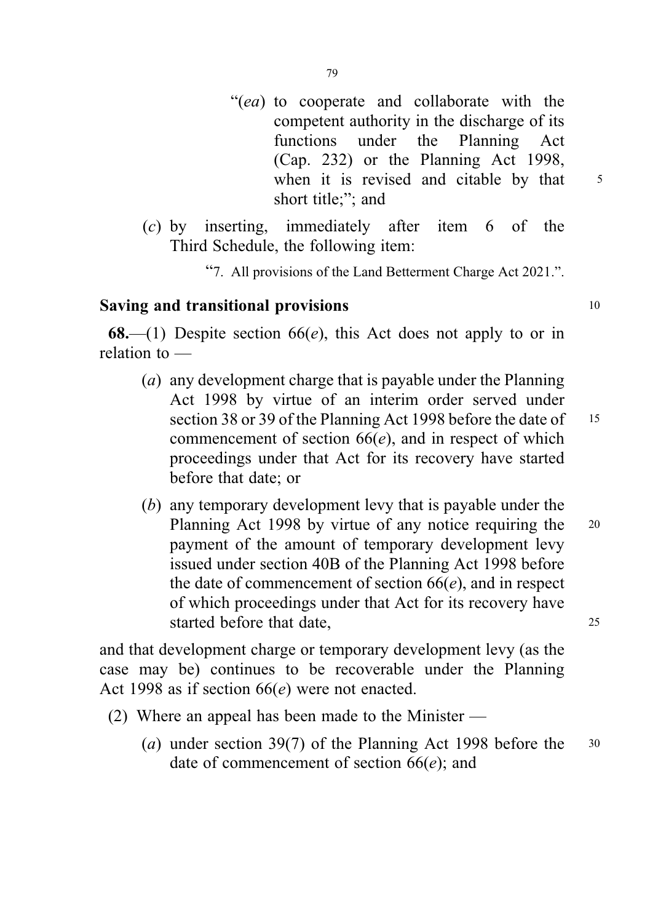- "(ea) to cooperate and collaborate with the competent authority in the discharge of its functions under the Planning Act (Cap. 232) or the Planning Act 1998, when it is revised and citable by that  $5$ short title;"; and
- (c) by inserting, immediately after item 6 of the Third Schedule, the following item:
	- "7. All provisions of the Land Betterment Charge Act 2021.".

## Saving and transitional provisions 10

**68.**—(1) Despite section  $66(e)$ , this Act does not apply to or in relation to —

- (a) any development charge that is payable under the Planning Act 1998 by virtue of an interim order served under section 38 or 39 of the Planning Act 1998 before the date of 15 commencement of section  $66(e)$ , and in respect of which proceedings under that Act for its recovery have started before that date; or
- (b) any temporary development levy that is payable under the Planning Act 1998 by virtue of any notice requiring the 20 payment of the amount of temporary development levy issued under section 40B of the Planning Act 1998 before the date of commencement of section  $66(e)$ , and in respect of which proceedings under that Act for its recovery have started before that date, 25

and that development charge or temporary development levy (as the case may be) continues to be recoverable under the Planning Act 1998 as if section  $66(e)$  were not enacted.

- (2) Where an appeal has been made to the Minister
	- (a) under section 39(7) of the Planning Act 1998 before the 30 date of commencement of section  $66(e)$ ; and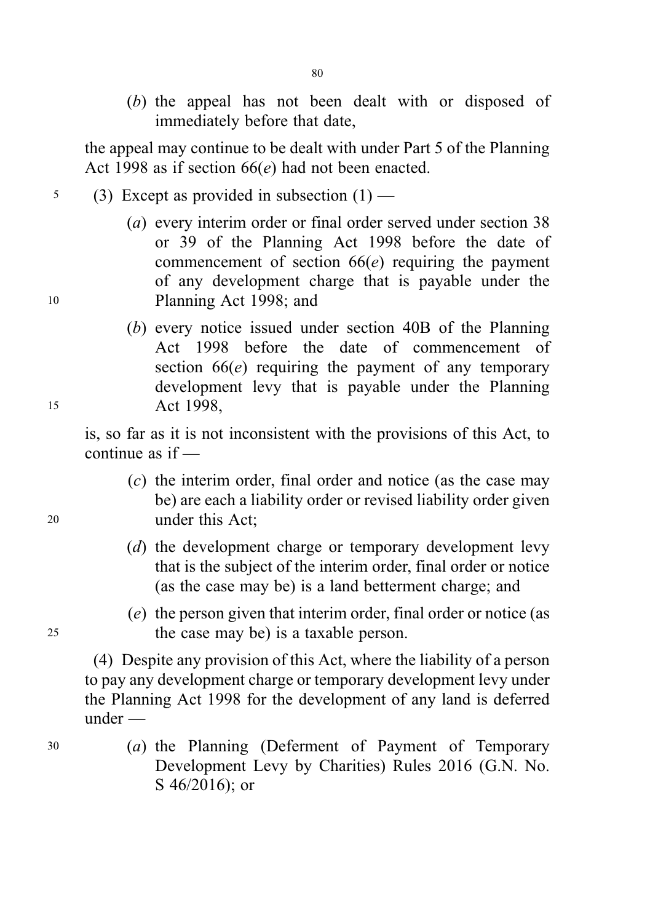(b) the appeal has not been dealt with or disposed of immediately before that date,

the appeal may continue to be dealt with under Part 5 of the Planning Act 1998 as if section  $66(e)$  had not been enacted.

- $5$  (3) Except as provided in subsection  $(1)$  —
- (a) every interim order or final order served under section 38 or 39 of the Planning Act 1998 before the date of commencement of section  $66(e)$  requiring the payment of any development charge that is payable under the <sup>10</sup> Planning Act 1998; and
- (b) every notice issued under section 40B of the Planning Act 1998 before the date of commencement of section  $66(e)$  requiring the payment of any temporary development levy that is payable under the Planning 15 Act 1998,

is, so far as it is not inconsistent with the provisions of this Act, to continue as if —

- (c) the interim order, final order and notice (as the case may be) are each a liability order or revised liability order given <sup>20</sup> under this Act;
	- (d) the development charge or temporary development levy that is the subject of the interim order, final order or notice (as the case may be) is a land betterment charge; and
- (e) the person given that interim order, final order or notice (as <sup>25</sup> the case may be) is a taxable person.

(4) Despite any provision of this Act, where the liability of a person to pay any development charge or temporary development levy under the Planning Act 1998 for the development of any land is deferred under —

<sup>30</sup> (a) the Planning (Deferment of Payment of Temporary Development Levy by Charities) Rules 2016 (G.N. No. S 46/2016); or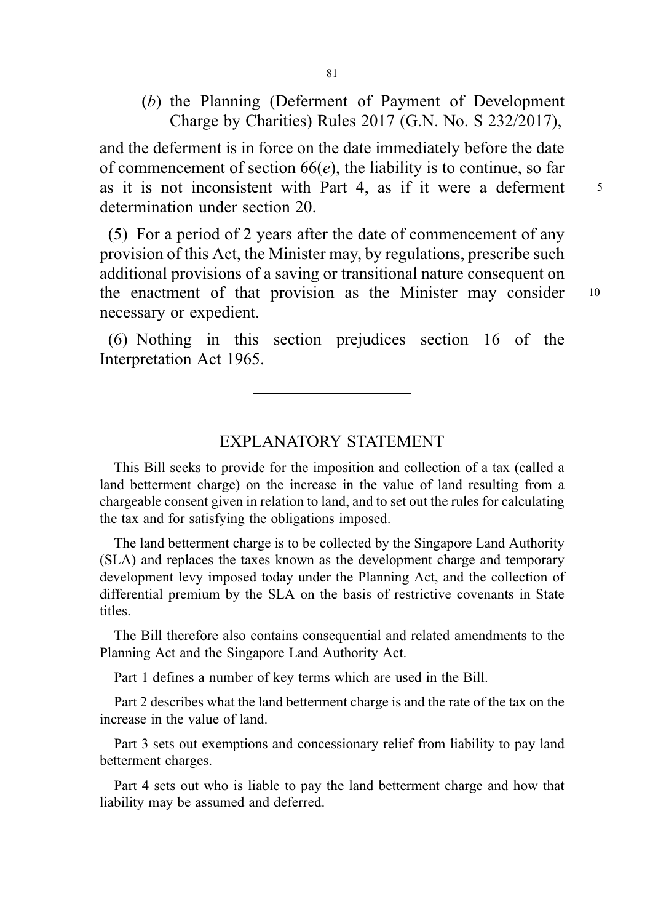(b) the Planning (Deferment of Payment of Development Charge by Charities) Rules 2017 (G.N. No. S 232/2017),

and the deferment is in force on the date immediately before the date of commencement of section  $66(e)$ , the liability is to continue, so far as it is not inconsistent with Part 4, as if it were a deferment  $\frac{5}{5}$ determination under section 20.

(5) For a period of 2 years after the date of commencement of any provision of this Act, the Minister may, by regulations, prescribe such additional provisions of a saving or transitional nature consequent on the enactment of that provision as the Minister may consider <sup>10</sup> necessary or expedient.

(6) Nothing in this section prejudices section 16 of the Interpretation Act 1965.

### EXPLANATORY STATEMENT

This Bill seeks to provide for the imposition and collection of a tax (called a land betterment charge) on the increase in the value of land resulting from a chargeable consent given in relation to land, and to set out the rules for calculating the tax and for satisfying the obligations imposed.

The land betterment charge is to be collected by the Singapore Land Authority (SLA) and replaces the taxes known as the development charge and temporary development levy imposed today under the Planning Act, and the collection of differential premium by the SLA on the basis of restrictive covenants in State titles.

The Bill therefore also contains consequential and related amendments to the Planning Act and the Singapore Land Authority Act.

Part 1 defines a number of key terms which are used in the Bill.

Part 2 describes what the land betterment charge is and the rate of the tax on the increase in the value of land.

Part 3 sets out exemptions and concessionary relief from liability to pay land betterment charges.

Part 4 sets out who is liable to pay the land betterment charge and how that liability may be assumed and deferred.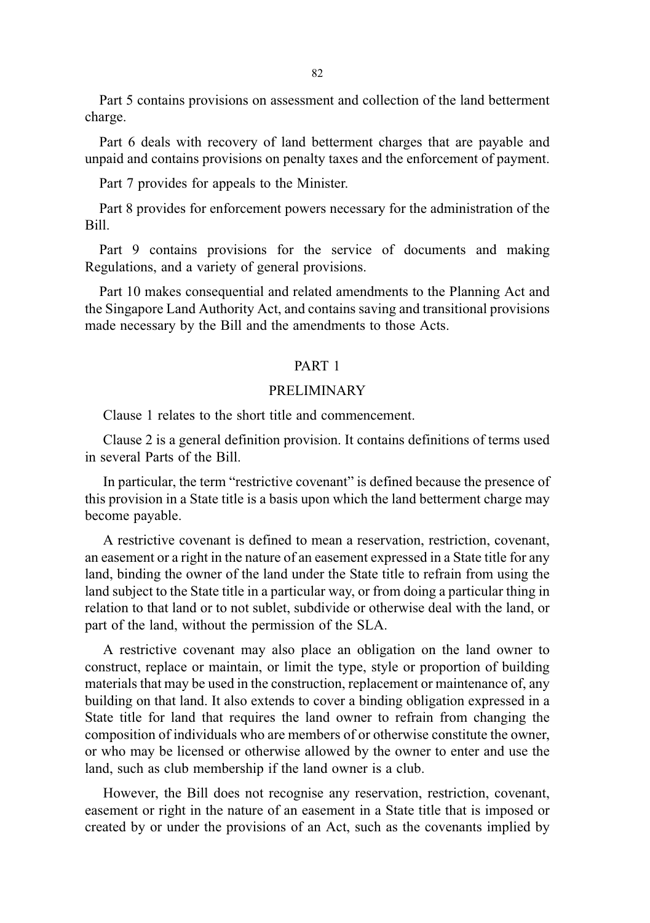82

Part 5 contains provisions on assessment and collection of the land betterment charge.

Part 6 deals with recovery of land betterment charges that are payable and unpaid and contains provisions on penalty taxes and the enforcement of payment.

Part 7 provides for appeals to the Minister.

Part 8 provides for enforcement powers necessary for the administration of the Bill.

Part 9 contains provisions for the service of documents and making Regulations, and a variety of general provisions.

Part 10 makes consequential and related amendments to the Planning Act and the Singapore Land Authority Act, and contains saving and transitional provisions made necessary by the Bill and the amendments to those Acts.

### PART 1

#### PRELIMINARY

Clause 1 relates to the short title and commencement.

Clause 2 is a general definition provision. It contains definitions of terms used in several Parts of the Bill.

In particular, the term "restrictive covenant" is defined because the presence of this provision in a State title is a basis upon which the land betterment charge may become payable.

A restrictive covenant is defined to mean a reservation, restriction, covenant, an easement or a right in the nature of an easement expressed in a State title for any land, binding the owner of the land under the State title to refrain from using the land subject to the State title in a particular way, or from doing a particular thing in relation to that land or to not sublet, subdivide or otherwise deal with the land, or part of the land, without the permission of the SLA.

A restrictive covenant may also place an obligation on the land owner to construct, replace or maintain, or limit the type, style or proportion of building materials that may be used in the construction, replacement or maintenance of, any building on that land. It also extends to cover a binding obligation expressed in a State title for land that requires the land owner to refrain from changing the composition of individuals who are members of or otherwise constitute the owner, or who may be licensed or otherwise allowed by the owner to enter and use the land, such as club membership if the land owner is a club.

However, the Bill does not recognise any reservation, restriction, covenant, easement or right in the nature of an easement in a State title that is imposed or created by or under the provisions of an Act, such as the covenants implied by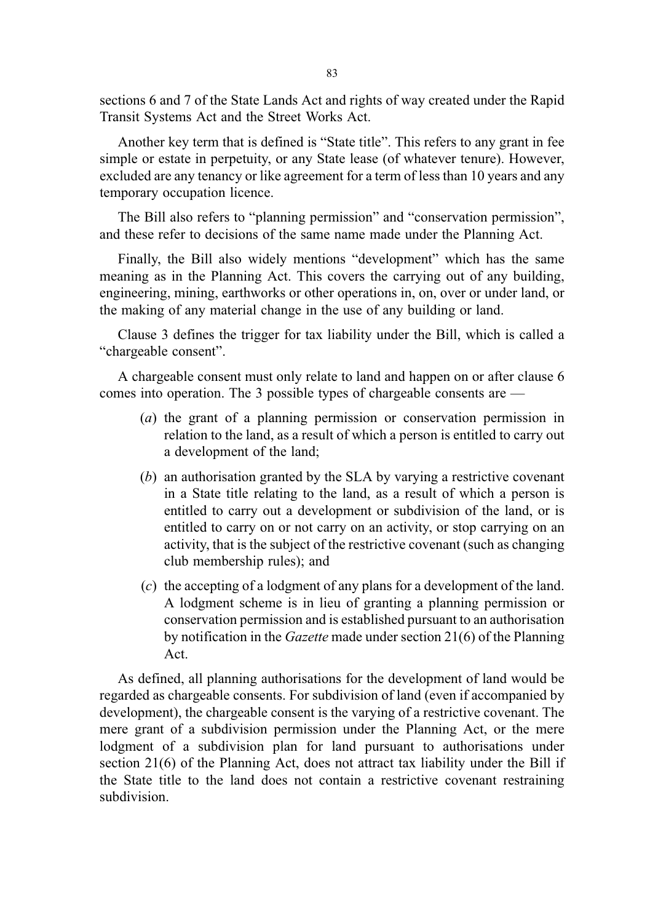sections 6 and 7 of the State Lands Act and rights of way created under the Rapid Transit Systems Act and the Street Works Act.

Another key term that is defined is "State title". This refers to any grant in fee simple or estate in perpetuity, or any State lease (of whatever tenure). However, excluded are any tenancy or like agreement for a term of less than 10 years and any temporary occupation licence.

The Bill also refers to "planning permission" and "conservation permission", and these refer to decisions of the same name made under the Planning Act.

Finally, the Bill also widely mentions "development" which has the same meaning as in the Planning Act. This covers the carrying out of any building, engineering, mining, earthworks or other operations in, on, over or under land, or the making of any material change in the use of any building or land.

Clause 3 defines the trigger for tax liability under the Bill, which is called a "chargeable consent".

A chargeable consent must only relate to land and happen on or after clause 6 comes into operation. The 3 possible types of chargeable consents are —

- (a) the grant of a planning permission or conservation permission in relation to the land, as a result of which a person is entitled to carry out a development of the land;
- (b) an authorisation granted by the SLA by varying a restrictive covenant in a State title relating to the land, as a result of which a person is entitled to carry out a development or subdivision of the land, or is entitled to carry on or not carry on an activity, or stop carrying on an activity, that is the subject of the restrictive covenant (such as changing club membership rules); and
- (c) the accepting of a lodgment of any plans for a development of the land. A lodgment scheme is in lieu of granting a planning permission or conservation permission and is established pursuant to an authorisation by notification in the Gazette made under section 21(6) of the Planning Act.

As defined, all planning authorisations for the development of land would be regarded as chargeable consents. For subdivision of land (even if accompanied by development), the chargeable consent is the varying of a restrictive covenant. The mere grant of a subdivision permission under the Planning Act, or the mere lodgment of a subdivision plan for land pursuant to authorisations under section 21(6) of the Planning Act, does not attract tax liability under the Bill if the State title to the land does not contain a restrictive covenant restraining subdivision.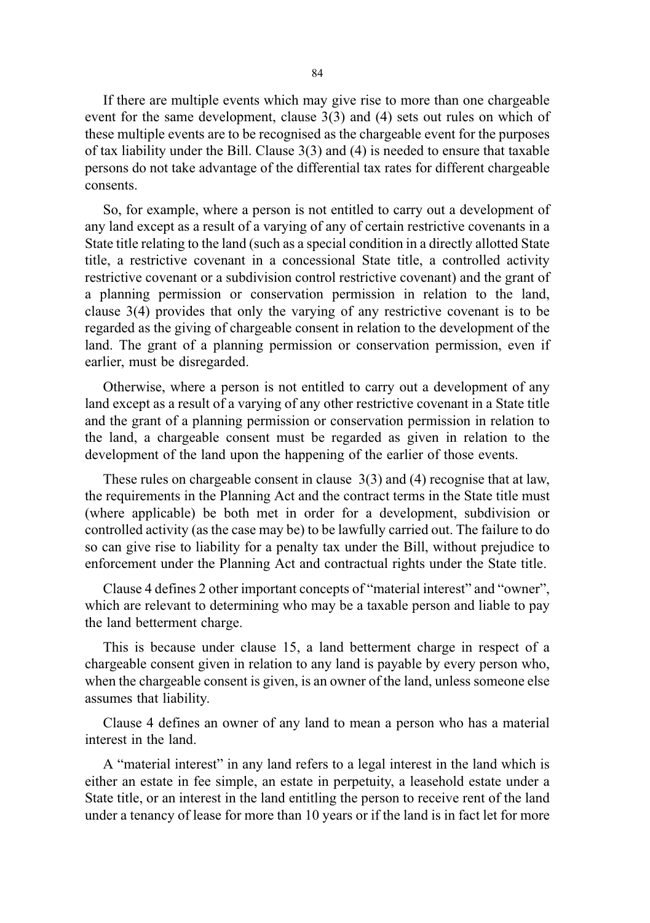If there are multiple events which may give rise to more than one chargeable event for the same development, clause 3(3) and (4) sets out rules on which of these multiple events are to be recognised as the chargeable event for the purposes of tax liability under the Bill. Clause 3(3) and (4) is needed to ensure that taxable persons do not take advantage of the differential tax rates for different chargeable consents.

So, for example, where a person is not entitled to carry out a development of any land except as a result of a varying of any of certain restrictive covenants in a State title relating to the land (such as a special condition in a directly allotted State title, a restrictive covenant in a concessional State title, a controlled activity restrictive covenant or a subdivision control restrictive covenant) and the grant of a planning permission or conservation permission in relation to the land, clause 3(4) provides that only the varying of any restrictive covenant is to be regarded as the giving of chargeable consent in relation to the development of the land. The grant of a planning permission or conservation permission, even if earlier, must be disregarded.

Otherwise, where a person is not entitled to carry out a development of any land except as a result of a varying of any other restrictive covenant in a State title and the grant of a planning permission or conservation permission in relation to the land, a chargeable consent must be regarded as given in relation to the development of the land upon the happening of the earlier of those events.

These rules on chargeable consent in clause 3(3) and (4) recognise that at law, the requirements in the Planning Act and the contract terms in the State title must (where applicable) be both met in order for a development, subdivision or controlled activity (as the case may be) to be lawfully carried out. The failure to do so can give rise to liability for a penalty tax under the Bill, without prejudice to enforcement under the Planning Act and contractual rights under the State title.

Clause 4 defines 2 other important concepts of "material interest" and "owner", which are relevant to determining who may be a taxable person and liable to pay the land betterment charge.

This is because under clause 15, a land betterment charge in respect of a chargeable consent given in relation to any land is payable by every person who, when the chargeable consent is given, is an owner of the land, unless someone else assumes that liability.

Clause 4 defines an owner of any land to mean a person who has a material interest in the land.

A "material interest" in any land refers to a legal interest in the land which is either an estate in fee simple, an estate in perpetuity, a leasehold estate under a State title, or an interest in the land entitling the person to receive rent of the land under a tenancy of lease for more than 10 years or if the land is in fact let for more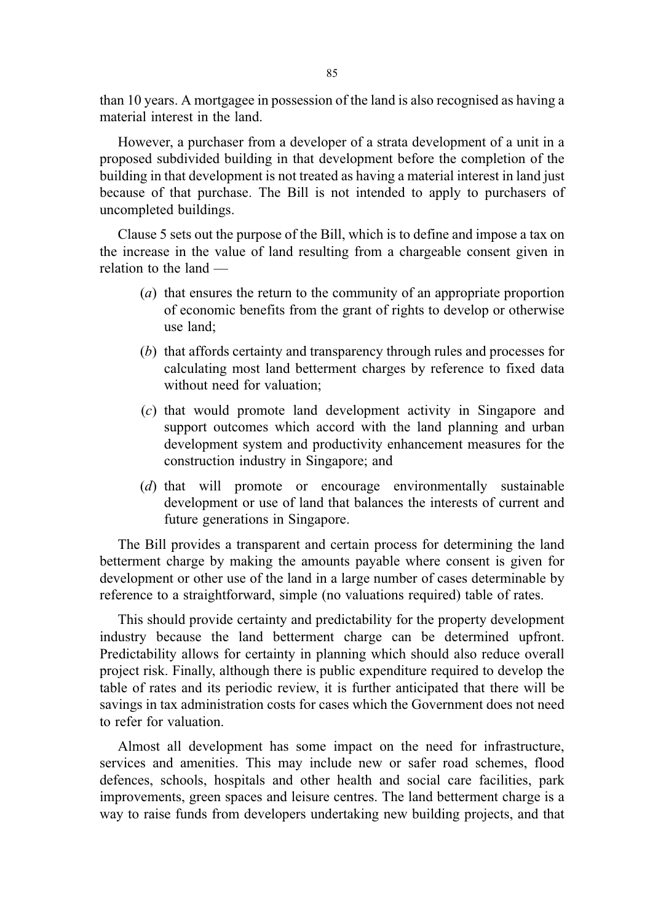than 10 years. A mortgagee in possession of the land is also recognised as having a material interest in the land.

However, a purchaser from a developer of a strata development of a unit in a proposed subdivided building in that development before the completion of the building in that development is not treated as having a material interest in land just because of that purchase. The Bill is not intended to apply to purchasers of uncompleted buildings.

Clause 5 sets out the purpose of the Bill, which is to define and impose a tax on the increase in the value of land resulting from a chargeable consent given in relation to the land —

- (a) that ensures the return to the community of an appropriate proportion of economic benefits from the grant of rights to develop or otherwise use land;
- (b) that affords certainty and transparency through rules and processes for calculating most land betterment charges by reference to fixed data without need for valuation;
- (c) that would promote land development activity in Singapore and support outcomes which accord with the land planning and urban development system and productivity enhancement measures for the construction industry in Singapore; and
- (d) that will promote or encourage environmentally sustainable development or use of land that balances the interests of current and future generations in Singapore.

The Bill provides a transparent and certain process for determining the land betterment charge by making the amounts payable where consent is given for development or other use of the land in a large number of cases determinable by reference to a straightforward, simple (no valuations required) table of rates.

This should provide certainty and predictability for the property development industry because the land betterment charge can be determined upfront. Predictability allows for certainty in planning which should also reduce overall project risk. Finally, although there is public expenditure required to develop the table of rates and its periodic review, it is further anticipated that there will be savings in tax administration costs for cases which the Government does not need to refer for valuation.

Almost all development has some impact on the need for infrastructure, services and amenities. This may include new or safer road schemes, flood defences, schools, hospitals and other health and social care facilities, park improvements, green spaces and leisure centres. The land betterment charge is a way to raise funds from developers undertaking new building projects, and that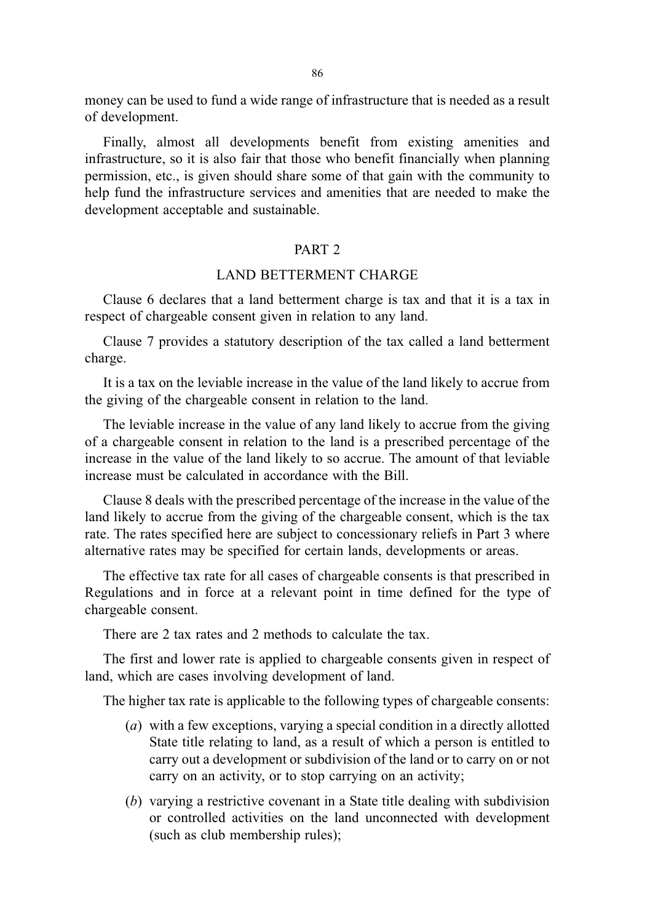money can be used to fund a wide range of infrastructure that is needed as a result of development.

Finally, almost all developments benefit from existing amenities and infrastructure, so it is also fair that those who benefit financially when planning permission, etc., is given should share some of that gain with the community to help fund the infrastructure services and amenities that are needed to make the development acceptable and sustainable.

#### PART<sub>2</sub>

### LAND BETTERMENT CHARGE

Clause 6 declares that a land betterment charge is tax and that it is a tax in respect of chargeable consent given in relation to any land.

Clause 7 provides a statutory description of the tax called a land betterment charge.

It is a tax on the leviable increase in the value of the land likely to accrue from the giving of the chargeable consent in relation to the land.

The leviable increase in the value of any land likely to accrue from the giving of a chargeable consent in relation to the land is a prescribed percentage of the increase in the value of the land likely to so accrue. The amount of that leviable increase must be calculated in accordance with the Bill.

Clause 8 deals with the prescribed percentage of the increase in the value of the land likely to accrue from the giving of the chargeable consent, which is the tax rate. The rates specified here are subject to concessionary reliefs in Part 3 where alternative rates may be specified for certain lands, developments or areas.

The effective tax rate for all cases of chargeable consents is that prescribed in Regulations and in force at a relevant point in time defined for the type of chargeable consent.

There are 2 tax rates and 2 methods to calculate the tax.

The first and lower rate is applied to chargeable consents given in respect of land, which are cases involving development of land.

The higher tax rate is applicable to the following types of chargeable consents:

- (a) with a few exceptions, varying a special condition in a directly allotted State title relating to land, as a result of which a person is entitled to carry out a development or subdivision of the land or to carry on or not carry on an activity, or to stop carrying on an activity;
- (b) varying a restrictive covenant in a State title dealing with subdivision or controlled activities on the land unconnected with development (such as club membership rules);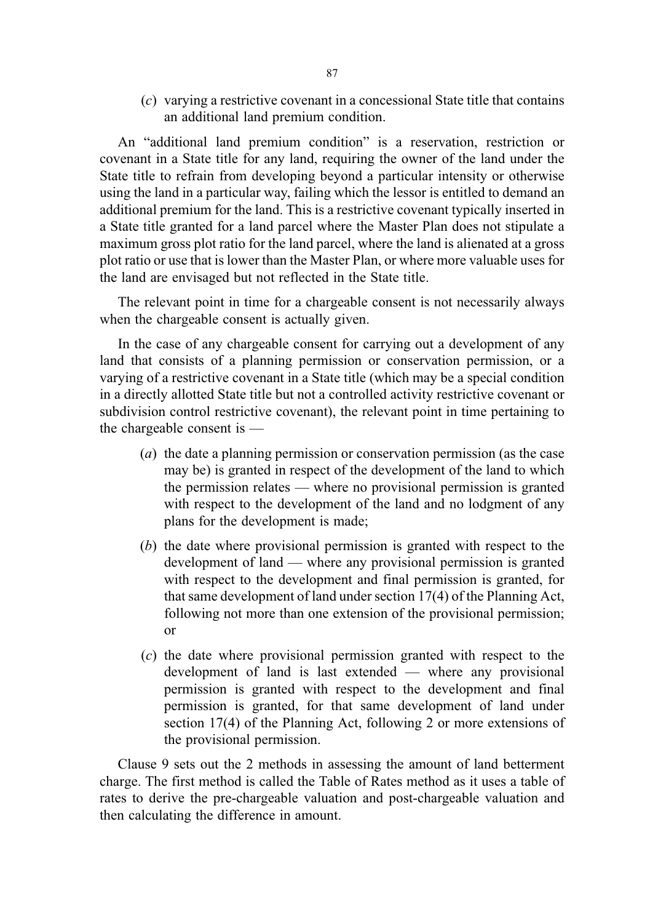(c) varying a restrictive covenant in a concessional State title that contains an additional land premium condition.

An "additional land premium condition" is a reservation, restriction or covenant in a State title for any land, requiring the owner of the land under the State title to refrain from developing beyond a particular intensity or otherwise using the land in a particular way, failing which the lessor is entitled to demand an additional premium for the land. This is a restrictive covenant typically inserted in a State title granted for a land parcel where the Master Plan does not stipulate a maximum gross plot ratio for the land parcel, where the land is alienated at a gross plot ratio or use that is lower than the Master Plan, or where more valuable uses for the land are envisaged but not reflected in the State title.

The relevant point in time for a chargeable consent is not necessarily always when the chargeable consent is actually given.

In the case of any chargeable consent for carrying out a development of any land that consists of a planning permission or conservation permission, or a varying of a restrictive covenant in a State title (which may be a special condition in a directly allotted State title but not a controlled activity restrictive covenant or subdivision control restrictive covenant), the relevant point in time pertaining to the chargeable consent is —

- (a) the date a planning permission or conservation permission (as the case may be) is granted in respect of the development of the land to which the permission relates — where no provisional permission is granted with respect to the development of the land and no lodgment of any plans for the development is made;
- (b) the date where provisional permission is granted with respect to the development of land — where any provisional permission is granted with respect to the development and final permission is granted, for that same development of land under section 17(4) of the Planning Act, following not more than one extension of the provisional permission; or
- (c) the date where provisional permission granted with respect to the development of land is last extended — where any provisional permission is granted with respect to the development and final permission is granted, for that same development of land under section 17(4) of the Planning Act, following 2 or more extensions of the provisional permission.

Clause 9 sets out the 2 methods in assessing the amount of land betterment charge. The first method is called the Table of Rates method as it uses a table of rates to derive the pre-chargeable valuation and post-chargeable valuation and then calculating the difference in amount.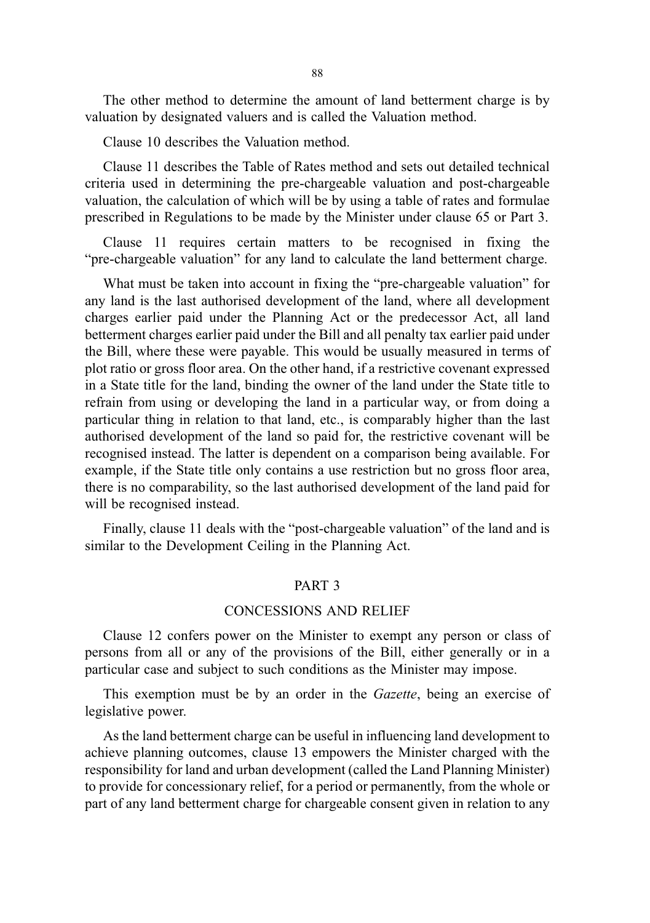The other method to determine the amount of land betterment charge is by valuation by designated valuers and is called the Valuation method.

Clause 10 describes the Valuation method.

Clause 11 describes the Table of Rates method and sets out detailed technical criteria used in determining the pre-chargeable valuation and post-chargeable valuation, the calculation of which will be by using a table of rates and formulae prescribed in Regulations to be made by the Minister under clause 65 or Part 3.

Clause 11 requires certain matters to be recognised in fixing the "pre-chargeable valuation" for any land to calculate the land betterment charge.

What must be taken into account in fixing the "pre-chargeable valuation" for any land is the last authorised development of the land, where all development charges earlier paid under the Planning Act or the predecessor Act, all land betterment charges earlier paid under the Bill and all penalty tax earlier paid under the Bill, where these were payable. This would be usually measured in terms of plot ratio or gross floor area. On the other hand, if a restrictive covenant expressed in a State title for the land, binding the owner of the land under the State title to refrain from using or developing the land in a particular way, or from doing a particular thing in relation to that land, etc., is comparably higher than the last authorised development of the land so paid for, the restrictive covenant will be recognised instead. The latter is dependent on a comparison being available. For example, if the State title only contains a use restriction but no gross floor area, there is no comparability, so the last authorised development of the land paid for will be recognised instead.

Finally, clause 11 deals with the "post-chargeable valuation" of the land and is similar to the Development Ceiling in the Planning Act.

#### PART 3

#### CONCESSIONS AND RELIEF

Clause 12 confers power on the Minister to exempt any person or class of persons from all or any of the provisions of the Bill, either generally or in a particular case and subject to such conditions as the Minister may impose.

This exemption must be by an order in the Gazette, being an exercise of legislative power.

As the land betterment charge can be useful in influencing land development to achieve planning outcomes, clause 13 empowers the Minister charged with the responsibility for land and urban development (called the Land Planning Minister) to provide for concessionary relief, for a period or permanently, from the whole or part of any land betterment charge for chargeable consent given in relation to any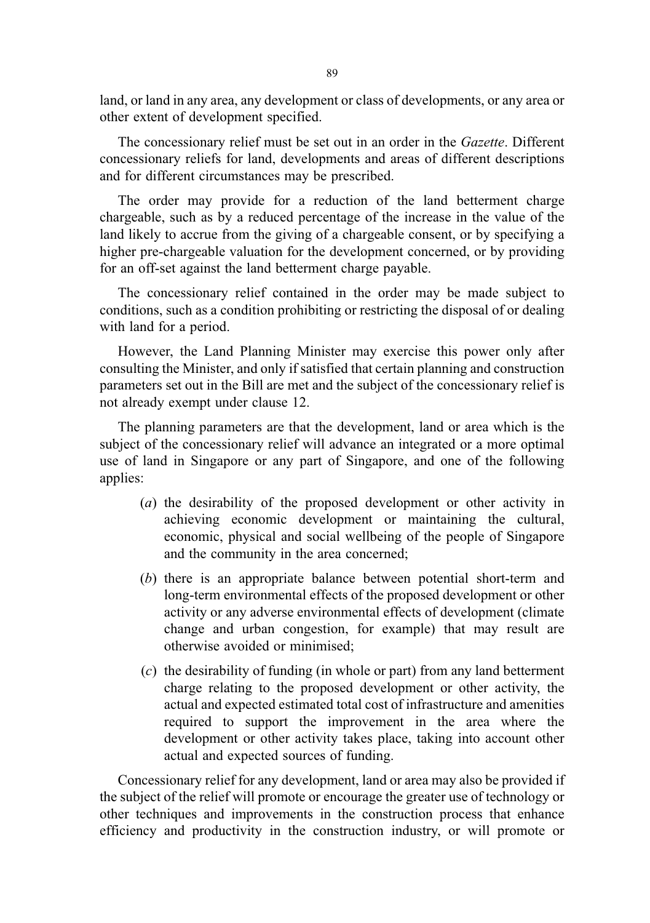land, or land in any area, any development or class of developments, or any area or other extent of development specified.

The concessionary relief must be set out in an order in the Gazette. Different concessionary reliefs for land, developments and areas of different descriptions and for different circumstances may be prescribed.

The order may provide for a reduction of the land betterment charge chargeable, such as by a reduced percentage of the increase in the value of the land likely to accrue from the giving of a chargeable consent, or by specifying a higher pre-chargeable valuation for the development concerned, or by providing for an off-set against the land betterment charge payable.

The concessionary relief contained in the order may be made subject to conditions, such as a condition prohibiting or restricting the disposal of or dealing with land for a period.

However, the Land Planning Minister may exercise this power only after consulting the Minister, and only if satisfied that certain planning and construction parameters set out in the Bill are met and the subject of the concessionary relief is not already exempt under clause 12.

The planning parameters are that the development, land or area which is the subject of the concessionary relief will advance an integrated or a more optimal use of land in Singapore or any part of Singapore, and one of the following applies:

- (a) the desirability of the proposed development or other activity in achieving economic development or maintaining the cultural, economic, physical and social wellbeing of the people of Singapore and the community in the area concerned;
- (b) there is an appropriate balance between potential short-term and long-term environmental effects of the proposed development or other activity or any adverse environmental effects of development (climate change and urban congestion, for example) that may result are otherwise avoided or minimised;
- (c) the desirability of funding (in whole or part) from any land betterment charge relating to the proposed development or other activity, the actual and expected estimated total cost of infrastructure and amenities required to support the improvement in the area where the development or other activity takes place, taking into account other actual and expected sources of funding.

Concessionary relief for any development, land or area may also be provided if the subject of the relief will promote or encourage the greater use of technology or other techniques and improvements in the construction process that enhance efficiency and productivity in the construction industry, or will promote or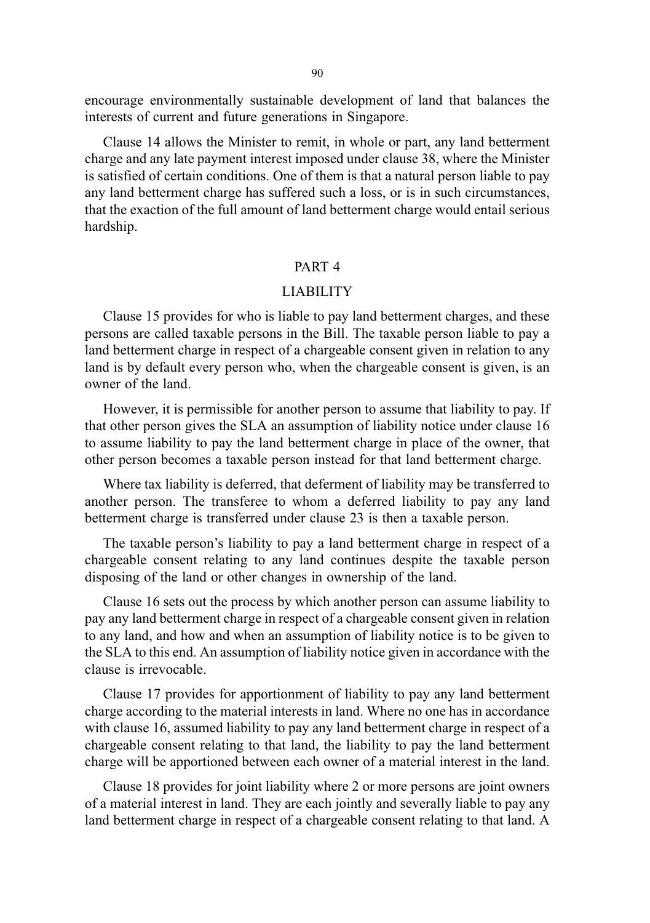encourage environmentally sustainable development of land that balances the interests of current and future generations in Singapore.

Clause 14 allows the Minister to remit, in whole or part, any land betterment charge and any late payment interest imposed under clause 38, where the Minister is satisfied of certain conditions. One of them is that a natural person liable to pay any land betterment charge has suffered such a loss, or is in such circumstances, that the exaction of the full amount of land betterment charge would entail serious hardship.

#### PART 4

#### LIABILITY

Clause 15 provides for who is liable to pay land betterment charges, and these persons are called taxable persons in the Bill. The taxable person liable to pay a land betterment charge in respect of a chargeable consent given in relation to any land is by default every person who, when the chargeable consent is given, is an owner of the land.

However, it is permissible for another person to assume that liability to pay. If that other person gives the SLA an assumption of liability notice under clause 16 to assume liability to pay the land betterment charge in place of the owner, that other person becomes a taxable person instead for that land betterment charge.

Where tax liability is deferred, that deferment of liability may be transferred to another person. The transferee to whom a deferred liability to pay any land betterment charge is transferred under clause 23 is then a taxable person.

The taxable person's liability to pay a land betterment charge in respect of a chargeable consent relating to any land continues despite the taxable person disposing of the land or other changes in ownership of the land.

Clause 16 sets out the process by which another person can assume liability to pay any land betterment charge in respect of a chargeable consent given in relation to any land, and how and when an assumption of liability notice is to be given to the SLA to this end. An assumption of liability notice given in accordance with the clause is irrevocable.

Clause 17 provides for apportionment of liability to pay any land betterment charge according to the material interests in land. Where no one has in accordance with clause 16, assumed liability to pay any land betterment charge in respect of a chargeable consent relating to that land, the liability to pay the land betterment charge will be apportioned between each owner of a material interest in the land.

Clause 18 provides for joint liability where 2 or more persons are joint owners of a material interest in land. They are each jointly and severally liable to pay any land betterment charge in respect of a chargeable consent relating to that land. A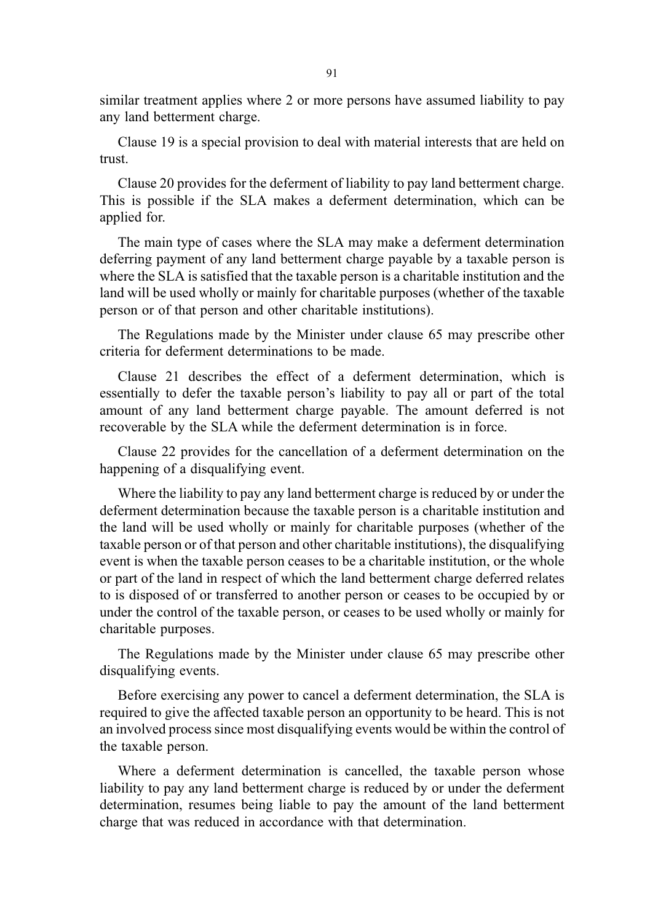similar treatment applies where 2 or more persons have assumed liability to pay any land betterment charge.

Clause 19 is a special provision to deal with material interests that are held on trust.

Clause 20 provides for the deferment of liability to pay land betterment charge. This is possible if the SLA makes a deferment determination, which can be applied for.

The main type of cases where the SLA may make a deferment determination deferring payment of any land betterment charge payable by a taxable person is where the SLA is satisfied that the taxable person is a charitable institution and the land will be used wholly or mainly for charitable purposes (whether of the taxable person or of that person and other charitable institutions).

The Regulations made by the Minister under clause 65 may prescribe other criteria for deferment determinations to be made.

Clause 21 describes the effect of a deferment determination, which is essentially to defer the taxable person's liability to pay all or part of the total amount of any land betterment charge payable. The amount deferred is not recoverable by the SLA while the deferment determination is in force.

Clause 22 provides for the cancellation of a deferment determination on the happening of a disqualifying event.

Where the liability to pay any land betterment charge is reduced by or under the deferment determination because the taxable person is a charitable institution and the land will be used wholly or mainly for charitable purposes (whether of the taxable person or of that person and other charitable institutions), the disqualifying event is when the taxable person ceases to be a charitable institution, or the whole or part of the land in respect of which the land betterment charge deferred relates to is disposed of or transferred to another person or ceases to be occupied by or under the control of the taxable person, or ceases to be used wholly or mainly for charitable purposes.

The Regulations made by the Minister under clause 65 may prescribe other disqualifying events.

Before exercising any power to cancel a deferment determination, the SLA is required to give the affected taxable person an opportunity to be heard. This is not an involved process since most disqualifying events would be within the control of the taxable person.

Where a deferment determination is cancelled, the taxable person whose liability to pay any land betterment charge is reduced by or under the deferment determination, resumes being liable to pay the amount of the land betterment charge that was reduced in accordance with that determination.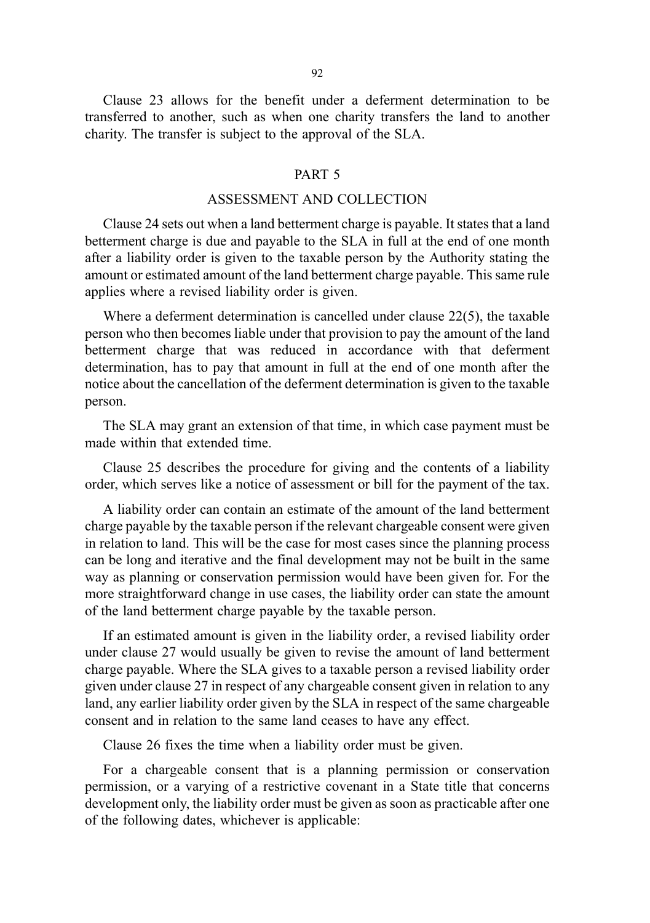Clause 23 allows for the benefit under a deferment determination to be transferred to another, such as when one charity transfers the land to another charity. The transfer is subject to the approval of the SLA.

#### PART 5

### ASSESSMENT AND COLLECTION

Clause 24 sets out when a land betterment charge is payable. It states that a land betterment charge is due and payable to the SLA in full at the end of one month after a liability order is given to the taxable person by the Authority stating the amount or estimated amount of the land betterment charge payable. This same rule applies where a revised liability order is given.

Where a deferment determination is cancelled under clause 22(5), the taxable person who then becomes liable under that provision to pay the amount of the land betterment charge that was reduced in accordance with that deferment determination, has to pay that amount in full at the end of one month after the notice about the cancellation of the deferment determination is given to the taxable person.

The SLA may grant an extension of that time, in which case payment must be made within that extended time.

Clause 25 describes the procedure for giving and the contents of a liability order, which serves like a notice of assessment or bill for the payment of the tax.

A liability order can contain an estimate of the amount of the land betterment charge payable by the taxable person if the relevant chargeable consent were given in relation to land. This will be the case for most cases since the planning process can be long and iterative and the final development may not be built in the same way as planning or conservation permission would have been given for. For the more straightforward change in use cases, the liability order can state the amount of the land betterment charge payable by the taxable person.

If an estimated amount is given in the liability order, a revised liability order under clause 27 would usually be given to revise the amount of land betterment charge payable. Where the SLA gives to a taxable person a revised liability order given under clause 27 in respect of any chargeable consent given in relation to any land, any earlier liability order given by the SLA in respect of the same chargeable consent and in relation to the same land ceases to have any effect.

Clause 26 fixes the time when a liability order must be given.

For a chargeable consent that is a planning permission or conservation permission, or a varying of a restrictive covenant in a State title that concerns development only, the liability order must be given as soon as practicable after one of the following dates, whichever is applicable: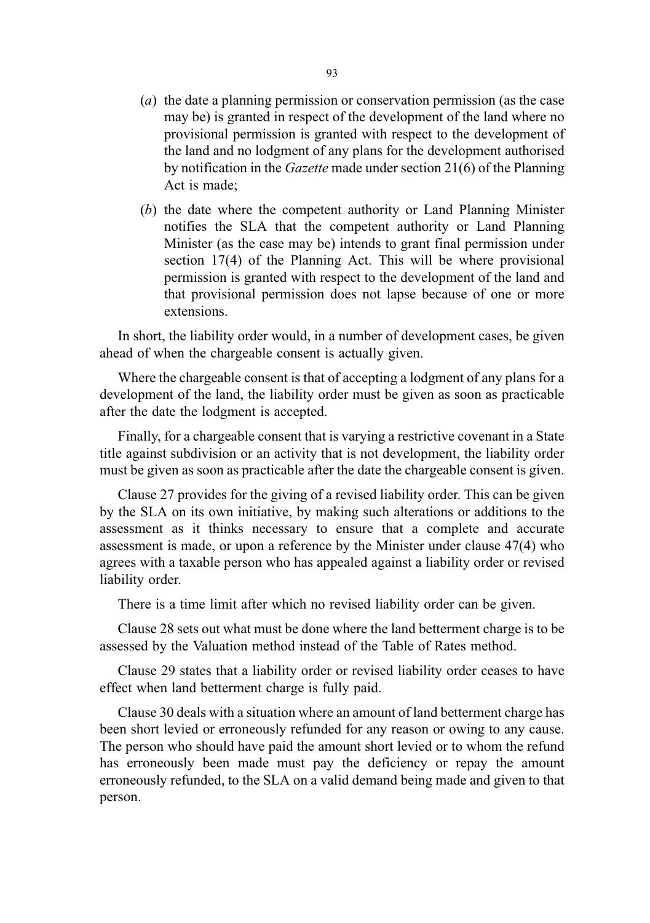- (a) the date a planning permission or conservation permission (as the case may be) is granted in respect of the development of the land where no provisional permission is granted with respect to the development of the land and no lodgment of any plans for the development authorised by notification in the Gazette made under section 21(6) of the Planning Act is made;
- (b) the date where the competent authority or Land Planning Minister notifies the SLA that the competent authority or Land Planning Minister (as the case may be) intends to grant final permission under section 17(4) of the Planning Act. This will be where provisional permission is granted with respect to the development of the land and that provisional permission does not lapse because of one or more extensions.

In short, the liability order would, in a number of development cases, be given ahead of when the chargeable consent is actually given.

Where the chargeable consent is that of accepting a lodgment of any plans for a development of the land, the liability order must be given as soon as practicable after the date the lodgment is accepted.

Finally, for a chargeable consent that is varying a restrictive covenant in a State title against subdivision or an activity that is not development, the liability order must be given as soon as practicable after the date the chargeable consent is given.

Clause 27 provides for the giving of a revised liability order. This can be given by the SLA on its own initiative, by making such alterations or additions to the assessment as it thinks necessary to ensure that a complete and accurate assessment is made, or upon a reference by the Minister under clause 47(4) who agrees with a taxable person who has appealed against a liability order or revised liability order.

There is a time limit after which no revised liability order can be given.

Clause 28 sets out what must be done where the land betterment charge is to be assessed by the Valuation method instead of the Table of Rates method.

Clause 29 states that a liability order or revised liability order ceases to have effect when land betterment charge is fully paid.

Clause 30 deals with a situation where an amount of land betterment charge has been short levied or erroneously refunded for any reason or owing to any cause. The person who should have paid the amount short levied or to whom the refund has erroneously been made must pay the deficiency or repay the amount erroneously refunded, to the SLA on a valid demand being made and given to that person.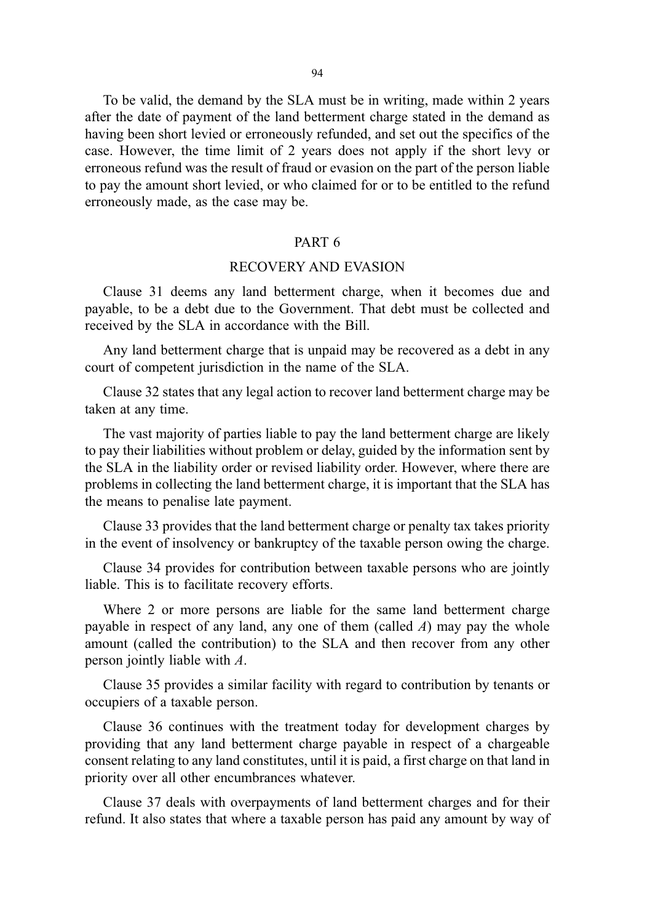To be valid, the demand by the SLA must be in writing, made within 2 years after the date of payment of the land betterment charge stated in the demand as having been short levied or erroneously refunded, and set out the specifics of the case. However, the time limit of 2 years does not apply if the short levy or erroneous refund was the result of fraud or evasion on the part of the person liable to pay the amount short levied, or who claimed for or to be entitled to the refund erroneously made, as the case may be.

### PART 6

### RECOVERY AND EVASION

Clause 31 deems any land betterment charge, when it becomes due and payable, to be a debt due to the Government. That debt must be collected and received by the SLA in accordance with the Bill.

Any land betterment charge that is unpaid may be recovered as a debt in any court of competent jurisdiction in the name of the SLA.

Clause 32 states that any legal action to recover land betterment charge may be taken at any time.

The vast majority of parties liable to pay the land betterment charge are likely to pay their liabilities without problem or delay, guided by the information sent by the SLA in the liability order or revised liability order. However, where there are problems in collecting the land betterment charge, it is important that the SLA has the means to penalise late payment.

Clause 33 provides that the land betterment charge or penalty tax takes priority in the event of insolvency or bankruptcy of the taxable person owing the charge.

Clause 34 provides for contribution between taxable persons who are jointly liable. This is to facilitate recovery efforts.

Where 2 or more persons are liable for the same land betterment charge payable in respect of any land, any one of them (called  $A$ ) may pay the whole amount (called the contribution) to the SLA and then recover from any other person jointly liable with A.

Clause 35 provides a similar facility with regard to contribution by tenants or occupiers of a taxable person.

Clause 36 continues with the treatment today for development charges by providing that any land betterment charge payable in respect of a chargeable consent relating to any land constitutes, until it is paid, a first charge on that land in priority over all other encumbrances whatever.

Clause 37 deals with overpayments of land betterment charges and for their refund. It also states that where a taxable person has paid any amount by way of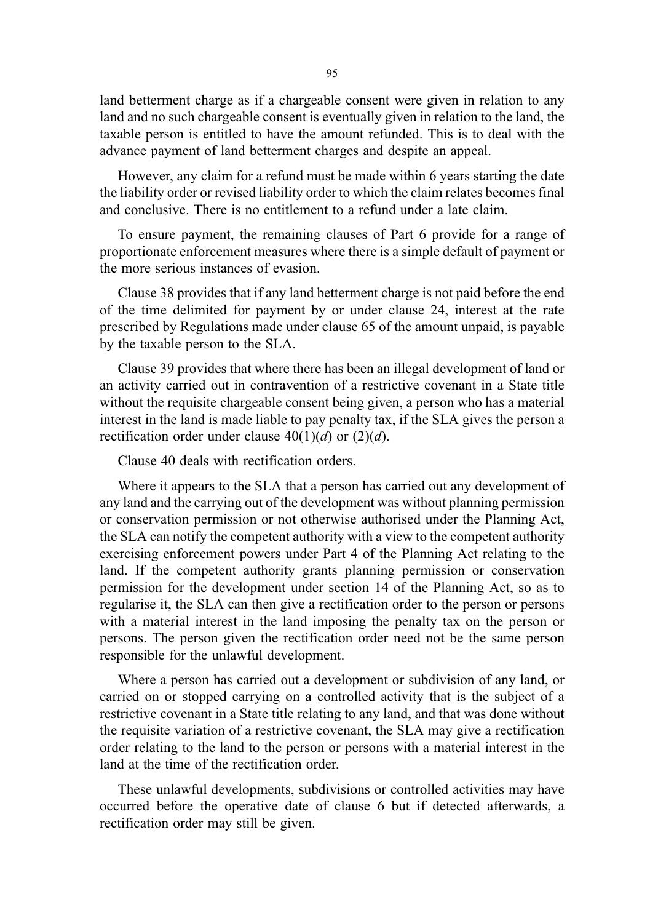land betterment charge as if a chargeable consent were given in relation to any land and no such chargeable consent is eventually given in relation to the land, the taxable person is entitled to have the amount refunded. This is to deal with the advance payment of land betterment charges and despite an appeal.

However, any claim for a refund must be made within 6 years starting the date the liability order or revised liability order to which the claim relates becomes final and conclusive. There is no entitlement to a refund under a late claim.

To ensure payment, the remaining clauses of Part 6 provide for a range of proportionate enforcement measures where there is a simple default of payment or the more serious instances of evasion.

Clause 38 provides that if any land betterment charge is not paid before the end of the time delimited for payment by or under clause 24, interest at the rate prescribed by Regulations made under clause 65 of the amount unpaid, is payable by the taxable person to the SLA.

Clause 39 provides that where there has been an illegal development of land or an activity carried out in contravention of a restrictive covenant in a State title without the requisite chargeable consent being given, a person who has a material interest in the land is made liable to pay penalty tax, if the SLA gives the person a rectification order under clause  $40(1)(d)$  or  $(2)(d)$ .

Clause 40 deals with rectification orders.

Where it appears to the SLA that a person has carried out any development of any land and the carrying out of the development was without planning permission or conservation permission or not otherwise authorised under the Planning Act, the SLA can notify the competent authority with a view to the competent authority exercising enforcement powers under Part 4 of the Planning Act relating to the land. If the competent authority grants planning permission or conservation permission for the development under section 14 of the Planning Act, so as to regularise it, the SLA can then give a rectification order to the person or persons with a material interest in the land imposing the penalty tax on the person or persons. The person given the rectification order need not be the same person responsible for the unlawful development.

Where a person has carried out a development or subdivision of any land, or carried on or stopped carrying on a controlled activity that is the subject of a restrictive covenant in a State title relating to any land, and that was done without the requisite variation of a restrictive covenant, the SLA may give a rectification order relating to the land to the person or persons with a material interest in the land at the time of the rectification order.

These unlawful developments, subdivisions or controlled activities may have occurred before the operative date of clause 6 but if detected afterwards, a rectification order may still be given.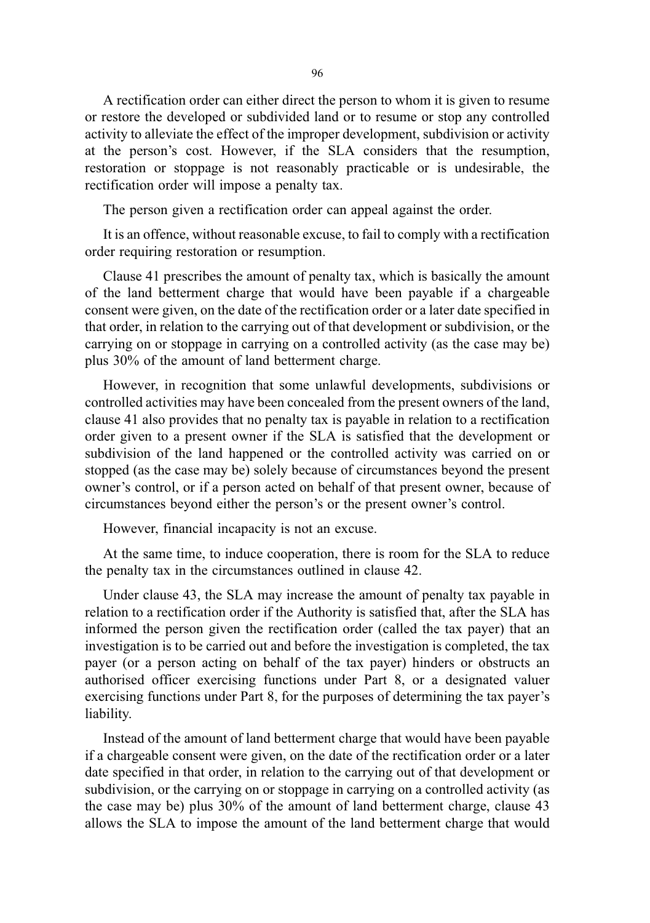A rectification order can either direct the person to whom it is given to resume or restore the developed or subdivided land or to resume or stop any controlled activity to alleviate the effect of the improper development, subdivision or activity at the person's cost. However, if the SLA considers that the resumption, restoration or stoppage is not reasonably practicable or is undesirable, the rectification order will impose a penalty tax.

The person given a rectification order can appeal against the order.

It is an offence, without reasonable excuse, to fail to comply with a rectification order requiring restoration or resumption.

Clause 41 prescribes the amount of penalty tax, which is basically the amount of the land betterment charge that would have been payable if a chargeable consent were given, on the date of the rectification order or a later date specified in that order, in relation to the carrying out of that development or subdivision, or the carrying on or stoppage in carrying on a controlled activity (as the case may be) plus 30% of the amount of land betterment charge.

However, in recognition that some unlawful developments, subdivisions or controlled activities may have been concealed from the present owners of the land, clause 41 also provides that no penalty tax is payable in relation to a rectification order given to a present owner if the SLA is satisfied that the development or subdivision of the land happened or the controlled activity was carried on or stopped (as the case may be) solely because of circumstances beyond the present owner's control, or if a person acted on behalf of that present owner, because of circumstances beyond either the person's or the present owner's control.

However, financial incapacity is not an excuse.

At the same time, to induce cooperation, there is room for the SLA to reduce the penalty tax in the circumstances outlined in clause 42.

Under clause 43, the SLA may increase the amount of penalty tax payable in relation to a rectification order if the Authority is satisfied that, after the SLA has informed the person given the rectification order (called the tax payer) that an investigation is to be carried out and before the investigation is completed, the tax payer (or a person acting on behalf of the tax payer) hinders or obstructs an authorised officer exercising functions under Part 8, or a designated valuer exercising functions under Part 8, for the purposes of determining the tax payer's liability.

Instead of the amount of land betterment charge that would have been payable if a chargeable consent were given, on the date of the rectification order or a later date specified in that order, in relation to the carrying out of that development or subdivision, or the carrying on or stoppage in carrying on a controlled activity (as the case may be) plus 30% of the amount of land betterment charge, clause 43 allows the SLA to impose the amount of the land betterment charge that would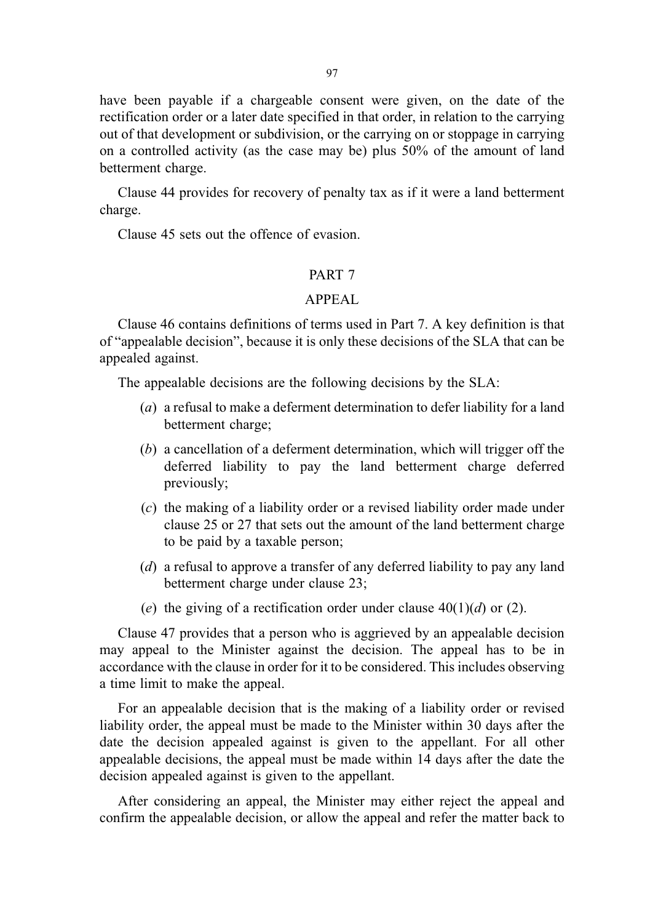have been payable if a chargeable consent were given, on the date of the rectification order or a later date specified in that order, in relation to the carrying out of that development or subdivision, or the carrying on or stoppage in carrying on a controlled activity (as the case may be) plus 50% of the amount of land betterment charge.

Clause 44 provides for recovery of penalty tax as if it were a land betterment charge.

Clause 45 sets out the offence of evasion.

### PART 7

#### APPEAL

Clause 46 contains definitions of terms used in Part 7. A key definition is that of "appealable decision", because it is only these decisions of the SLA that can be appealed against.

The appealable decisions are the following decisions by the SLA:

- (a) a refusal to make a deferment determination to defer liability for a land betterment charge;
- (b) a cancellation of a deferment determination, which will trigger off the deferred liability to pay the land betterment charge deferred previously;
- (c) the making of a liability order or a revised liability order made under clause 25 or 27 that sets out the amount of the land betterment charge to be paid by a taxable person;
- (d) a refusal to approve a transfer of any deferred liability to pay any land betterment charge under clause 23;
- (e) the giving of a rectification order under clause  $40(1)(d)$  or (2).

Clause 47 provides that a person who is aggrieved by an appealable decision may appeal to the Minister against the decision. The appeal has to be in accordance with the clause in order for it to be considered. This includes observing a time limit to make the appeal.

For an appealable decision that is the making of a liability order or revised liability order, the appeal must be made to the Minister within 30 days after the date the decision appealed against is given to the appellant. For all other appealable decisions, the appeal must be made within 14 days after the date the decision appealed against is given to the appellant.

After considering an appeal, the Minister may either reject the appeal and confirm the appealable decision, or allow the appeal and refer the matter back to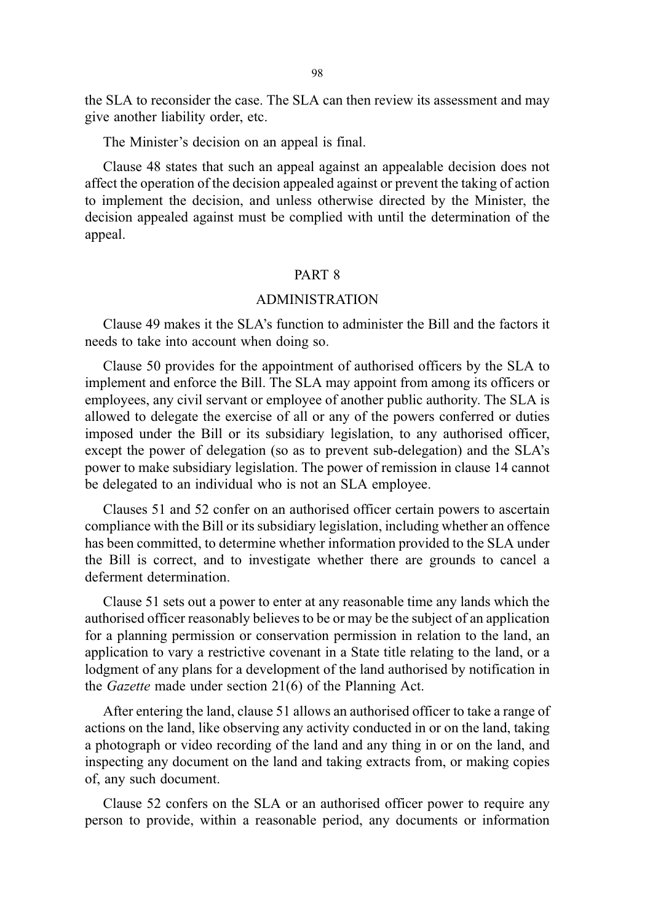the SLA to reconsider the case. The SLA can then review its assessment and may give another liability order, etc.

The Minister's decision on an appeal is final.

Clause 48 states that such an appeal against an appealable decision does not affect the operation of the decision appealed against or prevent the taking of action to implement the decision, and unless otherwise directed by the Minister, the decision appealed against must be complied with until the determination of the appeal.

#### PART 8

#### ADMINISTRATION

Clause 49 makes it the SLA's function to administer the Bill and the factors it needs to take into account when doing so.

Clause 50 provides for the appointment of authorised officers by the SLA to implement and enforce the Bill. The SLA may appoint from among its officers or employees, any civil servant or employee of another public authority. The SLA is allowed to delegate the exercise of all or any of the powers conferred or duties imposed under the Bill or its subsidiary legislation, to any authorised officer, except the power of delegation (so as to prevent sub-delegation) and the SLA's power to make subsidiary legislation. The power of remission in clause 14 cannot be delegated to an individual who is not an SLA employee.

Clauses 51 and 52 confer on an authorised officer certain powers to ascertain compliance with the Bill or its subsidiary legislation, including whether an offence has been committed, to determine whether information provided to the SLA under the Bill is correct, and to investigate whether there are grounds to cancel a deferment determination.

Clause 51 sets out a power to enter at any reasonable time any lands which the authorised officer reasonably believes to be or may be the subject of an application for a planning permission or conservation permission in relation to the land, an application to vary a restrictive covenant in a State title relating to the land, or a lodgment of any plans for a development of the land authorised by notification in the Gazette made under section 21(6) of the Planning Act.

After entering the land, clause 51 allows an authorised officer to take a range of actions on the land, like observing any activity conducted in or on the land, taking a photograph or video recording of the land and any thing in or on the land, and inspecting any document on the land and taking extracts from, or making copies of, any such document.

Clause 52 confers on the SLA or an authorised officer power to require any person to provide, within a reasonable period, any documents or information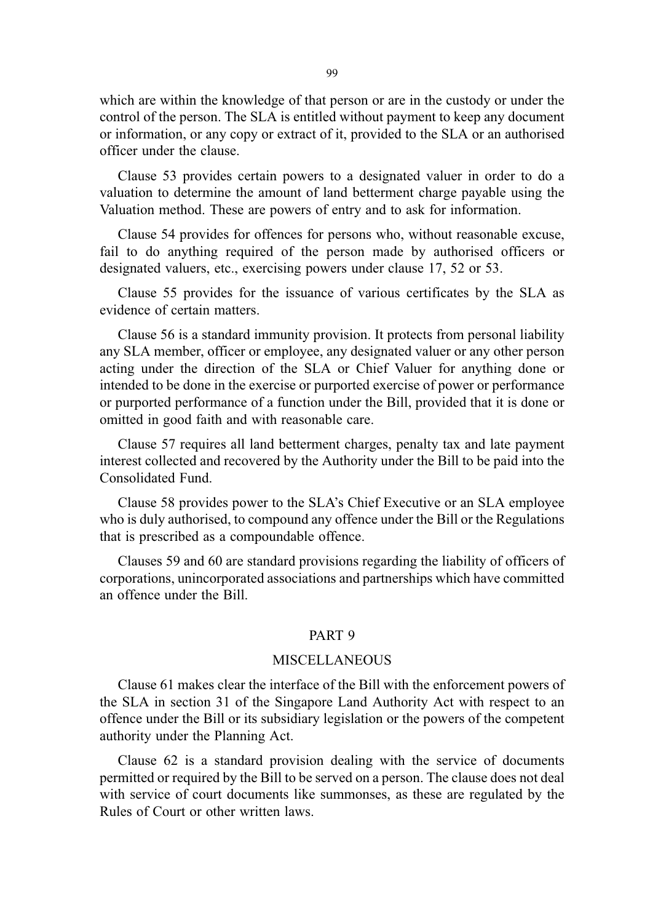which are within the knowledge of that person or are in the custody or under the control of the person. The SLA is entitled without payment to keep any document or information, or any copy or extract of it, provided to the SLA or an authorised officer under the clause.

Clause 53 provides certain powers to a designated valuer in order to do a valuation to determine the amount of land betterment charge payable using the Valuation method. These are powers of entry and to ask for information.

Clause 54 provides for offences for persons who, without reasonable excuse, fail to do anything required of the person made by authorised officers or designated valuers, etc., exercising powers under clause 17, 52 or 53.

Clause 55 provides for the issuance of various certificates by the SLA as evidence of certain matters.

Clause 56 is a standard immunity provision. It protects from personal liability any SLA member, officer or employee, any designated valuer or any other person acting under the direction of the SLA or Chief Valuer for anything done or intended to be done in the exercise or purported exercise of power or performance or purported performance of a function under the Bill, provided that it is done or omitted in good faith and with reasonable care.

Clause 57 requires all land betterment charges, penalty tax and late payment interest collected and recovered by the Authority under the Bill to be paid into the Consolidated Fund.

Clause 58 provides power to the SLA's Chief Executive or an SLA employee who is duly authorised, to compound any offence under the Bill or the Regulations that is prescribed as a compoundable offence.

Clauses 59 and 60 are standard provisions regarding the liability of officers of corporations, unincorporated associations and partnerships which have committed an offence under the Bill.

#### PART 9

#### MISCELLANEOUS

Clause 61 makes clear the interface of the Bill with the enforcement powers of the SLA in section 31 of the Singapore Land Authority Act with respect to an offence under the Bill or its subsidiary legislation or the powers of the competent authority under the Planning Act.

Clause 62 is a standard provision dealing with the service of documents permitted or required by the Bill to be served on a person. The clause does not deal with service of court documents like summonses, as these are regulated by the Rules of Court or other written laws.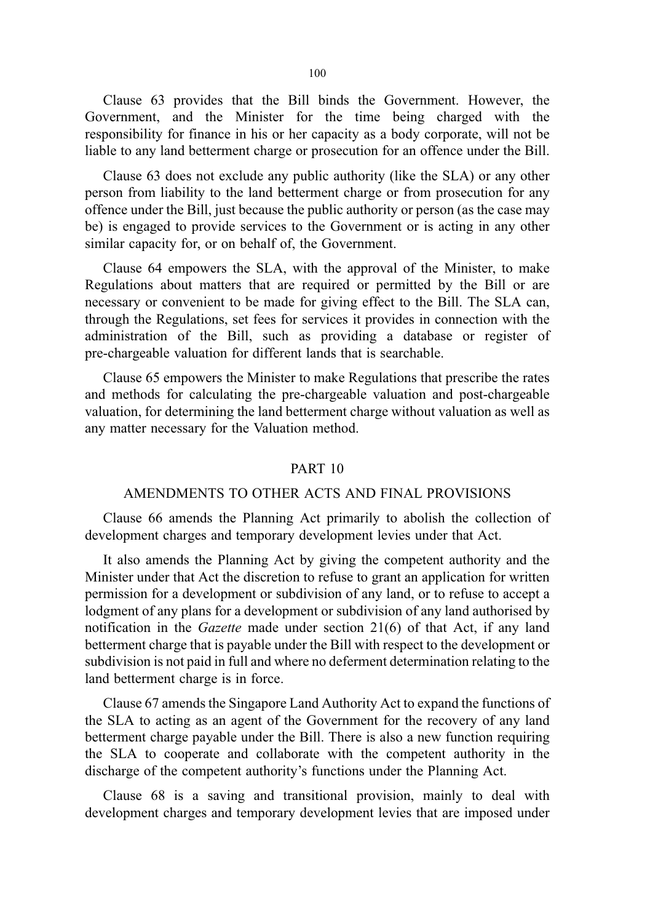Clause 63 provides that the Bill binds the Government. However, the Government, and the Minister for the time being charged with the responsibility for finance in his or her capacity as a body corporate, will not be liable to any land betterment charge or prosecution for an offence under the Bill.

Clause 63 does not exclude any public authority (like the SLA) or any other person from liability to the land betterment charge or from prosecution for any offence under the Bill, just because the public authority or person (as the case may be) is engaged to provide services to the Government or is acting in any other similar capacity for, or on behalf of, the Government.

Clause 64 empowers the SLA, with the approval of the Minister, to make Regulations about matters that are required or permitted by the Bill or are necessary or convenient to be made for giving effect to the Bill. The SLA can, through the Regulations, set fees for services it provides in connection with the administration of the Bill, such as providing a database or register of pre-chargeable valuation for different lands that is searchable.

Clause 65 empowers the Minister to make Regulations that prescribe the rates and methods for calculating the pre-chargeable valuation and post-chargeable valuation, for determining the land betterment charge without valuation as well as any matter necessary for the Valuation method.

#### PART 10

#### AMENDMENTS TO OTHER ACTS AND FINAL PROVISIONS

Clause 66 amends the Planning Act primarily to abolish the collection of development charges and temporary development levies under that Act.

It also amends the Planning Act by giving the competent authority and the Minister under that Act the discretion to refuse to grant an application for written permission for a development or subdivision of any land, or to refuse to accept a lodgment of any plans for a development or subdivision of any land authorised by notification in the Gazette made under section 21(6) of that Act, if any land betterment charge that is payable under the Bill with respect to the development or subdivision is not paid in full and where no deferment determination relating to the land betterment charge is in force.

Clause 67 amends the Singapore Land Authority Act to expand the functions of the SLA to acting as an agent of the Government for the recovery of any land betterment charge payable under the Bill. There is also a new function requiring the SLA to cooperate and collaborate with the competent authority in the discharge of the competent authority's functions under the Planning Act.

Clause 68 is a saving and transitional provision, mainly to deal with development charges and temporary development levies that are imposed under